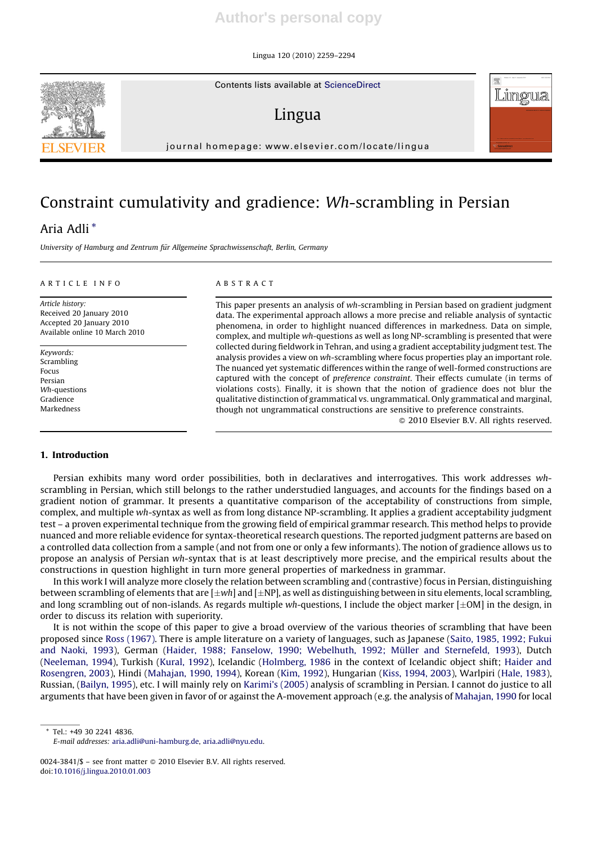Lingua 120 (2010) 2259–2294

# Lingua

journal homepage: www.elsevier.com/locate/lingua

# Constraint cumulativity and gradience: Wh-scrambling in Persian

# Aria Adli \*

University of Hamburg and Zentrum für Allgemeine Sprachwissenschaft, Berlin, Germany

#### ARTICLE INFO

Article history: Received 20 January 2010 Accepted 20 January 2010 Available online 10 March 2010

Keywords: Scrambling Focus Persian Wh-questions Gradience Markedness

# ABSTRACT

This paper presents an analysis of wh-scrambling in Persian based on gradient judgment data. The experimental approach allows a more precise and reliable analysis of syntactic phenomena, in order to highlight nuanced differences in markedness. Data on simple, complex, and multiple wh-questions as well as long NP-scrambling is presented that were collected during fieldwork in Tehran, and using a gradient acceptability judgment test. The analysis provides a view on wh-scrambling where focus properties play an important role. The nuanced yet systematic differences within the range of well-formed constructions are captured with the concept of preference constraint. Their effects cumulate (in terms of violations costs). Finally, it is shown that the notion of gradience does not blur the qualitative distinction of grammatical vs. ungrammatical. Only grammatical and marginal, though not ungrammatical constructions are sensitive to preference constraints.

2010 Elsevier B.V. All rights reserved.

Lingua

# 1. Introduction

Persian exhibits many word order possibilities, both in declaratives and interrogatives. This work addresses whscrambling in Persian, which still belongs to the rather understudied languages, and accounts for the findings based on a gradient notion of grammar. It presents a quantitative comparison of the acceptability of constructions from simple, complex, and multiple wh-syntax as well as from long distance NP-scrambling. It applies a gradient acceptability judgment test – a proven experimental technique from the growing field of empirical grammar research. This method helps to provide nuanced and more reliable evidence for syntax-theoretical research questions. The reported judgment patterns are based on a controlled data collection from a sample (and not from one or only a few informants). The notion of gradience allows us to propose an analysis of Persian wh-syntax that is at least descriptively more precise, and the empirical results about the constructions in question highlight in turn more general properties of markedness in grammar.

In this work I will analyze more closely the relation between scrambling and (contrastive) focus in Persian, distinguishing between scrambling of elements that are  $[\pm wh]$  and  $[\pm NP]$ , as well as distinguishing between in situ elements, local scrambling, and long scrambling out of non-islands. As regards multiple wh-questions, I include the object marker  $[\pm O M]$  in the design, in order to discuss its relation with superiority.

It is not within the scope of this paper to give a broad overview of the various theories of scrambling that have been proposed since Ross (1967). There is ample literature on a variety of languages, such as Japanese (Saito, 1985, 1992; Fukui and Naoki, 1993), German (Haider, 1988; Fanselow, 1990; Webelhuth, 1992; Müller and Sternefeld, 1993), Dutch (Neeleman, 1994), Turkish (Kural, 1992), Icelandic (Holmberg, 1986 in the context of Icelandic object shift; Haider and Rosengren, 2003), Hindi (Mahajan, 1990, 1994), Korean (Kim, 1992), Hungarian (Kiss, 1994, 2003), Warlpiri (Hale, 1983), Russian, (Bailyn, 1995), etc. I will mainly rely on Karimi's (2005) analysis of scrambling in Persian. I cannot do justice to all arguments that have been given in favor of or against the A-movement approach (e.g. the analysis of Mahajan, 1990 for local



<sup>\*</sup> Tel.: +49 30 2241 4836.

E-mail addresses: aria.adli@uni-hamburg.de, aria.adli@nyu.edu.

<sup>0024-3841/\$ -</sup> see front matter © 2010 Elsevier B.V. All rights reserved. doi:10.1016/j.lingua.2010.01.003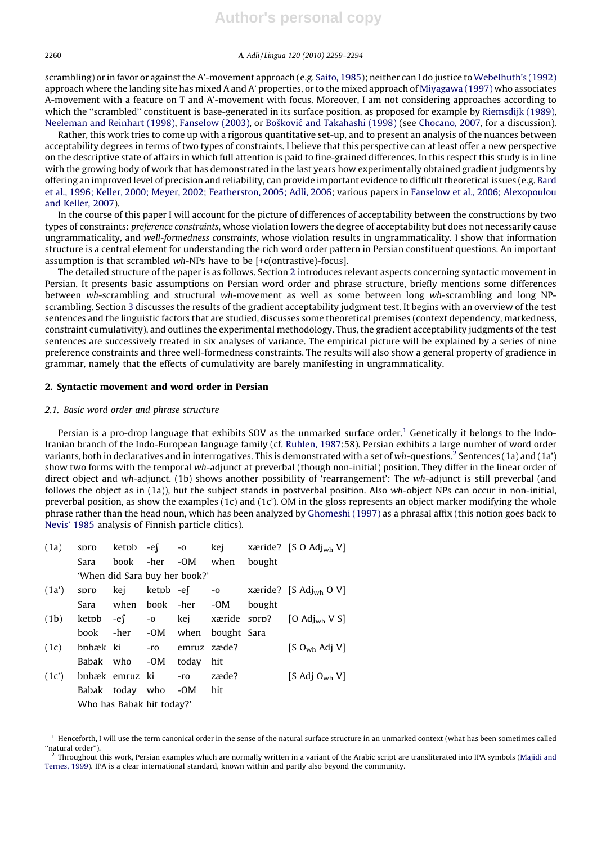scrambling) or in favor or against the A'-movement approach (e.g. Saito, 1985); neither can I do justice to Webelhuth's (1992) approach where the landing site has mixed A and A' properties, or to the mixed approach of Miyagawa (1997) who associates A-movement with a feature on T and A'-movement with focus. Moreover, I am not considering approaches according to which the "scrambled" constituent is base-generated in its surface position, as proposed for example by Riemsdijk (1989), Neeleman and Reinhart (1998), Fanselow (2003), or Bošković and Takahashi (1998) (see Chocano, 2007, for a discussion).

Rather, this work tries to come up with a rigorous quantitative set-up, and to present an analysis of the nuances between acceptability degrees in terms of two types of constraints. I believe that this perspective can at least offer a new perspective on the descriptive state of affairs in which full attention is paid to fine-grained differences. In this respect this study is in line with the growing body of work that has demonstrated in the last years how experimentally obtained gradient judgments by offering an improved level of precision and reliability, can provide important evidence to difficult theoretical issues (e.g. Bard et al., 1996; Keller, 2000; Meyer, 2002; Featherston, 2005; Adli, 2006; various papers in Fanselow et al., 2006; Alexopoulou and Keller, 2007).

In the course of this paper I will account for the picture of differences of acceptability between the constructions by two types of constraints: preference constraints, whose violation lowers the degree of acceptability but does not necessarily cause ungrammaticality, and well-formedness constraints, whose violation results in ungrammaticality. I show that information structure is a central element for understanding the rich word order pattern in Persian constituent questions. An important assumption is that scrambled wh-NPs have to be [+c(ontrastive)-focus].

The detailed structure of the paper is as follows. Section 2 introduces relevant aspects concerning syntactic movement in Persian. It presents basic assumptions on Persian word order and phrase structure, briefly mentions some differences between wh-scrambling and structural wh-movement as well as some between long wh-scrambling and long NPscrambling. Section 3 discusses the results of the gradient acceptability judgment test. It begins with an overview of the test sentences and the linguistic factors that are studied, discusses some theoretical premises (context dependency, markedness, constraint cumulativity), and outlines the experimental methodology. Thus, the gradient acceptability judgments of the test sentences are successively treated in six analyses of variance. The empirical picture will be explained by a series of nine preference constraints and three well-formedness constraints. The results will also show a general property of gradience in grammar, namely that the effects of cumulativity are barely manifesting in ungrammaticality.

### 2. Syntactic movement and word order in Persian

### 2.1. Basic word order and phrase structure

Persian is a pro-drop language that exhibits SOV as the unmarked surface order.<sup>1</sup> Genetically it belongs to the Indo-Iranian branch of the Indo-European language family (cf. Ruhlen, 1987:58). Persian exhibits a large number of word order variants, both in declaratives and in interrogatives. This is demonstrated with a set of wh-questions.<sup>2</sup> Sentences (1a) and (1a') show two forms with the temporal wh-adjunct at preverbal (though non-initial) position. They differ in the linear order of direct object and wh-adjunct. (1b) shows another possibility of 'rearrangement': The wh-adjunct is still preverbal (and follows the object as in (1a)), but the subject stands in postverbal position. Also wh-object NPs can occur in non-initial, preverbal position, as show the examples (1c) and (1c'). OM in the gloss represents an object marker modifying the whole phrase rather than the head noun, which has been analyzed by Ghomeshi (1997) as a phrasal affix (this notion goes back to Nevis' 1985 analysis of Finnish particle clitics).

| (1a)  |      |                               |       |                                |        | sprp ketpb -ef -o kej xæride? $[SO \text{Adj}_{wh} \text{ V}]$                |
|-------|------|-------------------------------|-------|--------------------------------|--------|-------------------------------------------------------------------------------|
|       | Sara |                               |       | book -her -OM when             | bought |                                                                               |
|       |      | 'When did Sara buy her book?' |       |                                |        |                                                                               |
| (1a') |      |                               |       |                                |        | sprp kej ketpb -es -o xæride? [S Adj <sub>wh</sub> O V]                       |
|       |      |                               |       | Sara when book -her -OM bought |        |                                                                               |
| (1b)  |      |                               |       |                                |        | ketpb -e $\int$ -o kej xæride sprp? $[O \text{Adj}_{wh} \text{ V} \text{ S}]$ |
|       |      |                               |       | book -her -OM when bought Sara |        |                                                                               |
| (1c)  |      | bpbæk ki -ro                  |       | emruz zæde?                    |        | [S O <sub>wh</sub> Adi V]                                                     |
|       |      | Babak who -OM                 | today | hit                            |        |                                                                               |
| (1c') |      | bpbæk emruz ki -ro            |       | zæde?                          |        | $[S \text{Adj } O_{wh} \text{ V}]$                                            |
|       |      | Babak today who -OM hit       |       |                                |        |                                                                               |
|       |      | Who has Babak hit today?'     |       |                                |        |                                                                               |

 $<sup>1</sup>$  Henceforth, I will use the term canonical order in the sense of the natural surface structure in an unmarked context (what has been sometimes called</sup> "natural order").<br><sup>2</sup> Throughout this work, Persian examples which are normally written in a variant of the Arabic script are transliterated into IPA symbols (Majidi and

Ternes, 1999). IPA is a clear international standard, known within and partly also beyond the community.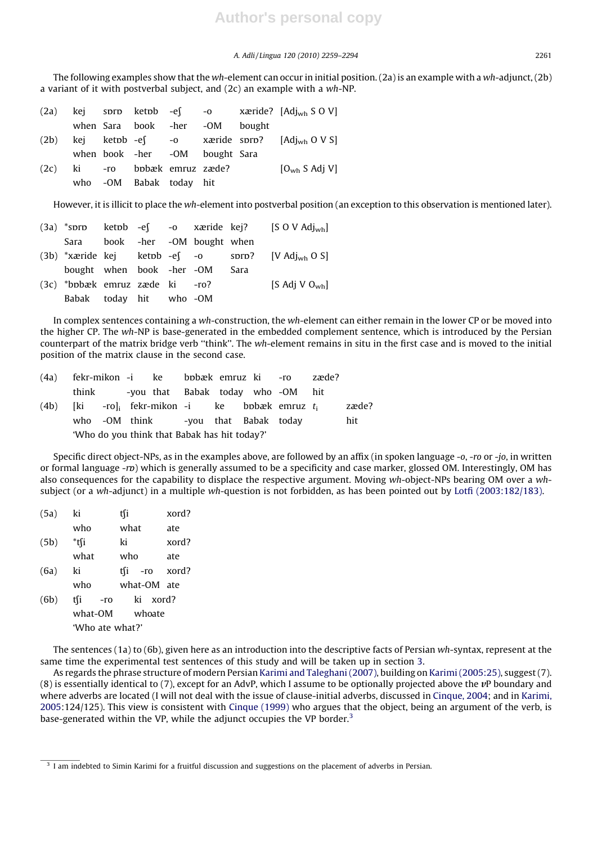The following examples show that the wh-element can occur in initial position. (2a) is an example with a wh-adjunct, (2b) a variant of it with postverbal subject, and (2c) an example with a wh-NP.

|  |                         |                                | $(2a)$ kej sprp ketpb -e $\int$ -o xæride? $[Adj_{wh} S O V]$        |
|--|-------------------------|--------------------------------|----------------------------------------------------------------------|
|  |                         | when Sara book -her -OM bought |                                                                      |
|  |                         |                                | (2b) kej ketob -e $\int$ -o xæride sprp? $[Adj_{wh} \, O \, V \, S]$ |
|  |                         | when book -her -OM bought Sara |                                                                      |
|  |                         | (2c) ki -ro bobæk emruz zæde?  | $[O_{wh} S Adj V]$                                                   |
|  | who -OM Babak today hit |                                |                                                                      |

However, it is illicit to place the wh-element into postverbal position (an exception to this observation is mentioned later).

|                                  |  |  | $(3a)$ *sprp ketpb -ef -o xæride kej? [SOV Adj <sub>wh</sub> ] |
|----------------------------------|--|--|----------------------------------------------------------------|
| Sara book -her -OM bought when   |  |  |                                                                |
|                                  |  |  | (3b) *xæride kej ketpb -es -o sprp? [V Adj <sub>wh</sub> O S]  |
| bought when book -her -OM Sara   |  |  |                                                                |
| $(3c)$ *bpbæk emruz zæde ki -ro? |  |  | $[S \text{ Adj } V O_{wh}]$                                    |
| Babak today hit who -OM          |  |  |                                                                |

In complex sentences containing a wh-construction, the wh-element can either remain in the lower CP or be moved into the higher CP. The wh-NP is base-generated in the embedded complement sentence, which is introduced by the Persian counterpart of the matrix bridge verb ''think''. The wh-element remains in situ in the first case and is moved to the initial position of the matrix clause in the second case.

| (4a)                                         |       |  |  |               |  |  | fekr-mikon -i ke bpbæk emruz ki -ro          |  | zæde? |       |
|----------------------------------------------|-------|--|--|---------------|--|--|----------------------------------------------|--|-------|-------|
|                                              | think |  |  |               |  |  | -you that Babak today who -OM hit            |  |       |       |
| (4b)                                         |       |  |  |               |  |  | [ki -ro], fekr-mikon -i ke bobæk emruz $t_i$ |  |       | zæde? |
|                                              |       |  |  | who -OM think |  |  | -you that Babak today                        |  |       | hit   |
| 'Who do you think that Babak has hit today?' |       |  |  |               |  |  |                                              |  |       |       |

Specific direct object-NPs, as in the examples above, are followed by an affix (in spoken language -o, -ro or -jo, in written or formal language -rɒ) which is generally assumed to be a specificity and case marker, glossed OM. Interestingly, OM has also consequences for the capability to displace the respective argument. Moving wh-object-NPs bearing OM over a whsubject (or a wh-adjunct) in a multiple wh-question is not forbidden, as has been pointed out by Lotfi (2003:182/183).

| (5a) | ki              | tſi           | xord? |
|------|-----------------|---------------|-------|
|      | who             | what          | ate   |
| (5b) | *t∫i            | ki            | xord? |
|      | what            | who           | ate   |
| (6a) | ki              | tli -ro xord? |       |
|      | who             | what-OM ate   |       |
| (6b) | tſi<br>-ro      | ki xord?      |       |
|      | what-OM         | whoate        |       |
|      | 'Who ate what?' |               |       |
|      |                 |               |       |

The sentences (1a) to (6b), given here as an introduction into the descriptive facts of Persian wh-syntax, represent at the same time the experimental test sentences of this study and will be taken up in section 3.

As regards the phrase structure of modern Persian Karimi and Taleghani (2007), building on Karimi (2005:25), suggest (7). (8) is essentially identical to (7), except for an AdvP, which I assume to be optionally projected above the  $\nu$ P boundary and where adverbs are located (I will not deal with the issue of clause-initial adverbs, discussed in Cinque, 2004; and in Karimi, 2005:124/125). This view is consistent with Cinque (1999) who argues that the object, being an argument of the verb, is base-generated within the VP, while the adjunct occupies the VP border.<sup>3</sup>

 $3$  I am indebted to Simin Karimi for a fruitful discussion and suggestions on the placement of adverbs in Persian.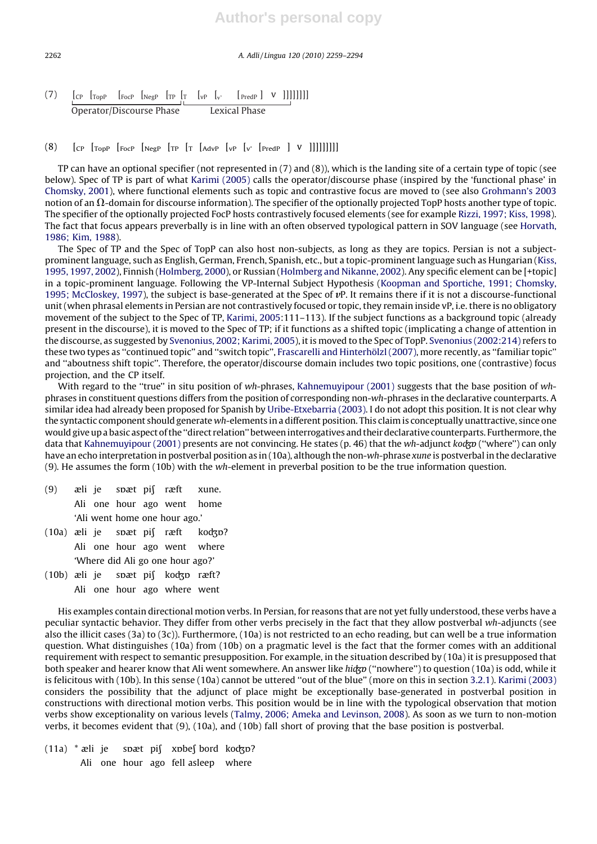2262 A. Adli / Lingua 120 (2010) 2259–2294

 $(7)$   $[$   $[$   $[$   $[$   $[$   $[$   $[$   $]$   $[$   $[$   $]$   $[$   $[$   $]$   $[$   $]$   $[$   $[$   $\mathsf{p}$   $]$   $[$   $[$   $]$   $[$   $\mathsf{p}$   $]$   $[$   $[$   $]$   $[$   $\mathsf{p}$   $]$   $[$   $[$   $]$   $[$   $]$   $[$   $]$   $[$   $]$   $[$   $]$   $[$   $]$   $[$   $]$   $[$   $]$   $[$  Operator/Discourse Phase Lexical Phase

# (8)  $\left[\begin{array}{cc} \text{Cp} & \text{[Top} \end{array}\right]$   $\left[\begin{array}{cc} \text{Focp} & \text{[NegP} \end{array}\right]$   $\left[\begin{array}{cc} \text{Tp} & \text{[AdvP} \end{array}\right]$   $\left[\begin{array}{cc} \text{v} & \text{[Predp]} \end{array}\right]$   $\left[\begin{array}{cc} \text{v} & \text{[II]]} \end{array}\right]$

TP can have an optional specifier (not represented in (7) and (8)), which is the landing site of a certain type of topic (see below). Spec of TP is part of what Karimi (2005) calls the operator/discourse phase (inspired by the 'functional phase' in Chomsky, 2001), where functional elements such as topic and contrastive focus are moved to (see also Grohmann's 2003 notion of an  $\Omega$ -domain for discourse information). The specifier of the optionally projected TopP hosts another type of topic. The specifier of the optionally projected FocP hosts contrastively focused elements (see for example Rizzi, 1997; Kiss, 1998). The fact that focus appears preverbally is in line with an often observed typological pattern in SOV language (see Horvath, 1986; Kim, 1988).

The Spec of TP and the Spec of TopP can also host non-subjects, as long as they are topics. Persian is not a subjectprominent language, such as English, German, French, Spanish, etc., but a topic-prominent language such as Hungarian (Kiss, 1995, 1997, 2002), Finnish (Holmberg, 2000), or Russian (Holmberg and Nikanne, 2002). Any specific element can be [+topic] in a topic-prominent language. Following the VP-Internal Subject Hypothesis (Koopman and Sportiche, 1991; Chomsky, 1995; McCloskey, 1997), the subject is base-generated at the Spec of  $\nu$ P. It remains there if it is not a discourse-functional unit (when phrasal elements in Persian are not contrastively focused or topic, they remain inside vP, i.e. there is no obligatory movement of the subject to the Spec of TP, Karimi, 2005:111–113). If the subject functions as a background topic (already present in the discourse), it is moved to the Spec of TP; if it functions as a shifted topic (implicating a change of attention in the discourse, as suggested by Svenonius, 2002; Karimi, 2005), it is moved to the Spec of TopP. Svenonius (2002:214) refers to these two types as "continued topic" and "switch topic", Frascarelli and Hinterhölzl (2007), more recently, as "familiar topic" and ''aboutness shift topic''. Therefore, the operator/discourse domain includes two topic positions, one (contrastive) focus projection, and the CP itself.

With regard to the "true" in situ position of wh-phrases, Kahnemuyipour (2001) suggests that the base position of whphrases in constituent questions differs from the position of corresponding non-wh-phrases in the declarative counterparts. A similar idea had already been proposed for Spanish by Uribe-Etxebarria (2003). I do not adopt this position. It is not clear why the syntactic component should generate wh-elements in a different position. This claim is conceptually unattractive, since one would give up a basic aspect of the ''direct relation'' between interrogatives and their declarative counterparts. Furthermore, the data that Kahnemuyipour (2001) presents are not convincing. He states (p. 46) that the wh-adjunct kodʒp ("where") can only have an echo interpretation in postverbal position as in (10a), although the non-wh-phrase xune is postverbal in the declarative (9). He assumes the form (10b) with the wh-element in preverbal position to be the true information question.

- (9) æli je sɒæt piʃ ræft xune. Ali one hour ago went home 'Ali went home one hour ago.'
- (10a) æli je sɒæt piʃ ræft kodʒɒ? Ali one hour ago went where 'Where did Ali go one hour ago?'
- (10b) æli je sɒæt piʃ kodʒɒ ræft? Ali one hour ago where went

His examples contain directional motion verbs. In Persian, for reasons that are not yet fully understood, these verbs have a peculiar syntactic behavior. They differ from other verbs precisely in the fact that they allow postverbal wh-adjuncts (see also the illicit cases (3a) to (3c)). Furthermore, (10a) is not restricted to an echo reading, but can well be a true information question. What distinguishes (10a) from (10b) on a pragmatic level is the fact that the former comes with an additional requirement with respect to semantic presupposition. For example, in the situation described by (10a) it is presupposed that both speaker and hearer know that Ali went somewhere. An answer like hidzo ("nowhere") to question (10a) is odd, while it is felicitous with (10b). In this sense (10a) cannot be uttered ''out of the blue'' (more on this in section 3.2.1). Karimi (2003) considers the possibility that the adjunct of place might be exceptionally base-generated in postverbal position in constructions with directional motion verbs. This position would be in line with the typological observation that motion verbs show exceptionality on various levels (Talmy, 2006; Ameka and Levinson, 2008). As soon as we turn to non-motion verbs, it becomes evident that (9), (10a), and (10b) fall short of proving that the base position is postverbal.

(11a) \* æli je sɒæt piʃ xɒbeʃ bord kodʒɒ? Ali one hour ago fell asleep where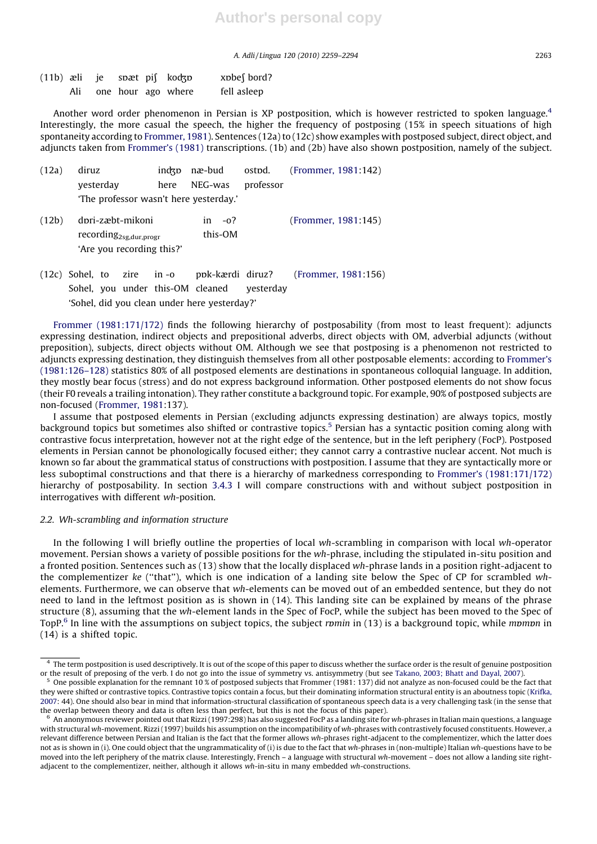|  |  | $(11b)$ æli je spæt pis kodzp | xpbef bord? |
|--|--|-------------------------------|-------------|
|  |  | Ali one hour ago where        | fell asleep |

Another word order phenomenon in Persian is XP postposition, which is however restricted to spoken language.<sup>4</sup> Interestingly, the more casual the speech, the higher the frequency of postposing (15% in speech situations of high spontaneity according to Frommer, 1981). Sentences (12a) to (12c) show examples with postposed subject, direct object, and adjuncts taken from Frommer's (1981) transcriptions. (1b) and (2b) have also shown postposition, namely of the subject.

| (12a) | diruz                                  |          |                        | ind <sub>3</sub> p næ-bud ostpd. (Frommer, 1981:142) |
|-------|----------------------------------------|----------|------------------------|------------------------------------------------------|
|       | vesterday                              |          | here NEG-was professor |                                                      |
|       | "The professor wasn't here yesterday." |          |                        |                                                      |
| (12b) | dpri-zæbt-mikoni                       | $in -0?$ |                        | (Frommer, 1981:145)                                  |

- recording<sub>2sg,dur,progr</sub> this-OM 'Are you recording this?'
- (12c) Sohel, to zire in -o pɒk-kærdi diruz? (Frommer, 1981:156) Sohel, you under this-OM cleaned yesterday 'Sohel, did you clean under here yesterday?'

Frommer (1981:171/172) finds the following hierarchy of postposability (from most to least frequent): adjuncts expressing destination, indirect objects and prepositional adverbs, direct objects with OM, adverbial adjuncts (without preposition), subjects, direct objects without OM. Although we see that postposing is a phenomenon not restricted to adjuncts expressing destination, they distinguish themselves from all other postposable elements: according to Frommer's (1981:126–128) statistics 80% of all postposed elements are destinations in spontaneous colloquial language. In addition, they mostly bear focus (stress) and do not express background information. Other postposed elements do not show focus (their F0 reveals a trailing intonation). They rather constitute a background topic. For example, 90% of postposed subjects are non-focused (Frommer, 1981:137).

I assume that postposed elements in Persian (excluding adjuncts expressing destination) are always topics, mostly background topics but sometimes also shifted or contrastive topics.<sup>5</sup> Persian has a syntactic position coming along with contrastive focus interpretation, however not at the right edge of the sentence, but in the left periphery (FocP). Postposed elements in Persian cannot be phonologically focused either; they cannot carry a contrastive nuclear accent. Not much is known so far about the grammatical status of constructions with postposition. I assume that they are syntactically more or less suboptimal constructions and that there is a hierarchy of markedness corresponding to Frommer's (1981:171/172) hierarchy of postposability. In section 3.4.3 I will compare constructions with and without subject postposition in interrogatives with different wh-position.

# 2.2. Wh-scrambling and information structure

In the following I will briefly outline the properties of local wh-scrambling in comparison with local wh-operator movement. Persian shows a variety of possible positions for the wh-phrase, including the stipulated in-situ position and a fronted position. Sentences such as (13) show that the locally displaced wh-phrase lands in a position right-adjacent to the complementizer ke (''that''), which is one indication of a landing site below the Spec of CP for scrambled whelements. Furthermore, we can observe that wh-elements can be moved out of an embedded sentence, but they do not need to land in the leftmost position as is shown in (14). This landing site can be explained by means of the phrase structure (8), assuming that the wh-element lands in the Spec of FocP, while the subject has been moved to the Spec of TopP.<sup>6</sup> In line with the assumptions on subject topics, the subject *romin* in (13) is a background topic, while momon in (14) is a shifted topic.

<sup>&</sup>lt;sup>4</sup> The term postposition is used descriptively. It is out of the scope of this paper to discuss whether the surface order is the result of genuine postposition or the result of preposing of the verb. I do not go into the issue of symmetry vs. antisymmetry (but see Takano, 2003; Bhatt and Dayal, 2007).<br><sup>5</sup> One possible explanation for the remnant 10 % of postposed subjects that Fr

they were shifted or contrastive topics. Contrastive topics contain a focus, but their dominating information structural entity is an aboutness topic (Krifka, 2007: 44). One should also bear in mind that information-structural classification of spontaneous speech data is a very challenging task (in the sense that the overlap between theory and data is often less than perfect, but this is not the focus of this paper).<br><sup>6</sup> An anonymous reviewer pointed out that Rizzi (1997:298) has also suggested FocP as a landing site for wh-phrases

with structural wh-movement. Rizzi (1997) builds his assumption on the incompatibility of wh-phrases with contrastively focused constituents. However, a relevant difference between Persian and Italian is the fact that the former allows wh-phrases right-adjacent to the complementizer, which the latter does not as is shown in (i). One could object that the ungrammaticality of (i) is due to the fact that wh-phrases in (non-multiple) Italian wh-questions have to be moved into the left periphery of the matrix clause. Interestingly, French – a language with structural wh-movement – does not allow a landing site rightadjacent to the complementizer, neither, although it allows wh-in-situ in many embedded wh-constructions.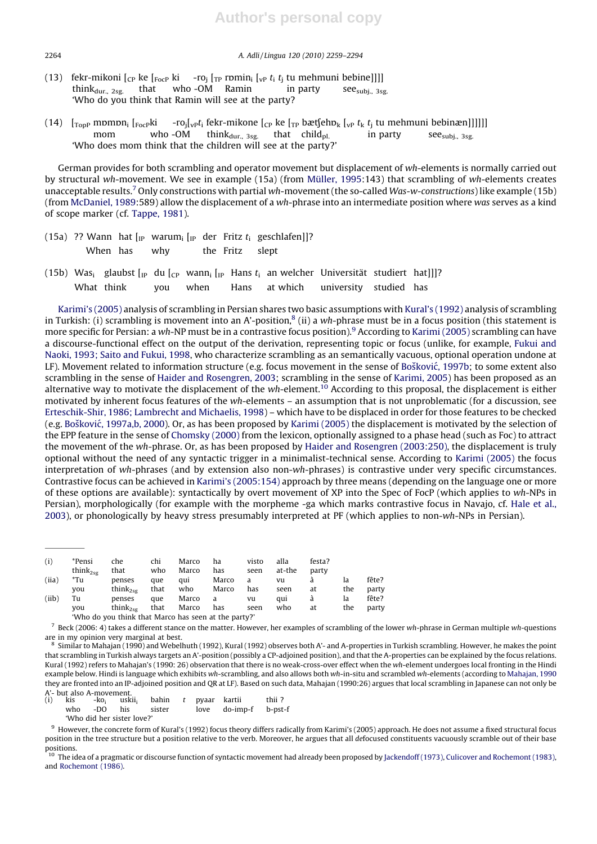- (13) fekr-mikoni  $\begin{bmatrix} C_P & \text{Re} \end{bmatrix}$  Foce ki -ro<sub>j</sub>  $\begin{bmatrix} T_P & \text{r}{Dm} \end{bmatrix}$   $\begin{bmatrix} V_P & t_i & t_j \end{bmatrix}$  tu mehmuni bebine]]] think $_{\text{dur., 2sg.}}$  that who -OM Ramin in party see<sub>subi., 3sg.</sub> 'Who do you think that Ramin will see at the party?
- (14)  $\lbrack_{\text{Top}}$  mɒmɒn<sub>i</sub>  $\lbrack_{\text{Fock}}$ i -roj $\lbrack_{\text{vpt}}$  fekr-mikone  $\lbrack_{\text{cp}}$  ke  $\lbrack_{\text{TP}}$  bæt $\lbrack_{\text{eph}}$   $\lbrack_{\text{vpt}}$   $t_k$   $t_i$  tu mehmuni bebinæn]]]]]] mom who -OM think<sub>dur., 3sg.</sub> that child<sub>pl.</sub> in party see<sub>subj., 3sg.</sub> 'Who does mom think that the children will see at the party?'

German provides for both scrambling and operator movement but displacement of wh-elements is normally carried out by structural wh-movement. We see in example (15a) (from Müller, 1995:143) that scrambling of wh-elements creates unacceptable results.<sup>7</sup> Only constructions with partial wh-movement (the so-called Was-w-constructions) like example (15b) (from McDaniel, 1989:589) allow the displacement of a wh-phrase into an intermediate position where was serves as a kind of scope marker (cf. Tappe, 1981).

- (15a) ?? Wann hat  $\begin{bmatrix} I_P & \text{warm}_i \end{bmatrix}$  der Fritz  $t_i$  geschlafen]]? When has why the Fritz slept
- (15b) Was<sub>i</sub> glaubst  $\begin{bmatrix} \text{IP} & \text{du} & \text{C}_{\text{CP}} & \text{wann}_{i} & \text{I}_{\text{IP}} & \text{Hans } t_{i} \end{bmatrix}$  an welcher Universität studiert hat]]]? What think you when Hans at which university studied has

Karimi's (2005) analysis of scrambling in Persian shares two basic assumptions with Kural's (1992) analysis of scrambling in Turkish: (i) scrambling is movement into an A'-position, $8$  (ii) a wh-phrase must be in a focus position (this statement is more specific for Persian: a wh-NP must be in a contrastive focus position).<sup>9</sup> According to Karimi (2005) scrambling can have a discourse-functional effect on the output of the derivation, representing topic or focus (unlike, for example, Fukui and Naoki, 1993; Saito and Fukui, 1998, who characterize scrambling as an semantically vacuous, optional operation undone at LF). Movement related to information structure (e.g. focus movement in the sense of Bošković, 1997b; to some extent also scrambling in the sense of Haider and Rosengren, 2003; scrambling in the sense of Karimi, 2005) has been proposed as an alternative way to motivate the displacement of the wh-element.<sup>10</sup> According to this proposal, the displacement is either motivated by inherent focus features of the wh-elements – an assumption that is not unproblematic (for a discussion, see Erteschik-Shir, 1986; Lambrecht and Michaelis, 1998) – which have to be displaced in order for those features to be checked (e.g. Bošković, 1997a,b, 2000). Or, as has been proposed by Karimi (2005) the displacement is motivated by the selection of the EPP feature in the sense of Chomsky (2000) from the lexicon, optionally assigned to a phase head (such as Foc) to attract the movement of the wh-phrase. Or, as has been proposed by Haider and Rosengren (2003:250), the displacement is truly optional without the need of any syntactic trigger in a minimalist-technical sense. According to Karimi (2005) the focus interpretation of wh-phrases (and by extension also non-wh-phrases) is contrastive under very specific circumstances. Contrastive focus can be achieved in Karimi's (2005:154) approach by three means (depending on the language one or more of these options are available): syntactically by overt movement of XP into the Spec of FocP (which applies to wh-NPs in Persian), morphologically (for example with the morpheme -ga which marks contrastive focus in Navajo, cf. Hale et al., 2003), or phonologically by heavy stress presumably interpreted at PF (which applies to non-wh-NPs in Persian).

| (i)   | *Pensi<br>think <sub>2sg</sub> | che<br>that                                          | chi<br>who | Marco<br>Marco | ha<br>has | visto<br>seen | alla<br>at-the | festa?<br>party |     |       |
|-------|--------------------------------|------------------------------------------------------|------------|----------------|-----------|---------------|----------------|-----------------|-----|-------|
| (iia) | *Tu                            | penses                                               | que        | aui            | Marco     | a             | vu             |                 | la  | fête? |
|       | vou                            | think <sub>2sg</sub>                                 | that       | who            | Marco     | has           | seen           | at              | the | party |
| (iib) | Tu                             | penses                                               | que        | Marco          | a         | vu            | auı            | a               | la  | fête? |
|       | vou                            | think <sub>2sg</sub>                                 | that       | Marco          | has       | seen          | who            | at              | the | party |
|       |                                | 'Who do you think that Marco has seen at the party?' |            |                |           |               |                |                 |     |       |

 $^7$  Beck (2006: 4) takes a different stance on the matter. However, her examples of scrambling of the lower wh-phrase in German multiple wh-questions are in my opinion very marginal at best.<br><sup>8</sup> Similar to Mahajan (1990) and Webelhuth (1992), Kural (1992) observes both A'- and A-properties in Turkish scrambling. However, he makes the point

that scrambling in Turkish always targets an A'-position (possibly a CP-adjoined position), and that the A-properties can be explained by the focus relations. Kural (1992) refers to Mahajan's (1990: 26) observation that there is no weak-cross-over effect when the wh-element undergoes local fronting in the Hindi example below. Hindi is language which exhibits wh-scrambling, and also allows both wh-in-situ and scrambled wh-elements (according to Mahajan, 1990 they are fronted into an IP-adjoined position and QR at LF). Based on such data, Mahajan (1990:26) argues that local scrambling in Japanese can not only be

 $A'$ - but also A-movement.<br>(i) kis -ko<sub>i</sub> uskii<sub>i</sub> kis -ko<sub>i</sub> uskii<sub>i</sub> bahin *t* pyaar kartii thii?<br>who -DO his sister love do-imp-f b-pst-f

do-imp-f

'Who did her sister love?'

<sup>9</sup> However, the concrete form of Kural's (1992) focus theory differs radically from Karimi's (2005) approach. He does not assume a fixed structural focus position in the tree structure but a position relative to the verb. Moreover, he argues that all defocused constituents vacuously scramble out of their base positions.

<sup>10</sup> The idea of a pragmatic or discourse function of syntactic movement had already been proposed by Jackendoff (1973), Culicover and Rochemont (1983), and Rochemont (1986).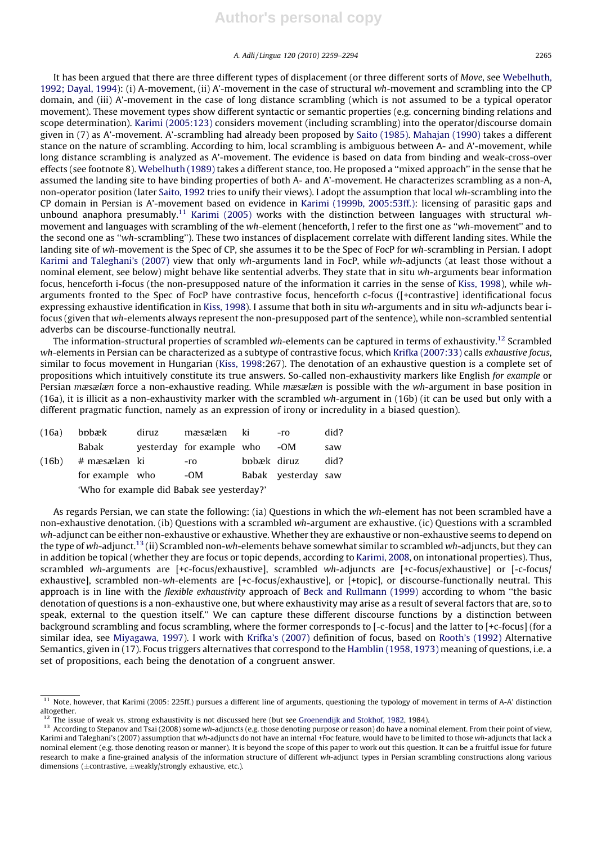#### A. Adli/Lingua 120 (2010) 2259-2294 2265

It has been argued that there are three different types of displacement (or three different sorts of Move, see Webelhuth, 1992; Dayal, 1994): (i) A-movement, (ii) A'-movement in the case of structural wh-movement and scrambling into the CP domain, and (iii) A'-movement in the case of long distance scrambling (which is not assumed to be a typical operator movement). These movement types show different syntactic or semantic properties (e.g. concerning binding relations and scope determination). Karimi (2005:123) considers movement (including scrambling) into the operator/discourse domain given in (7) as A'-movement. A'-scrambling had already been proposed by Saito (1985). Mahajan (1990) takes a different stance on the nature of scrambling. According to him, local scrambling is ambiguous between A- and A'-movement, while long distance scrambling is analyzed as A'-movement. The evidence is based on data from binding and weak-cross-over effects (see footnote 8). Webelhuth (1989) takes a different stance, too. He proposed a ''mixed approach'' in the sense that he assumed the landing site to have binding properties of both A- and A'-movement. He characterizes scrambling as a non-A, non-operator position (later Saito, 1992 tries to unify their views). I adopt the assumption that local wh-scrambling into the CP domain in Persian is A'-movement based on evidence in Karimi (1999b, 2005:53ff.): licensing of parasitic gaps and unbound anaphora presumably.<sup>11</sup> Karimi (2005) works with the distinction between languages with structural whmovement and languages with scrambling of the wh-element (henceforth, I refer to the first one as "wh-movement" and to the second one as ''wh-scrambling''). These two instances of displacement correlate with different landing sites. While the landing site of wh-movement is the Spec of CP, she assumes it to be the Spec of FocP for wh-scrambling in Persian. I adopt Karimi and Taleghani's (2007) view that only wh-arguments land in FocP, while wh-adjuncts (at least those without a nominal element, see below) might behave like sentential adverbs. They state that in situ wh-arguments bear information focus, henceforth i-focus (the non-presupposed nature of the information it carries in the sense of Kiss, 1998), while wharguments fronted to the Spec of FocP have contrastive focus, henceforth c-focus ([+contrastive] identificational focus expressing exhaustive identification in Kiss, 1998). I assume that both in situ wh-arguments and in situ wh-adjuncts bear ifocus (given that wh-elements always represent the non-presupposed part of the sentence), while non-scrambled sentential adverbs can be discourse-functionally neutral.

The information-structural properties of scrambled wh-elements can be captured in terms of exhaustivity.<sup>12</sup> Scrambled wh-elements in Persian can be characterized as a subtype of contrastive focus, which Krifka (2007:33) calls exhaustive focus, similar to focus movement in Hungarian (Kiss, 1998:267). The denotation of an exhaustive question is a complete set of propositions which intuitively constitute its true answers. So-called non-exhaustivity markers like English for example or Persian mæsælæn force a non-exhaustive reading. While mæsælæn is possible with the wh-argument in base position in (16a), it is illicit as a non-exhaustivity marker with the scrambled wh-argument in (16b) (it can be used but only with a different pragmatic function, namely as an expression of irony or incredulity in a biased question).

| (16a) | bpbæk           | diruz | mæsælæn                                    | ki          | $-ro$               | did? |
|-------|-----------------|-------|--------------------------------------------|-------------|---------------------|------|
|       | Babak           |       | yesterday for example who                  |             | -OM                 | saw  |
| (16b) | # mæsælæn ki    |       | -ro                                        | bobæk diruz |                     | did? |
|       | for example who |       | $-OM$                                      |             | Babak yesterday saw |      |
|       |                 |       | 'Who for example did Babak see yesterday?' |             |                     |      |

As regards Persian, we can state the following: (ia) Questions in which the wh-element has not been scrambled have a non-exhaustive denotation. (ib) Questions with a scrambled wh-argument are exhaustive. (ic) Questions with a scrambled wh-adjunct can be either non-exhaustive or exhaustive. Whether they are exhaustive or non-exhaustive seems to depend on the type of wh-adjunct.<sup>13</sup> (ii) Scrambled non-wh-elements behave somewhat similar to scrambled wh-adjuncts, but they can in addition be topical (whether they are focus or topic depends, according to Karimi, 2008, on intonational properties). Thus, scrambled wh-arguments are [+c-focus/exhaustive], scrambled wh-adjuncts are [+c-focus/exhaustive] or [-c-focus/ exhaustive], scrambled non-wh-elements are [+c-focus/exhaustive], or [+topic], or discourse-functionally neutral. This approach is in line with the *flexible exhaustivity* approach of Beck and Rullmann (1999) according to whom "the basic denotation of questions is a non-exhaustive one, but where exhaustivity may arise as a result of several factors that are, so to speak, external to the question itself.'' We can capture these different discourse functions by a distinction between background scrambling and focus scrambling, where the former corresponds to [-c-focus] and the latter to [+c-focus] (for a similar idea, see Miyagawa, 1997). I work with Krifka's (2007) definition of focus, based on Rooth's (1992) Alternative Semantics, given in (17). Focus triggers alternatives that correspond to the Hamblin (1958, 1973) meaning of questions, i.e. a set of propositions, each being the denotation of a congruent answer.

 $\frac{11}{11}$  Note, however, that Karimi (2005: 225ff.) pursues a different line of arguments, questioning the typology of movement in terms of A-A' distinction altogether.<br><sup>12</sup> The issue of weak vs. strong exhaustivity is not discussed here (but see Groenendijk and Stokhof, 1982, 1984).

<sup>&</sup>lt;sup>13</sup> According to Stepanov and Tsai (2008) some wh-adjuncts (e.g. those denoting purpose or reason) do have a nominal element. From their point of view, Karimi and Taleghani's (2007) assumption that wh-adjuncts do not have an internal +Foc feature, would have to be limited to those wh-adjuncts that lack a nominal element (e.g. those denoting reason or manner). It is beyond the scope of this paper to work out this question. It can be a fruitful issue for future research to make a fine-grained analysis of the information structure of different wh-adjunct types in Persian scrambling constructions along various dimensions ( $\pm$ contrastive,  $\pm$ weakly/strongly exhaustive, etc.).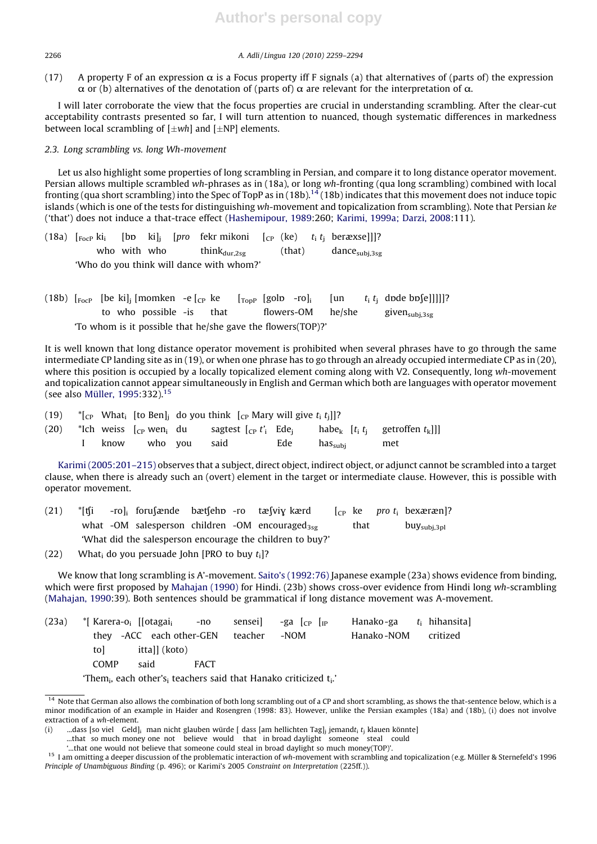(17) A property F of an expression  $\alpha$  is a Focus property iff F signals (a) that alternatives of (parts of) the expression α or (b) alternatives of the denotation of (parts of) α are relevant for the interpretation of α.

I will later corroborate the view that the focus properties are crucial in understanding scrambling. After the clear-cut acceptability contrasts presented so far, I will turn attention to nuanced, though systematic differences in markedness between local scrambling of  $[\pm wh]$  and  $[\pm NP]$  elements.

2.3. Long scrambling vs. long Wh-movement

Let us also highlight some properties of long scrambling in Persian, and compare it to long distance operator movement. Persian allows multiple scrambled wh-phrases as in (18a), or long wh-fronting (qua long scrambling) combined with local fronting (qua short scrambling) into the Spec of TopP as in  $(18b)$ .<sup>14</sup> (18b) indicates that this movement does not induce topic islands (which is one of the tests for distinguishing wh-movement and topicalization from scrambling). Note that Persian ke ('that') does not induce a that-trace effect (Hashemipour, 1989:260; Karimi, 1999a; Darzi, 2008:111).

(18a)  $\begin{bmatrix} F_{\text{ocP}} & K i_i \\ F_{\text{ocP}} & K i_j \end{bmatrix}$  [pro fekr mikoni  $\begin{bmatrix} C_P & (ke) & t_i \\ t_i & b_i \end{bmatrix}$  [2] who with who  $\text{think}_{\text{dur,2sg}}$  (that) dance<sub>subj,3sg</sub> 'Who do you think will dance with whom?'

(18b)  $\begin{bmatrix} F_{\text{ocP}} \\ \text{[De Ki]} \\ \end{bmatrix}$  [momken -e  $\begin{bmatrix} C_{\text{P}} \\ \text{[Fe}} \\ \end{bmatrix}$  [golb -ro]<sub>i</sub> [un t<sub>i</sub> t<sub>i</sub> dode bn[e]]]]]? to who possible -is that flowers-OM he/she given<sub>subj,3sg</sub> 'To whom is it possible that he/she gave the flowers(TOP)?'

It is well known that long distance operator movement is prohibited when several phrases have to go through the same intermediate CP landing site as in (19), or when one phrase has to go through an already occupied intermediate CP as in (20), where this position is occupied by a locally topicalized element coming along with V2. Consequently, long wh-movement and topicalization cannot appear simultaneously in English and German which both are languages with operator movement (see also Müller, 1995:332). $15$ 

|  |                | (19) ${}^*$ [ <sub>CP</sub> What <sub>i</sub> [to Ben] <sub>i</sub> do you think $[$ <sub>CP</sub> Mary will give t <sub>i</sub> t <sub>i</sub> ]]? |     |                     |     |
|--|----------------|-----------------------------------------------------------------------------------------------------------------------------------------------------|-----|---------------------|-----|
|  |                | (20) *Ich weiss $[_{CP}$ wen <sub>i</sub> du sagtest $[_{CP} t'_i$ Ede <sub>i</sub> habe <sub>k</sub> $[t_i t_i]$ getroffen $t_k$ ]]                |     |                     |     |
|  | I know who vou | said                                                                                                                                                | Ede | has <sub>subi</sub> | met |

Karimi (2005:201–215) observes that a subject, direct object, indirect object, or adjunct cannot be scrambled into a target clause, when there is already such an (overt) element in the target or intermediate clause. However, this is possible with operator movement.

| (21) | *Itfi |  |  | $\text{-}$ ro], foru $\text{[and]}$ bæt $\text{[ehp - ro - tæ]}$ viy kærd |      | $\begin{bmatrix} C_P & R \end{bmatrix}$ ke pro $t_i$ bexæræn]? |
|------|-------|--|--|---------------------------------------------------------------------------|------|----------------------------------------------------------------|
|      |       |  |  | what -OM salesperson children -OM encouraged <sub>3sg</sub>               | that | $\text{DUY}_{\text{subi,3pl}}$                                 |
|      |       |  |  | 'What did the salesperson encourage the children to buy?'                 |      |                                                                |

(22) What<sub>i</sub> do you persuade John [PRO to buy  $t_i$ ]?

We know that long scrambling is A'-movement. Saito's (1992:76) Japanese example (23a) shows evidence from binding, which were first proposed by Mahajan (1990) for Hindi. (23b) shows cross-over evidence from Hindi long wh-scrambling (Mahajan, 1990:39). Both sentences should be grammatical if long distance movement was A-movement.

| (23a) |             |                                       |      | * [Karera-o <sub>i</sub> [[otagai <sub>i</sub> -no sensei] -ga [ <sub>CP</sub> [ <sub>IP</sub> | Hanako-ga $t_i$ hihansita] |          |
|-------|-------------|---------------------------------------|------|------------------------------------------------------------------------------------------------|----------------------------|----------|
|       |             | they -ACC each other-GEN teacher -NOM |      |                                                                                                | Hanako -NOM                | critized |
|       | tol         | itta]] (koto)                         |      |                                                                                                |                            |          |
|       | <b>COMP</b> | said                                  | FACT |                                                                                                |                            |          |

'Them<sub>i</sub>, each other's<sub>i</sub> teachers said that Hanako criticized  $t_i$ .'

 $\frac{14}{14}$  Note that German also allows the combination of both long scrambling out of a CP and short scrambling, as shows the that-sentence below, which is a minor modification of an example in Haider and Rosengren (1998: 83). However, unlike the Persian examples (18a) and (18b), (i) does not involve extraction of a wh-element.

<sup>(</sup>i) ...dass [so viel Geld]<sub>i</sub> man nicht glauben würde [ dass [am hellichten Tag]<sub>i</sub> jemandt<sub>i</sub> t<sub>j</sub> klauen könnte]

<sup>...</sup>that so much money one not believe would that in broad daylight someone steal could

<sup>&</sup>quot;...that one would not believe that someone could steal in broad daylight so much money(TOP)'.<br><sup>15</sup> I am omitting a deeper discussion of the problematic interaction of wh-movement with scrambling and topicalization (e.g. M Principle of Unambiguous Binding (p. 496); or Karimi's 2005 Constraint on Interpretation (225ff.)).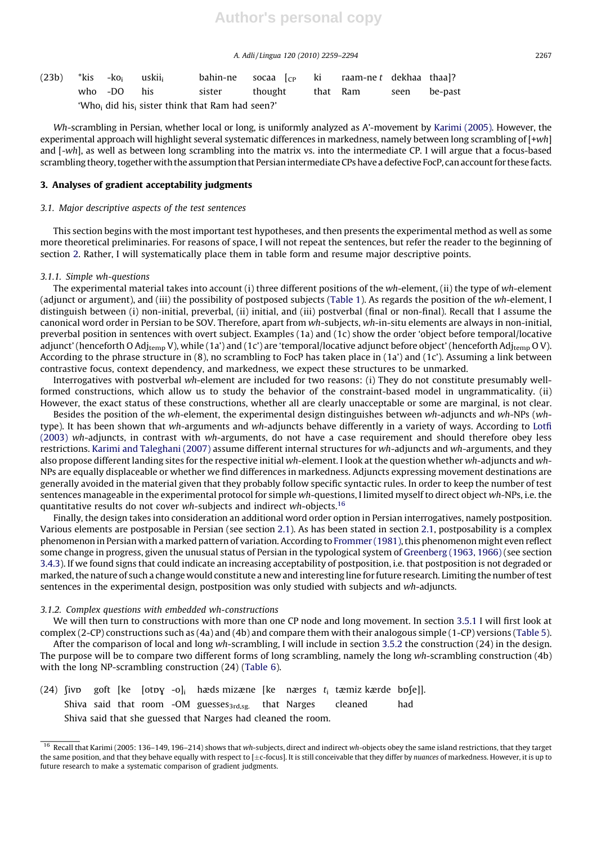| (23b) | *kis -ko:   | uskii                                                                   |        | bahin-ne socaa $\lceil_{CP}$ ki raam-net dekhaa thaa ? |          |      |         |
|-------|-------------|-------------------------------------------------------------------------|--------|--------------------------------------------------------|----------|------|---------|
|       | who -DO his |                                                                         | sister | thought                                                | that Ram | seen | be-past |
|       |             | 'Who <sub>i</sub> did his <sub>i</sub> sister think that Ram had seen?' |        |                                                        |          |      |         |

Wh-scrambling in Persian, whether local or long, is uniformly analyzed as A'-movement by Karimi (2005). However, the experimental approach will highlight several systematic differences in markedness, namely between long scrambling of [+wh] and [-wh], as well as between long scrambling into the matrix vs. into the intermediate CP. I will argue that a focus-based scrambling theory, together with the assumption that Persian intermediate CPs have a defective FocP, can account for these facts.

# 3. Analyses of gradient acceptability judgments

# 3.1. Major descriptive aspects of the test sentences

This section begins with the most important test hypotheses, and then presents the experimental method as well as some more theoretical preliminaries. For reasons of space, I will not repeat the sentences, but refer the reader to the beginning of section 2. Rather, I will systematically place them in table form and resume major descriptive points.

#### 3.1.1. Simple wh-questions

The experimental material takes into account (i) three different positions of the wh-element, (ii) the type of wh-element (adjunct or argument), and (iii) the possibility of postposed subjects (Table 1). As regards the position of the wh-element, I distinguish between (i) non-initial, preverbal, (ii) initial, and (iii) postverbal (final or non-final). Recall that I assume the canonical word order in Persian to be SOV. Therefore, apart from wh-subjects, wh-in-situ elements are always in non-initial, preverbal position in sentences with overt subject. Examples (1a) and (1c) show the order 'object before temporal/locative adjunct' (henceforth O Adj<sub>temp</sub> V), while (1a') and (1c') are 'temporal/locative adjunct before object' (henceforth Adj<sub>temp</sub> O V). According to the phrase structure in  $(8)$ , no scrambling to FocP has taken place in  $(1a')$  and  $(1c')$ . Assuming a link between contrastive focus, context dependency, and markedness, we expect these structures to be unmarked.

Interrogatives with postverbal wh-element are included for two reasons: (i) They do not constitute presumably wellformed constructions, which allow us to study the behavior of the constraint-based model in ungrammaticality. (ii) However, the exact status of these constructions, whether all are clearly unacceptable or some are marginal, is not clear.

Besides the position of the wh-element, the experimental design distinguishes between wh-adjuncts and wh-NPs (whtype). It has been shown that wh-arguments and wh-adjuncts behave differently in a variety of ways. According to Lotfi (2003) wh-adjuncts, in contrast with wh-arguments, do not have a case requirement and should therefore obey less restrictions. Karimi and Taleghani (2007) assume different internal structures for wh-adjuncts and wh-arguments, and they also propose different landing sites for the respective initial wh-element. I look at the question whether wh-adjuncts and wh-NPs are equally displaceable or whether we find differences in markedness. Adjuncts expressing movement destinations are generally avoided in the material given that they probably follow specific syntactic rules. In order to keep the number of test sentences manageable in the experimental protocol for simple wh-questions, I limited myself to direct object wh-NPs, i.e. the quantitative results do not cover wh-subjects and indirect wh-objects.<sup>16</sup>

Finally, the design takes into consideration an additional word order option in Persian interrogatives, namely postposition. Various elements are postposable in Persian (see section 2.1). As has been stated in section 2.1, postposability is a complex phenomenon in Persian with a marked pattern of variation. According to Frommer (1981), this phenomenon might even reflect some change in progress, given the unusual status of Persian in the typological system of Greenberg (1963, 1966) (see section 3.4.3). If we found signs that could indicate an increasing acceptability of postposition, i.e. that postposition is not degraded or marked, the nature of such a change would constitute a new and interesting line for future research. Limiting the number of test sentences in the experimental design, postposition was only studied with subjects and wh-adjuncts.

### 3.1.2. Complex questions with embedded wh-constructions

We will then turn to constructions with more than one CP node and long movement. In section 3.5.1 I will first look at complex (2-CP) constructions such as (4a) and (4b) and compare them with their analogous simple (1-CP) versions (Table 5).

After the comparison of local and long wh-scrambling, I will include in section 3.5.2 the construction (24) in the design. The purpose will be to compare two different forms of long scrambling, namely the long wh-scrambling construction (4b) with the long NP-scrambling construction (24) (Table 6).

(24)  $\int$ iv $\mathbf{v}$  goft [ke [ot $\mathbf{v}$  -o]<sub>i</sub> hæds mizæne [ke nærges  $t_i$  tæmiz kærde b $\mathbf{v}$ [e]]. Shiva said that room -OM guesses $_{3rd,sg.}$  that Narges cleaned had Shiva said that she guessed that Narges had cleaned the room.

<sup>&</sup>lt;sup>16</sup> Recall that Karimi (2005: 136-149, 196-214) shows that wh-subjects, direct and indirect wh-objects obey the same island restrictions, that they target the same position, and that they behave equally with respect to  $[\pm c$ -focus]. It is still conceivable that they differ by nuances of markedness. However, it is up to future research to make a systematic comparison of gradient judgments.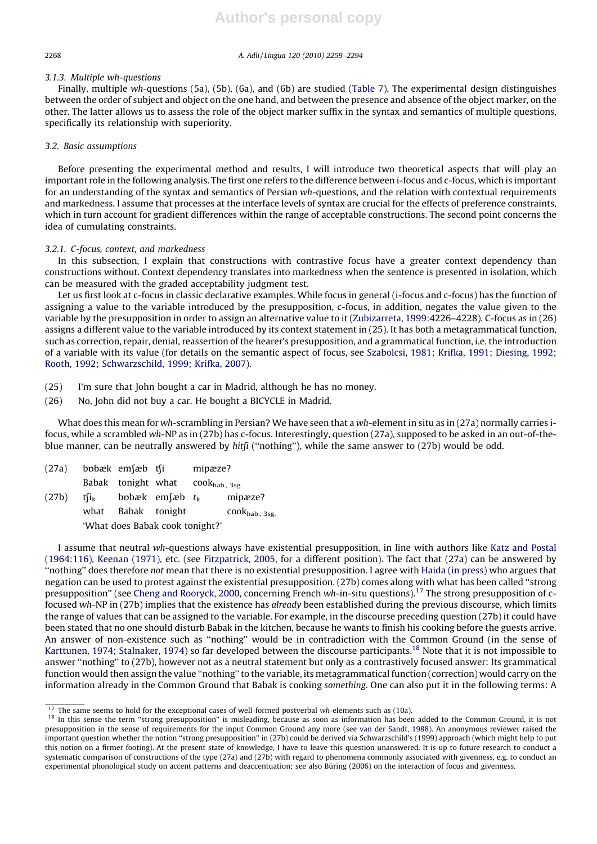#### 2268 A. Adli / Lingua 120 (2010) 2259–2294

### 3.1.3. Multiple wh-questions

Finally, multiple wh-questions (5a), (5b), (6a), and (6b) are studied (Table 7). The experimental design distinguishes between the order of subject and object on the one hand, and between the presence and absence of the object marker, on the other. The latter allows us to assess the role of the object marker suffix in the syntax and semantics of multiple questions, specifically its relationship with superiority.

# 3.2. Basic assumptions

Before presenting the experimental method and results, I will introduce two theoretical aspects that will play an important role in the following analysis. The first one refers to the difference between i-focus and c-focus, which is important for an understanding of the syntax and semantics of Persian wh-questions, and the relation with contextual requirements and markedness. I assume that processes at the interface levels of syntax are crucial for the effects of preference constraints, which in turn account for gradient differences within the range of acceptable constructions. The second point concerns the idea of cumulating constraints.

# 3.2.1. C-focus, context, and markedness

In this subsection, I explain that constructions with contrastive focus have a greater context dependency than constructions without. Context dependency translates into markedness when the sentence is presented in isolation, which can be measured with the graded acceptability judgment test.

Let us first look at c-focus in classic declarative examples. While focus in general (i-focus and c-focus) has the function of assigning a value to the variable introduced by the presupposition, c-focus, in addition, negates the value given to the variable by the presupposition in order to assign an alternative value to it (Zubizarreta, 1999:4226–4228). C-focus as in (26) assigns a different value to the variable introduced by its context statement in (25). It has both a metagrammatical function, such as correction, repair, denial, reassertion of the hearer's presupposition, and a grammatical function, i.e. the introduction of a variable with its value (for details on the semantic aspect of focus, see Szabolcsi, 1981; Krifka, 1991; Diesing, 1992; Rooth, 1992; Schwarzschild, 1999; Krifka, 2007).

- (25) I'm sure that John bought a car in Madrid, although he has no money.
- (26) No, John did not buy a car. He bought a BICYCLE in Madrid.

What does this mean for wh-scrambling in Persian? We have seen that a wh-element in situ as in (27a) normally carries ifocus, while a scrambled wh-NP as in (27b) has c-focus. Interestingly, question (27a), supposed to be asked in an out-of-theblue manner, can be neutrally answered by hitfi ("nothing"), while the same answer to (27b) would be odd.

| (27a) |                                 | bobæk emfæb tfi    |                                   | mipæze? |                |  |
|-------|---------------------------------|--------------------|-----------------------------------|---------|----------------|--|
|       |                                 |                    | Babak tonight what cookhab., 3sg. |         |                |  |
| (27b) | $t[i_k]$                        |                    | bpbæk em $\{$ æb $t_{k}$          |         | mipæze?        |  |
|       |                                 | what Babak tonight |                                   |         | COOKhab., 3sg. |  |
|       | 'What does Babak cook tonight?' |                    |                                   |         |                |  |

I assume that neutral wh-questions always have existential presupposition, in line with authors like Katz and Postal (1964:116), Keenan (1971), etc. (see Fitzpatrick, 2005, for a different position). The fact that (27a) can be answered by ''nothing'' does therefore not mean that there is no existential presupposition. I agree with Haida (in press) who argues that negation can be used to protest against the existential presupposition. (27b) comes along with what has been called ''strong presupposition" (see Cheng and Rooryck, 2000, concerning French wh-in-situ questions).<sup>17</sup> The strong presupposition of cfocused wh-NP in (27b) implies that the existence has already been established during the previous discourse, which limits the range of values that can be assigned to the variable. For example, in the discourse preceding question (27b) it could have been stated that no one should disturb Babak in the kitchen, because he wants to finish his cooking before the guests arrive. An answer of non-existence such as ''nothing'' would be in contradiction with the Common Ground (in the sense of Karttunen, 1974; Stalnaker, 1974) so far developed between the discourse participants.<sup>18</sup> Note that it is not impossible to answer ''nothing'' to (27b), however not as a neutral statement but only as a contrastively focused answer: Its grammatical function would then assign the value ''nothing'' to the variable, its metagrammatical function (correction) would carry on the information already in the Common Ground that Babak is cooking something. One can also put it in the following terms: A

 $\frac{17}{15}$  The same seems to hold for the exceptional cases of well-formed postverbal wh-elements such as (10a).<br><sup>18</sup> In this sense the term "strong presupposition" is misleading, because as soon as information has been presupposition in the sense of requirements for the input Common Ground any more (see van der Sandt, 1988). An anonymous reviewer raised the important question whether the notion ''strong presupposition'' in (27b) could be derived via Schwarzschild's (1999) approach (which might help to put this notion on a firmer footing). At the present state of knowledge, I have to leave this question unanswered. It is up to future research to conduct a systematic comparison of constructions of the type (27a) and (27b) with regard to phenomena commonly associated with givenness, e.g. to conduct an experimental phonological study on accent patterns and deaccentuation; see also Büring (2006) on the interaction of focus and givenness.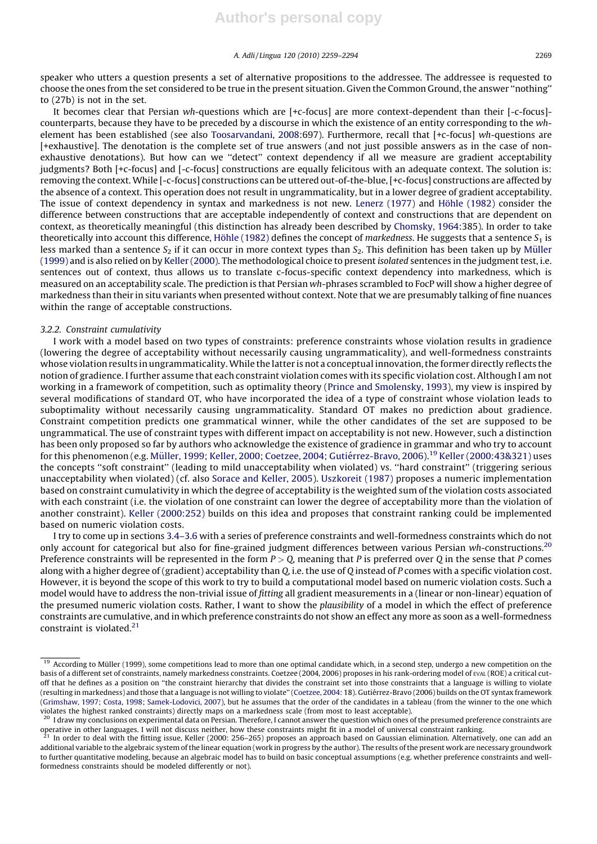speaker who utters a question presents a set of alternative propositions to the addressee. The addressee is requested to choose the ones from the set considered to be true in the present situation. Given the Common Ground, the answer ''nothing'' to (27b) is not in the set.

It becomes clear that Persian wh-questions which are [+c-focus] are more context-dependent than their [-c-focus] counterparts, because they have to be preceded by a discourse in which the existence of an entity corresponding to the whelement has been established (see also Toosarvandani, 2008:697). Furthermore, recall that [+c-focus] wh-questions are [+exhaustive]. The denotation is the complete set of true answers (and not just possible answers as in the case of nonexhaustive denotations). But how can we ''detect'' context dependency if all we measure are gradient acceptability judgments? Both [+c-focus] and [-c-focus] constructions are equally felicitous with an adequate context. The solution is: removing the context. While [-c-focus] constructions can be uttered out-of-the-blue, [+c-focus] constructions are affected by the absence of a context. This operation does not result in ungrammaticality, but in a lower degree of gradient acceptability. The issue of context dependency in syntax and markedness is not new. Lenerz (1977) and Höhle (1982) consider the difference between constructions that are acceptable independently of context and constructions that are dependent on context, as theoretically meaningful (this distinction has already been described by Chomsky, 1964:385). In order to take theoretically into account this difference, Höhle (1982) defines the concept of markedness. He suggests that a sentence  $S_1$  is less marked than a sentence  $S_2$  if it can occur in more context types than  $S_2$ . This definition has been taken up by Müller (1999) and is also relied on by Keller (2000). The methodological choice to present isolated sentences in the judgment test, i.e. sentences out of context, thus allows us to translate c-focus-specific context dependency into markedness, which is measured on an acceptability scale. The prediction is that Persian wh-phrases scrambled to FocP will show a higher degree of markedness than their in situ variants when presented without context. Note that we are presumably talking of fine nuances within the range of acceptable constructions.

### 3.2.2. Constraint cumulativity

I work with a model based on two types of constraints: preference constraints whose violation results in gradience (lowering the degree of acceptability without necessarily causing ungrammaticality), and well-formedness constraints whose violation results in ungrammaticality.While the latter is not a conceptual innovation, the former directly reflects the notion of gradience. I further assume that each constraint violation comes with its specific violation cost. Although I am not working in a framework of competition, such as optimality theory (Prince and Smolensky, 1993), my view is inspired by several modifications of standard OT, who have incorporated the idea of a type of constraint whose violation leads to suboptimality without necessarily causing ungrammaticality. Standard OT makes no prediction about gradience. Constraint competition predicts one grammatical winner, while the other candidates of the set are supposed to be ungrammatical. The use of constraint types with different impact on acceptability is not new. However, such a distinction has been only proposed so far by authors who acknowledge the existence of gradience in grammar and who try to account for this phenomenon (e.g. Müller, 1999; Keller, 2000; Coetzee, 2004; Gutiérrez-Bravo, 2006).<sup>19</sup> Keller (2000:43&321) uses the concepts ''soft constraint'' (leading to mild unacceptability when violated) vs. ''hard constraint'' (triggering serious unacceptability when violated) (cf. also Sorace and Keller, 2005). Uszkoreit (1987) proposes a numeric implementation based on constraint cumulativity in which the degree of acceptability is the weighted sum of the violation costs associated with each constraint (i.e. the violation of one constraint can lower the degree of acceptability more than the violation of another constraint). Keller (2000:252) builds on this idea and proposes that constraint ranking could be implemented based on numeric violation costs.

I try to come up in sections 3.4–3.6 with a series of preference constraints and well-formedness constraints which do not only account for categorical but also for fine-grained judgment differences between various Persian wh-constructions.<sup>20</sup> Preference constraints will be represented in the form  $P > Q$ , meaning that P is preferred over Q in the sense that P comes along with a higher degree of (gradient) acceptability than  $Q$ , i.e. the use of Q instead of P comes with a specific violation cost. However, it is beyond the scope of this work to try to build a computational model based on numeric violation costs. Such a model would have to address the non-trivial issue of fitting all gradient measurements in a (linear or non-linear) equation of the presumed numeric violation costs. Rather, I want to show the plausibility of a model in which the effect of preference constraints are cumulative, and in which preference constraints do not show an effect any more as soon as a well-formedness constraint is violated. $21$ 

<sup>&</sup>lt;sup>19</sup> According to Müller (1999), some competitions lead to more than one optimal candidate which, in a second step, undergo a new competition on the basis of a different set of constraints, namely markedness constraints. Coetzee (2004, 2006) proposes in his rank-ordering model of EVAL (ROE) a critical cutoff that he defines as a position on ''the constraint hierarchy that divides the constraint set into those constraints that a language is willing to violate (resulting in markedness) and those that a language is not willing to violate" (Coetzee, 2004: 18). Gutiérrez-Bravo (2006) builds on the OT syntax framework (Grimshaw, 1997; Costa, 1998; Samek-Lodovici, 2007), but he assumes that the order of the candidates in a tableau (from the winner to the one which violates the highest ranked constraints) directly maps on a markedness scale (from most to least acceptable).

I draw my conclusions on experimental data on Persian. Therefore, I cannot answer the question which ones of the presumed preference constraints are operative in other languages. I will not discuss neither, how these constraints might fit in a model of universal constraint ranking.<br><sup>21</sup> In order to deal with the fitting issue, Keller (2000: 256–265) proposes an approac

additional variable to the algebraic system of the linear equation (work in progress by the author). The results of the present work are necessary groundwork to further quantitative modeling, because an algebraic model has to build on basic conceptual assumptions (e.g. whether preference constraints and wellformedness constraints should be modeled differently or not).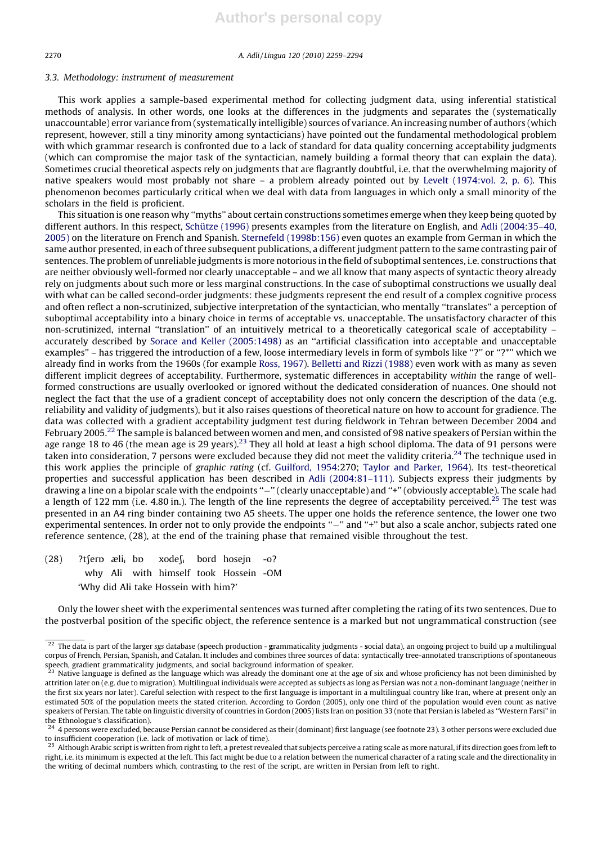#### 2270 A. Adli / Lingua 120 (2010) 2259–2294

#### 3.3. Methodology: instrument of measurement

This work applies a sample-based experimental method for collecting judgment data, using inferential statistical methods of analysis. In other words, one looks at the differences in the judgments and separates the (systematically unaccountable) error variance from (systematically intelligible) sources of variance. An increasing number of authors (which represent, however, still a tiny minority among syntacticians) have pointed out the fundamental methodological problem with which grammar research is confronted due to a lack of standard for data quality concerning acceptability judgments (which can compromise the major task of the syntactician, namely building a formal theory that can explain the data). Sometimes crucial theoretical aspects rely on judgments that are flagrantly doubtful, i.e. that the overwhelming majority of native speakers would most probably not share – a problem already pointed out by Levelt (1974:vol. 2, p. 6). This phenomenon becomes particularly critical when we deal with data from languages in which only a small minority of the scholars in the field is proficient.

This situation is one reason why ''myths'' about certain constructions sometimes emerge when they keep being quoted by different authors. In this respect, Schütze (1996) presents examples from the literature on English, and Adli (2004:35–40, 2005) on the literature on French and Spanish. Sternefeld (1998b:156) even quotes an example from German in which the same author presented, in each of three subsequent publications, a different judgment pattern to the same contrasting pair of sentences. The problem of unreliable judgments is more notorious in the field of suboptimal sentences, i.e. constructions that are neither obviously well-formed nor clearly unacceptable – and we all know that many aspects of syntactic theory already rely on judgments about such more or less marginal constructions. In the case of suboptimal constructions we usually deal with what can be called second-order judgments: these judgments represent the end result of a complex cognitive process and often reflect a non-scrutinized, subjective interpretation of the syntactician, who mentally ''translates'' a perception of suboptimal acceptability into a binary choice in terms of acceptable vs. unacceptable. The unsatisfactory character of this non-scrutinized, internal ''translation'' of an intuitively metrical to a theoretically categorical scale of acceptability – accurately described by Sorace and Keller (2005:1498) as an ''artificial classification into acceptable and unacceptable examples" – has triggered the introduction of a few, loose intermediary levels in form of symbols like "?" or "?\*" which we already find in works from the 1960s (for example Ross, 1967). Belletti and Rizzi (1988) even work with as many as seven different implicit degrees of acceptability. Furthermore, systematic differences in acceptability within the range of wellformed constructions are usually overlooked or ignored without the dedicated consideration of nuances. One should not neglect the fact that the use of a gradient concept of acceptability does not only concern the description of the data (e.g. reliability and validity of judgments), but it also raises questions of theoretical nature on how to account for gradience. The data was collected with a gradient acceptability judgment test during fieldwork in Tehran between December 2004 and February 2005.<sup>22</sup> The sample is balanced between women and men, and consisted of 98 native speakers of Persian within the age range 18 to 46 (the mean age is 29 years).<sup>23</sup> They all hold at least a high school diploma. The data of 91 persons were taken into consideration, 7 persons were excluded because they did not meet the validity criteria.<sup>24</sup> The technique used in this work applies the principle of graphic rating (cf. Guilford, 1954:270; Taylor and Parker, 1964). Its test-theoretical properties and successful application has been described in Adli (2004:81–111). Subjects express their judgments by drawing a line on a bipolar scale with the endpoints "-" (clearly unacceptable) and "+" (obviously acceptable). The scale had a length of 122 mm (i.e. 4.80 in.). The length of the line represents the degree of acceptability perceived.<sup>25</sup> The test was presented in an A4 ring binder containing two A5 sheets. The upper one holds the reference sentence, the lower one two experimental sentences. In order not to only provide the endpoints "-" and "+" but also a scale anchor, subjects rated one reference sentence, (28), at the end of the training phase that remained visible throughout the test.

(28) ?t $[$ er $\sigma$  æli<sub>i</sub> b $\sigma$  xode $\int$ <sub>i</sub> bord hosejn -o? why Ali with himself took Hossein -OM 'Why did Ali take Hossein with him?'

Only the lower sheet with the experimental sentences was turned after completing the rating of its two sentences. Due to the postverbal position of the specific object, the reference sentence is a marked but not ungrammatical construction (see

 $\frac{1}{22}$  The data is part of the larger sgs database (speech production - grammaticality judgments - social data), an ongoing project to build up a multilingual corpus of French, Persian, Spanish, and Catalan. It includes and combines three sources of data: syntactically tree-annotated transcriptions of spontaneous speech, gradient grammaticality judgments, and social background information of speaker.

<sup>23</sup> Native language is defined as the language which was already the dominant one at the age of six and whose proficiency has not been diminished by attrition later on (e.g. due to migration). Multilingual individuals were accepted as subjects as long as Persian was not a non-dominant language (neither in the first six years nor later). Careful selection with respect to the first language is important in a multilingual country like Iran, where at present only an estimated 50% of the population meets the stated criterion. According to Gordon (2005), only one third of the population would even count as native speakers of Persian. The table on linguistic diversity of countries in Gordon (2005) lists Iran on position 33 (note that Persian is labeled as ''Western Farsi'' in the Ethnologue's classification).

<sup>&</sup>lt;sup>24</sup> 4 persons were excluded, because Persian cannot be considered as their (dominant) first language (see footnote 23). 3 other persons were excluded due to insufficient cooperation (i.e. lack of motivation or lack of time).<br><sup>25</sup> Although Arabic script is written from right to left, a pretest revealed that subjects perceive a rating scale as more natural, if its direction g

right, i.e. its minimum is expected at the left. This fact might be due to a relation between the numerical character of a rating scale and the directionality in the writing of decimal numbers which, contrasting to the rest of the script, are written in Persian from left to right.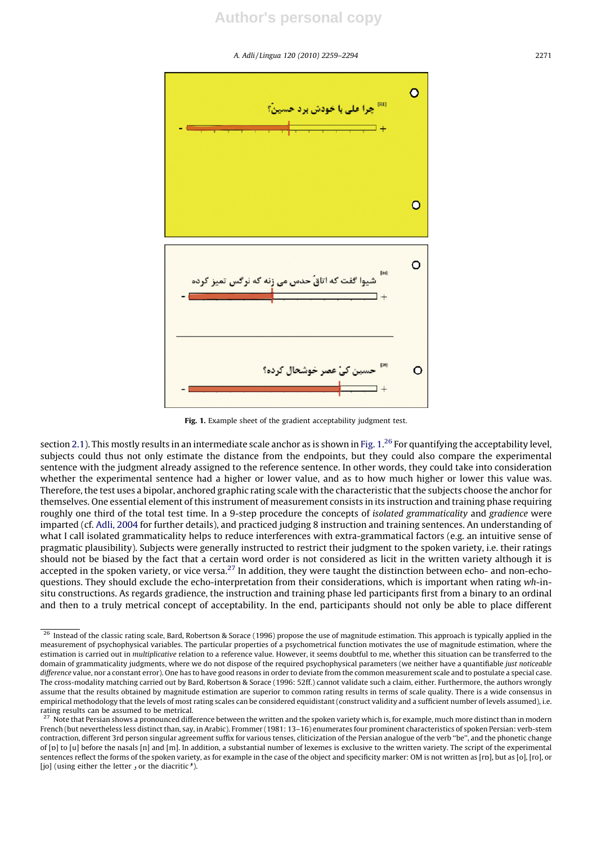

Fig. 1. Example sheet of the gradient acceptability judgment test.

section 2.1). This mostly results in an intermediate scale anchor as is shown in Fig. 1. $^{26}$  For quantifying the acceptability level, subjects could thus not only estimate the distance from the endpoints, but they could also compare the experimental sentence with the judgment already assigned to the reference sentence. In other words, they could take into consideration whether the experimental sentence had a higher or lower value, and as to how much higher or lower this value was. Therefore, the test uses a bipolar, anchored graphic rating scale with the characteristic that the subjects choose the anchor for themselves. One essential element of this instrument of measurement consists in its instruction and training phase requiring roughly one third of the total test time. In a 9-step procedure the concepts of isolated grammaticality and gradience were imparted (cf. Adli, 2004 for further details), and practiced judging 8 instruction and training sentences. An understanding of what I call isolated grammaticality helps to reduce interferences with extra-grammatical factors (e.g. an intuitive sense of pragmatic plausibility). Subjects were generally instructed to restrict their judgment to the spoken variety, i.e. their ratings should not be biased by the fact that a certain word order is not considered as licit in the written variety although it is accepted in the spoken variety, or vice versa.<sup>27</sup> In addition, they were taught the distinction between echo- and non-echoquestions. They should exclude the echo-interpretation from their considerations, which is important when rating wh-insitu constructions. As regards gradience, the instruction and training phase led participants first from a binary to an ordinal and then to a truly metrical concept of acceptability. In the end, participants should not only be able to place different

 $\frac{1}{26}$  Instead of the classic rating scale, Bard, Robertson & Sorace (1996) propose the use of magnitude estimation. This approach is typically applied in the measurement of psychophysical variables. The particular properties of a psychometrical function motivates the use of magnitude estimation, where the estimation is carried out in multiplicative relation to a reference value. However, it seems doubtful to me, whether this situation can be transferred to the domain of grammaticality judgments, where we do not dispose of the required psychophysical parameters (we neither have a quantifiable just noticeable difference value, nor a constant error). One has to have good reasons in order to deviate from the common measurement scale and to postulate a special case. The cross-modality matching carried out by Bard, Robertson & Sorace (1996: 52ff.) cannot validate such a claim, either. Furthermore, the authors wrongly assume that the results obtained by magnitude estimation are superior to common rating results in terms of scale quality. There is a wide consensus in empirical methodology that the levels of most rating scales can be considered equidistant (construct validity and a sufficient number of levels assumed), i.e. rating results can be assumed to be metrical.<br><sup>27</sup> Note that Persian shows a pronounced difference between the written and the spoken variety which is, for example, much more distinct than in modern

French (but nevertheless less distinct than, say, in Arabic). Frommer (1981: 13–16) enumerates four prominent characteristics of spoken Persian: verb-stem contraction, different 3rd person singular agreement suffix for various tenses, cliticization of the Persian analogue of the verb ''be'', and the phonetic change of [ɒ] to [u] before the nasals [n] and [m]. In addition, a substantial number of lexemes is exclusive to the written variety. The script of the experimental sentences reflect the forms of the spoken variety, as for example in the case of the object and specificity marker: OM is not written as [rɒ], but as [o], [ro], or  $[$ io] (using either the letter  $\iota$  or the diacritic  $\iota$ <sup>3</sup>).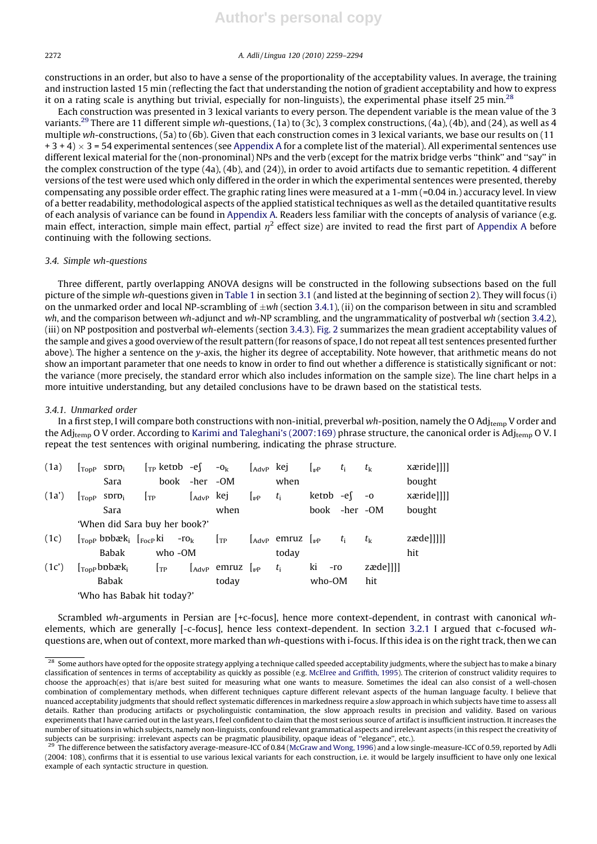constructions in an order, but also to have a sense of the proportionality of the acceptability values. In average, the training and instruction lasted 15 min (reflecting the fact that understanding the notion of gradient acceptability and how to express it on a rating scale is anything but trivial, especially for non-linguists), the experimental phase itself 25 min.<sup>28</sup>

Each construction was presented in 3 lexical variants to every person. The dependent variable is the mean value of the 3 variants.<sup>29</sup> There are 11 different simple wh-questions, (1a) to (3c), 3 complex constructions, (4a), (4b), and (24), as well as 4 multiple wh-constructions, (5a) to (6b). Given that each construction comes in 3 lexical variants, we base our results on (11  $+3 + 4$ )  $\times$  3 = 54 experimental sentences (see Appendix A for a complete list of the material). All experimental sentences use different lexical material for the (non-pronominal) NPs and the verb (except for the matrix bridge verbs "think" and "say" in the complex construction of the type (4a), (4b), and (24)), in order to avoid artifacts due to semantic repetition. 4 different versions of the test were used which only differed in the order in which the experimental sentences were presented, thereby compensating any possible order effect. The graphic rating lines were measured at a 1-mm (=0.04 in.) accuracy level. In view of a better readability, methodological aspects of the applied statistical techniques as well as the detailed quantitative results of each analysis of variance can be found in Appendix A. Readers less familiar with the concepts of analysis of variance (e.g. main effect, interaction, simple main effect, partial  $\eta^2$  effect size) are invited to read the first part of Appendix A before continuing with the following sections.

# 3.4. Simple wh-questions

Three different, partly overlapping ANOVA designs will be constructed in the following subsections based on the full picture of the simple wh-questions given in Table 1 in section 3.1 (and listed at the beginning of section 2). They will focus (i) on the unmarked order and local NP-scrambling of  $\pm wh$  (section 3.4.1), (ii) on the comparison between in situ and scrambled wh, and the comparison between wh-adjunct and wh-NP scrambling, and the ungrammaticality of postverbal wh (section 3.4.2), (iii) on NP postposition and postverbal wh-elements (section 3.4.3). Fig. 2 summarizes the mean gradient acceptability values of the sample and gives a good overview of the result pattern (for reasons of space, I do not repeat all test sentences presented further above). The higher a sentence on the y-axis, the higher its degree of acceptability. Note however, that arithmetic means do not show an important parameter that one needs to know in order to find out whether a difference is statistically significant or not: the variance (more precisely, the standard error which also includes information on the sample size). The line chart helps in a more intuitive understanding, but any detailed conclusions have to be drawn based on the statistical tests.

# 3.4.1. Unmarked order

In a first step, I will compare both constructions with non-initial, preverbal wh-position, namely the O Adj<sub>temp</sub> V order and the Adj<sub>temp</sub> O V order. According to Karimi and Taleghani's (2007:169) phrase structure, the canonical order is Adj<sub>temp</sub> O V. I repeat the test sentences with original numbering, indicating the phrase structure.

| (1a)  | $\begin{bmatrix} TopP & SDTD_i \end{bmatrix}$                               | $[\text{TP} \text{ ketpb } -e]$                                                                                                                                                   |                       | $-Ok$                                                                          | $[$ AdvP $\,$ kej |                                                                                      | $ _{vP}$       | $t_i$ | $t_{\rm k}$ | xæride]]] |
|-------|-----------------------------------------------------------------------------|-----------------------------------------------------------------------------------------------------------------------------------------------------------------------------------|-----------------------|--------------------------------------------------------------------------------|-------------------|--------------------------------------------------------------------------------------|----------------|-------|-------------|-----------|
|       | Sara                                                                        |                                                                                                                                                                                   | book -her -OM         |                                                                                |                   | when                                                                                 |                |       |             | bought    |
| (1a') | $_{TopP}$ SDPD <sub>i</sub>                                                 | $ _{TP} $                                                                                                                                                                         | $[_{\text{AdvP}}$ kej |                                                                                | $ _{v\text{P}}$   | $t_i$                                                                                | $ketpb -ef -o$ |       |             | xæride]]] |
|       | Sara                                                                        |                                                                                                                                                                                   |                       | when                                                                           |                   |                                                                                      | book -her -OM  |       |             | bought    |
|       |                                                                             | 'When did Sara buy her book?'                                                                                                                                                     |                       |                                                                                |                   |                                                                                      |                |       |             |           |
| (1c)  |                                                                             | $\begin{bmatrix} T_{\text{opp}} & \text{b} \text{b} \text{b} \text{c} \text{c} \text{k} \end{bmatrix}$ $\begin{bmatrix} F_{\text{ocP}} & \text{k} \end{bmatrix}$ -ro <sub>k</sub> |                       | $1$ <sub>TP</sub>                                                              |                   | $\begin{bmatrix} A \text{dvP} \end{bmatrix}$ emruz $\begin{bmatrix} v \end{bmatrix}$ |                | $t_i$ | $t_{\rm k}$ | zæde]]]]] |
|       | Babak                                                                       | who -OM                                                                                                                                                                           |                       |                                                                                |                   | today                                                                                |                |       |             | hit       |
| (1c') | $\left[\begin{smallmatrix} 1 & 0 & 0 \\ 0 & 0 & 0 \end{smallmatrix}\right]$ | $[\text{TP}$                                                                                                                                                                      |                       | $\begin{bmatrix} A \text{d} v P & P \text{m} \text{T} u Z & v P \end{bmatrix}$ |                   | $t_i$                                                                                | ki -ro         |       | zæde]]]     |           |
|       | <b>Babak</b>                                                                |                                                                                                                                                                                   |                       | today                                                                          |                   |                                                                                      | who-OM         |       | hit         |           |
|       |                                                                             | 'Who has Babak hit today?'                                                                                                                                                        |                       |                                                                                |                   |                                                                                      |                |       |             |           |

Scrambled wh-arguments in Persian are [+c-focus], hence more context-dependent, in contrast with canonical whelements, which are generally [-c-focus], hence less context-dependent. In section 3.2.1 I argued that c-focused whquestions are, when out of context, more marked than wh-questions with i-focus. If this idea is on the right track, then we can

 $\overline{a^2}$  Some authors have opted for the opposite strategy applying a technique called speeded acceptability judgments, where the subject has to make a binary classification of sentences in terms of acceptability as quickly as possible (e.g. McElree and Griffith, 1995). The criterion of construct validity requires to choose the approach(es) that is/are best suited for measuring what one wants to measure. Sometimes the ideal can also consist of a well-chosen combination of complementary methods, when different techniques capture different relevant aspects of the human language faculty. I believe that nuanced acceptability judgments that should reflect systematic differences in markedness require a slow approach in which subjects have time to assess all details. Rather than producing artifacts or psycholinguistic contamination, the slow approach results in precision and validity. Based on various experiments that I have carried out in the last years, I feel confident to claim that the most serious source of artifact is insufficient instruction. It increases the number of situations in which subjects, namely non-linguists, confound relevant grammatical aspects and irrelevant aspects (in this respect the creativity of subjects can be surprising: irrelevant aspects can be pragmatic plausibility, opaque ideas of ''elegance'', etc.).

<sup>29</sup> The difference between the satisfactory average-measure-ICC of 0.84 (McGraw and Wong, 1996) and a low single-measure-ICC of 0.59, reported by Adli (2004: 108), confirms that it is essential to use various lexical variants for each construction, i.e. it would be largely insufficient to have only one lexical example of each syntactic structure in question.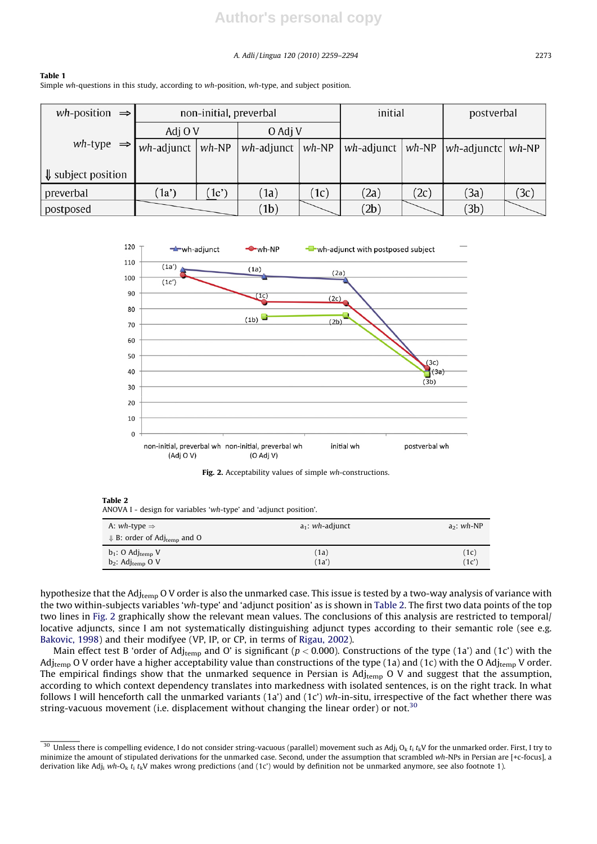#### A. Adli / Lingua 120 (2010) 2259–2294 2273

### Table 1 Simple wh-questions in this study, according to wh-position, wh-type, and subject position.

| $wh$ -position $\Rightarrow$  |               |                     | non-initial, preverbal | initial |                              |      | postverbal                         |     |
|-------------------------------|---------------|---------------------|------------------------|---------|------------------------------|------|------------------------------------|-----|
|                               | Adj O V       |                     | O Adj V                |         |                              |      |                                    |     |
| $wh$ -type $\Rightarrow$      | $wh$ -adjunct | $wh-NP$             | wh-adjunct             | $wh-NP$ | $wh$ -adjunct $\vert wh$ -NP |      | $ wh\text{-}adjunctc wh\text{-}NP$ |     |
|                               |               |                     |                        |         |                              |      |                                    |     |
| $\downarrow$ subject position |               |                     |                        |         |                              |      |                                    |     |
| preverbal                     | '1a'          | $1c$ <sup>'</sup> ) | (1a)                   | 1c)     | (2a)                         | (2c) | (3a)                               | 3c) |
| postposed                     |               |                     | (b)                    |         | (2b)                         |      | (3b)                               |     |





Table 2 ANOVA I - design for variables 'wh-type' and 'adjunct position'.

| A: <i>wh</i> -type $\Rightarrow$<br>$\Downarrow$ B: order of Adj <sub>temp</sub> and O | $a_1$ : wh-adjunct | $a_2$ : $wh$ -NP |
|----------------------------------------------------------------------------------------|--------------------|------------------|
| $b_1$ : O Adj <sub>temp</sub> V                                                        | (1a)               | (1c)             |
| $b_2$ : Adj <sub>temp</sub> O V                                                        | (1a')              | (1c')            |

hypothesize that the Adj<sub>temp</sub> O V order is also the unmarked case. This issue is tested by a two-way analysis of variance with the two within-subjects variables 'wh-type' and 'adjunct position' as is shown in Table 2. The first two data points of the top two lines in Fig. 2 graphically show the relevant mean values. The conclusions of this analysis are restricted to temporal/ locative adjuncts, since I am not systematically distinguishing adjunct types according to their semantic role (see e.g. Bakovic, 1998) and their modifyee (VP, IP, or CP, in terms of Rigau, 2002).

Main effect test B 'order of Adj<sub>temp</sub> and O' is significant ( $p < 0.000$ ). Constructions of the type (1a') and (1c') with the Adj<sub>temp</sub> O V order have a higher acceptability value than constructions of the type (1a) and (1c) with the O Adj<sub>temp</sub> V order. The empirical findings show that the unmarked sequence in Persian is Adj<sub>temp</sub> O V and suggest that the assumption, according to which context dependency translates into markedness with isolated sentences, is on the right track. In what follows I will henceforth call the unmarked variants (1a') and (1c') wh-in-situ, irrespective of the fact whether there was string-vacuous movement (i.e. displacement without changing the linear order) or not.<sup>30</sup>

 $\frac{30}{30}$  Unless there is compelling evidence, I do not consider string-vacuous (parallel) movement such as Adj<sub>i</sub> O<sub>k</sub> t<sub>i</sub> t<sub>k</sub>V for the unmarked order. First, I try to minimize the amount of stipulated derivations for the unmarked case. Second, under the assumption that scrambled wh-NPs in Persian are [+c-focus], a derivation like Adj<sub>i</sub> wh-O<sub>k</sub> t<sub>i</sub> t<sub>k</sub>V makes wrong predictions (and (1c') would by definition not be unmarked anymore, see also footnote 1).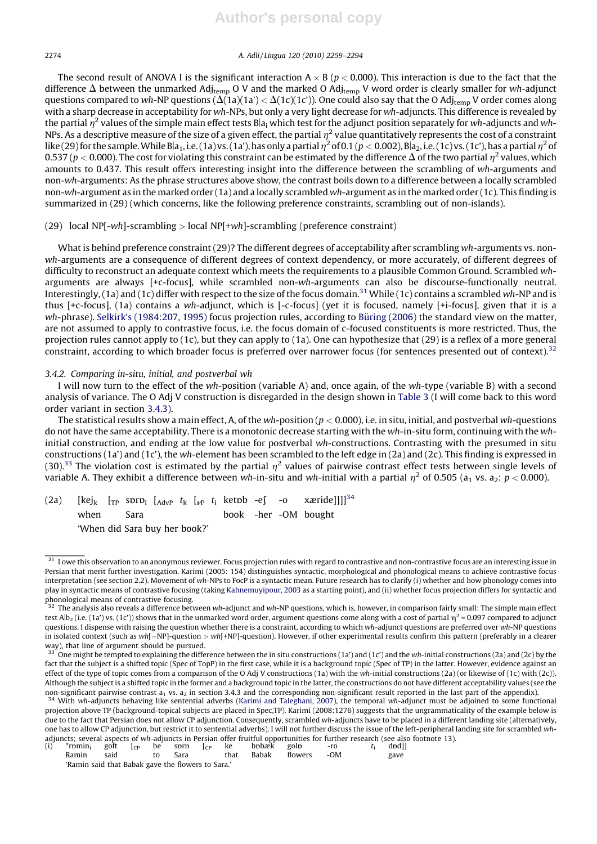The second result of ANOVA I is the significant interaction  $A \times B$  ( $p < 0.000$ ). This interaction is due to the fact that the difference  $\Delta$  between the unmarked Adj<sub>temp</sub> O V and the marked O Adj<sub>temp</sub> V word order is clearly smaller for wh-adjunct questions compared to wh-NP questions  $(\Delta(1a)(1a') < \Delta(1c)(1c')$ ). One could also say that the O Adj<sub>temp</sub> V order comes along with a sharp decrease in acceptability for wh-NPs, but only a very light decrease for wh-adjuncts. This difference is revealed by the partial  $\eta^2$  values of the simple main effect tests B|a<sub>i</sub> which test for the adjunct position separately for wh-adjuncts and wh-NPs. As a descriptive measure of the size of a given effect, the partial  $\eta^2$  value quantitatively represents the cost of a constraint like (29) for the sample. While B $|a_1$ , i.e. (1a) vs. (1a'), has only a partial  $\eta^2$  of 0.1 (p < 0.002), B $|a_2$ , i.e. (1c) vs. (1c'), has a partial  $\eta^2$  of 0.537 ( $p < 0.000$ ). The cost for violating this constraint can be estimated by the difference  $\Delta$  of the two partial  $\eta^2$  values, which amounts to 0.437. This result offers interesting insight into the difference between the scrambling of wh-arguments and non-wh-arguments: As the phrase structures above show, the contrast boils down to a difference between a locally scrambled non-wh-argument as in the marked order (1a) and a locally scrambled wh-argument as in the marked order (1c). This finding is summarized in (29) (which concerns, like the following preference constraints, scrambling out of non-islands).

# (29) local NP[-wh]-scrambling > local NP[+wh]-scrambling (preference constraint)

What is behind preference constraint (29)? The different degrees of acceptability after scrambling wh-arguments vs. nonwh-arguments are a consequence of different degrees of context dependency, or more accurately, of different degrees of difficulty to reconstruct an adequate context which meets the requirements to a plausible Common Ground. Scrambled wharguments are always [+c-focus], while scrambled non-wh-arguments can also be discourse-functionally neutral. Interestingly, (1a) and (1c) differ with respect to the size of the focus domain.<sup>31</sup> While (1c) contains a scrambled wh-NP and is thus [+c-focus], (1a) contains a wh-adjunct, which is [-c-focus] (yet it is focused, namely [+i-focus], given that it is a  $wh$ -phrase). Selkirk's (1984:207, 1995) focus projection rules, according to Büring (2006) the standard view on the matter, are not assumed to apply to contrastive focus, i.e. the focus domain of c-focused constituents is more restricted. Thus, the projection rules cannot apply to (1c), but they can apply to (1a). One can hypothesize that (29) is a reflex of a more general constraint, according to which broader focus is preferred over narrower focus (for sentences presented out of context).<sup>32</sup>

# 3.4.2. Comparing in-situ, initial, and postverbal wh

I will now turn to the effect of the wh-position (variable A) and, once again, of the wh-type (variable B) with a second analysis of variance. The O Adj V construction is disregarded in the design shown in Table 3 (I will come back to this word order variant in section 3.4.3).

The statistical results show a main effect, A, of the wh-position ( $p < 0.000$ ), i.e. in situ, initial, and postverbal wh-questions do not have the same acceptability. There is a monotonic decrease starting with the wh-in-situ form, continuing with the whinitial construction, and ending at the low value for postverbal wh-constructions. Contrasting with the presumed in situ constructions (1a') and (1c'), the wh-element has been scrambled to the left edge in (2a) and (2c). This finding is expressed in (30).<sup>33</sup> The violation cost is estimated by the partial  $\eta^2$  values of pairwise contrast effect tests between single levels of variable A. They exhibit a difference between wh-in-situ and wh-initial with a partial  $\eta^2$  of 0.505 (a<sub>1</sub> vs. a<sub>2</sub>: p < 0.000).

(2a) [kej<sub>k</sub> [<sub>TP</sub> sprp<sub>i</sub> [<sub>AdvP</sub> t<sub>k</sub> [<sub>vP</sub> t<sub>i</sub> ketpb -ef -o xæride]]]<sup>34</sup> when Sara **book** -her -OM bought 'When did Sara buy her book?'

non-significant pairwise contrast  $a_1$  vs.  $a_2$  in section 3.4.3 and the corresponding non-significant result reported in the last part of the appendix).<br><sup>34</sup> With wh-adjuncts behaving like sentential adverbs (Karimi an projection above TP (background-topical subjects are placed in Spec,TP). Karimi (2008:1276) suggests that the ungrammaticality of the example below is due to the fact that Persian does not allow CP adjunction. Consequently, scrambled wh-adjuncts have to be placed in a different landing site (alternatively, one has to allow CP adjunction, but restrict it to sentential adverbs). I will not further discuss the issue of the left-peripheral landing site for scrambled whadjuncts; several aspects of wh-adjuncts in Persian offer fruitful opportunities for further research (see also footnote 13).<br>(i) \*rɒmin<sub>i</sub> goft [<sub>CP</sub> be sɒrɒ [<sub>CP</sub> ke bɒbæk golɒ

| $10111111i$ gott $10P$ be SDID $10P$ Ke          |  |         |  | <b>DDDEK</b> gOID |                        | -10 | ubull |  |
|--------------------------------------------------|--|---------|--|-------------------|------------------------|-----|-------|--|
| Ramin said                                       |  | to Sara |  |                   | that Babak flowers -OM |     | gave  |  |
| 'Ramin said that Rahak gave the flowers to Sara' |  |         |  |                   |                        |     |       |  |

 $\frac{31}{31}$  I owe this observation to an anonymous reviewer. Focus projection rules with regard to contrastive and non-contrastive focus are an interesting issue in Persian that merit further investigation. Karimi (2005: 154) distinguishes syntactic, morphological and phonological means to achieve contrastive focus interpretation (see section 2.2). Movement of wh-NPs to FocP is a syntactic mean. Future research has to clarify (i) whether and how phonology comes into play in syntactic means of contrastive focusing (taking Kahnemuyipour, 2003 as a starting point), and (ii) whether focus projection differs for syntactic and phonological means of contrastive focusing.

 $32$  The analysis also reveals a difference between wh-adjunct and wh-NP questions, which is, however, in comparison fairly small: The simple main effect test A $|b_2$  (i.e. (1a') vs. (1c')) shows that in the unmarked word order, argument questions come along with a cost of partial  $\eta^2$  = 0.097 compared to adjunct questions. I dispense with raising the question whether there is a constraint, according to which wh-adjunct questions are preferred over wh-NP questions in isolated context (such as wh[ $-NP$ ]-question > wh[ $+NP$ ]-question). However, if other experimental results confirm this pattern (preferably in a clearer way), that line of argument should be pursued.

<sup>&</sup>lt;sup>33</sup> One might be tempted to explaining the difference between the in situ constructions (1a') and (1c') and the wh-initial constructions (2a) and (2c) by the fact that the subject is a shifted topic (Spec of TopP) in the first case, while it is a background topic (Spec of TP) in the latter. However, evidence against an effect of the type of topic comes from a comparison of the O Adj V constructions (1a) with the wh-initial constructions (2a) (or likewise of (1c) with (2c)). Although the subject is a shifted topic in the former and a background topic in the latter, the constructions do not have different acceptability values (see the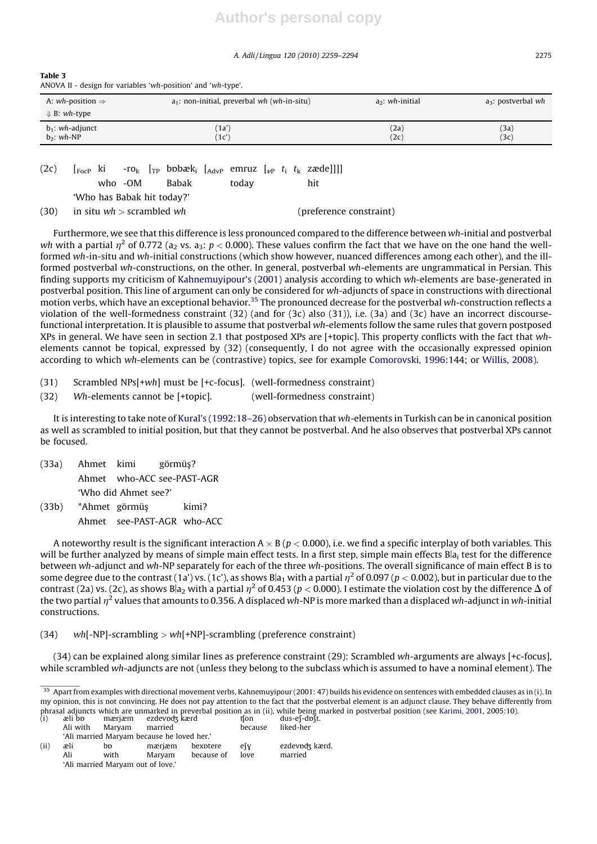#### A. Adli / Lingua 120 (2010) 2259–2294 2275

| A: <i>wh</i> -position $\Rightarrow$ | $a_1$ : non-initial, preverbal wh (wh-in-situ) | $a_2$ : wh-initial | $a_3$ : postverbal wh |
|--------------------------------------|------------------------------------------------|--------------------|-----------------------|
| $\Downarrow$ B: wh-type              |                                                |                    |                       |
| $b_1$ : <i>wh</i> -adjunct           | (1a')                                          | (2a)               | (3a)                  |
| $b_2$ : wh-NP                        | (1c')                                          | (2c)               | (3c)                  |

#### Table 3 ANOVA II - design for variables 'wh-position' and 'wh-type'.

(2c)  $\begin{bmatrix} F_{\text{ocP}} \\ \end{bmatrix}$  ki -ro<sub>k</sub>  $\begin{bmatrix} T_P \\ \end{bmatrix}$  bobæk<sub>i</sub>  $\begin{bmatrix} A_{\text{dVP}} \\ \end{bmatrix}$  emruz  $\begin{bmatrix} v_P \\ t_i \end{bmatrix}$   $t_k$  zæde]]] who -OM Babak today hit 'Who has Babak hit today?'

(30) in situ  $wh >$  scrambled wh (preference constraint)

Furthermore, we see that this difference is less pronounced compared to the difference between wh-initial and postverbal wh with a partial  $\eta^2$  of 0.772 (a<sub>2</sub> vs. a<sub>3</sub>:  $p < 0.000$ ). These values confirm the fact that we have on the one hand the wellformed wh-in-situ and wh-initial constructions (which show however, nuanced differences among each other), and the illformed postverbal wh-constructions, on the other. In general, postverbal wh-elements are ungrammatical in Persian. This finding supports my criticism of Kahnemuyipour's (2001) analysis according to which wh-elements are base-generated in postverbal position. This line of argument can only be considered for wh-adjuncts of space in constructions with directional motion verbs, which have an exceptional behavior.<sup>35</sup> The pronounced decrease for the postverbal wh-construction reflects a violation of the well-formedness constraint  $(32)$  (and for  $(3c)$  also  $(31)$ ), i.e.  $(3a)$  and  $(3c)$  have an incorrect discoursefunctional interpretation. It is plausible to assume that postverbal wh-elements follow the same rules that govern postposed XPs in general. We have seen in section 2.1 that postposed XPs are [+topic]. This property conflicts with the fact that whelements cannot be topical, expressed by (32) (consequently, I do not agree with the occasionally expressed opinion according to which wh-elements can be (contrastive) topics, see for example Comorovski, 1996:144; or Willis, 2008).

(31) Scrambled NPs[+wh] must be [+c-focus]. (well-formedness constraint)

(32) Wh-elements cannot be [+topic]. (well-formedness constraint)

It is interesting to take note of Kural's (1992:18–26) observation that wh-elements in Turkish can be in canonical position as well as scrambled to initial position, but that they cannot be postverbal. And he also observes that postverbal XPs cannot be focused.

- (33a) Ahmet kimi görmüş? Ahmet who-ACC see-PAST-AGR 'Who did Ahmet see?'
- (33b) \*Ahmet görmüş kimi? Ahmet see-PAST-AGR who-ACC

A noteworthy result is the significant interaction  $A \times B$  ( $p < 0.000$ ), i.e. we find a specific interplay of both variables. This will be further analyzed by means of simple main effect tests. In a first step, simple main effects Blai test for the difference between wh-adjunct and wh-NP separately for each of the three wh-positions. The overall significance of main effect B is to some degree due to the contrast (1a') vs. (1c'), as shows B|a<sub>1</sub> with a partial  $\eta^2$  of 0.097 ( $p < 0.002$ ), but in particular due to the contrast (2a) vs. (2c), as shows B|a<sub>2</sub> with a partial  $\eta^2$  of 0.453 (p < 0.000). I estimate the violation cost by the difference  $\Delta$  of the two partial  $\eta^2$  values that amounts to 0.356. A displaced wh-NP is more marked than a displaced wh-adjunct in wh-initial constructions.

(34) wh[-NP]-scrambling  $>$  wh[+NP]-scrambling (preference constraint)

(34) can be explained along similar lines as preference constraint (29): Scrambled wh-arguments are always [+c-focus], while scrambled wh-adjuncts are not (unless they belong to the subclass which is assumed to have a nominal element). The

Ali with Maryam married because liked-her 'Ali married Maryam because he loved her.'

| (ii)        | æli | bp                                | mæriæm     | bexptere | elv     | ezdevodz kærd. |
|-------------|-----|-----------------------------------|------------|----------|---------|----------------|
| Ali<br>with |     | Marvam                            | because of | love     | married |                |
|             |     | 'Ali married Maryam out of love.' |            |          |         |                |

 $\frac{35}{135}$  Apart from examples with directional movement verbs, Kahnemuyipour (2001: 47) builds his evidence on sentences with embedded clauses as in (i). In my opinion, this is not convincing. He does not pay attention to the fact that the postverbal element is an adjunct clause. They behave differently from phrasal adjuncts which are unmarked in preverbal position as in (ii), while being marked in postverbal position (see Karimi, 2001, 2005:10).<br>(i) æli bɒ mærjæm ezdevɒdʒ kærd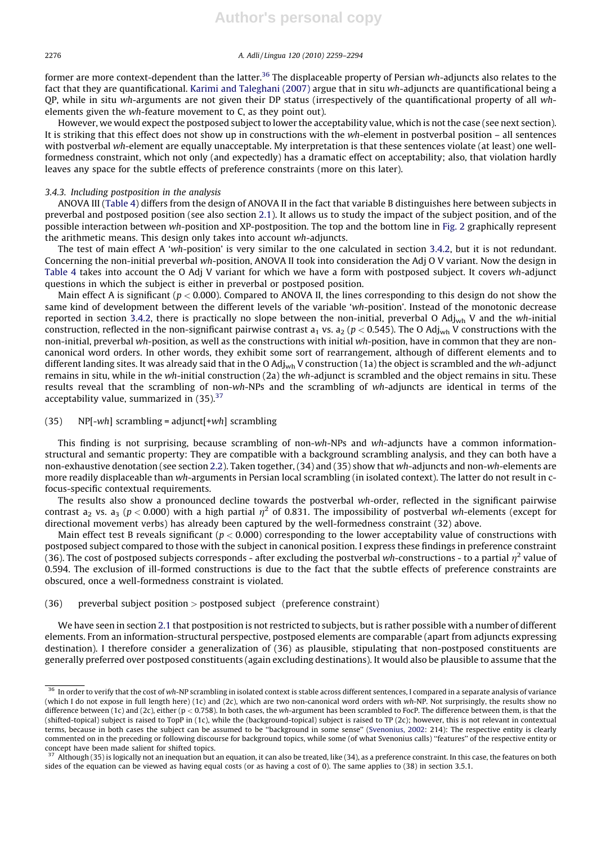former are more context-dependent than the latter.<sup>36</sup> The displaceable property of Persian wh-adjuncts also relates to the fact that they are quantificational. Karimi and Taleghani (2007) argue that in situ wh-adjuncts are quantificational being a QP, while in situ wh-arguments are not given their DP status (irrespectively of the quantificational property of all whelements given the wh-feature movement to C, as they point out).

However, we would expect the postposed subject to lower the acceptability value, which is not the case (see next section). It is striking that this effect does not show up in constructions with the wh-element in postverbal position – all sentences with postverbal wh-element are equally unacceptable. My interpretation is that these sentences violate (at least) one wellformedness constraint, which not only (and expectedly) has a dramatic effect on acceptability; also, that violation hardly leaves any space for the subtle effects of preference constraints (more on this later).

### 3.4.3. Including postposition in the analysis

ANOVA III (Table 4) differs from the design of ANOVA II in the fact that variable B distinguishes here between subjects in preverbal and postposed position (see also section 2.1). It allows us to study the impact of the subject position, and of the possible interaction between wh-position and XP-postposition. The top and the bottom line in Fig. 2 graphically represent the arithmetic means. This design only takes into account wh-adjuncts.

The test of main effect A 'wh-position' is very similar to the one calculated in section 3.4.2, but it is not redundant. Concerning the non-initial preverbal wh-position, ANOVA II took into consideration the Adj O V variant. Now the design in Table 4 takes into account the O Adj V variant for which we have a form with postposed subject. It covers wh-adjunct questions in which the subject is either in preverbal or postposed position.

Main effect A is significant ( $p < 0.000$ ). Compared to ANOVA II, the lines corresponding to this design do not show the same kind of development between the different levels of the variable 'wh-position'. Instead of the monotonic decrease reported in section 3.4.2, there is practically no slope between the non-initial, preverbal O Adj<sub>wh</sub> V and the wh-initial construction, reflected in the non-significant pairwise contrast  $a_1$  vs.  $a_2$  ( $p < 0.545$ ). The O Adj<sub>wh</sub> V constructions with the non-initial, preverbal wh-position, as well as the constructions with initial wh-position, have in common that they are noncanonical word orders. In other words, they exhibit some sort of rearrangement, although of different elements and to different landing sites. It was already said that in the O Adj<sub>wh</sub> V construction (1a) the object is scrambled and the wh-adjunct remains in situ, while in the wh-initial construction (2a) the wh-adjunct is scrambled and the object remains in situ. These results reveal that the scrambling of non-wh-NPs and the scrambling of wh-adjuncts are identical in terms of the acceptability value, summarized in  $(35).^{37}$ 

# (35) NP[-wh] scrambling = adjunct[+wh] scrambling

This finding is not surprising, because scrambling of non-wh-NPs and wh-adjuncts have a common informationstructural and semantic property: They are compatible with a background scrambling analysis, and they can both have a non-exhaustive denotation (see section 2.2). Taken together, (34) and (35) show that wh-adjuncts and non-wh-elements are more readily displaceable than wh-arguments in Persian local scrambling (in isolated context). The latter do not result in cfocus-specific contextual requirements.

The results also show a pronounced decline towards the postverbal wh-order, reflected in the significant pairwise contrast a<sub>2</sub> vs. a<sub>3</sub> ( $p < 0.000$ ) with a high partial  $\eta^2$  of 0.831. The impossibility of postverbal wh-elements (except for directional movement verbs) has already been captured by the well-formedness constraint (32) above.

Main effect test B reveals significant ( $p < 0.000$ ) corresponding to the lower acceptability value of constructions with postposed subject compared to those with the subject in canonical position. I express these findings in preference constraint (36). The cost of postposed subjects corresponds - after excluding the postverbal wh-constructions - to a partial  $\eta^2$  value of 0.594. The exclusion of ill-formed constructions is due to the fact that the subtle effects of preference constraints are obscured, once a well-formedness constraint is violated.

(36) preverbal subject position > postposed subject (preference constraint)

We have seen in section 2.1 that postposition is not restricted to subjects, but is rather possible with a number of different elements. From an information-structural perspective, postposed elements are comparable (apart from adjuncts expressing destination). I therefore consider a generalization of (36) as plausible, stipulating that non-postposed constituents are generally preferred over postposed constituents (again excluding destinations). It would also be plausible to assume that the

 $\frac{36}{100}$  In order to verify that the cost of wh-NP scrambling in isolated context is stable across different sentences, I compared in a separate analysis of variance (which I do not expose in full length here) (1c) and (2c), which are two non-canonical word orders with wh-NP. Not surprisingly, the results show no difference between (1c) and (2c), either ( $p < 0.758$ ). In both cases, the wh-argument has been scrambled to FocP. The difference between them, is that the (shifted-topical) subject is raised to TopP in (1c), while the (background-topical) subject is raised to TP (2c); however, this is not relevant in contextual terms, because in both cases the subject can be assumed to be ''background in some sense'' (Svenonius, 2002: 214): The respective entity is clearly commented on in the preceding or following discourse for background topics, while some (of what Svenonius calls) ''features'' of the respective entity or concept have been made salient for shifted topics.

 $37$  Although (35) is logically not an inequation but an equation, it can also be treated, like (34), as a preference constraint. In this case, the features on both sides of the equation can be viewed as having equal costs (or as having a cost of 0). The same applies to (38) in section 3.5.1.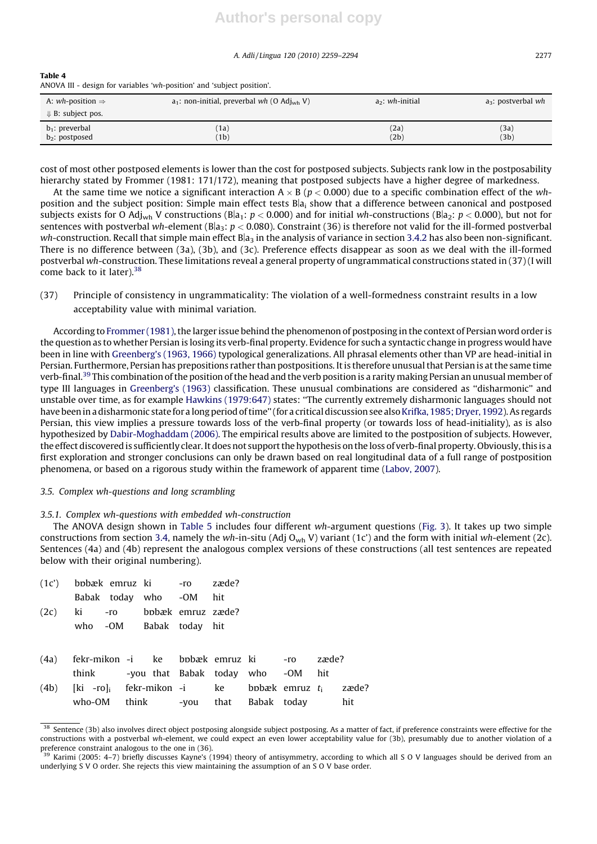#### A. Adli / Lingua 120 (2010) 2259–2294 2277

Table 4 ANOVA III - design for variables 'wh-position' and 'subject position'.

| A: <i>wh</i> -position $\Rightarrow$<br>$\Downarrow$ B: subject pos. | $a_1$ : non-initial, preverbal wh (O Adj <sub>wh</sub> V) | $a_2$ : wh-initial | $a_3$ : postverbal wh |
|----------------------------------------------------------------------|-----------------------------------------------------------|--------------------|-----------------------|
| $b_1$ : preverbal                                                    | $^{\prime}$ 1a)                                           | (2a)               | (3a)                  |
| $b_2$ : postposed                                                    | (1b)                                                      | (2b)               | (3b)                  |

cost of most other postposed elements is lower than the cost for postposed subjects. Subjects rank low in the postposability hierarchy stated by Frommer (1981: 171/172), meaning that postposed subjects have a higher degree of markedness.

At the same time we notice a significant interaction  $A \times B$  ( $p < 0.000$ ) due to a specific combination effect of the whposition and the subject position: Simple main effect tests  $B|a_i$  show that a difference between canonical and postposed subjects exists for O Adj<sub>wh</sub> V constructions (B|a<sub>1</sub>:  $p < 0.000$ ) and for initial wh-constructions (B|a<sub>2</sub>:  $p < 0.000$ ), but not for sentences with postverbal wh-element (B|a<sub>3</sub>:  $p < 0.080$ ). Constraint (36) is therefore not valid for the ill-formed postverbal wh-construction. Recall that simple main effect B|a<sub>3</sub> in the analysis of variance in section 3.4.2 has also been non-significant. There is no difference between (3a), (3b), and (3c). Preference effects disappear as soon as we deal with the ill-formed postverbal wh-construction. These limitations reveal a general property of ungrammatical constructions stated in (37) (I will come back to it later). $38$ 

(37) Principle of consistency in ungrammaticality: The violation of a well-formedness constraint results in a low acceptability value with minimal variation.

According to Frommer (1981), the larger issue behind the phenomenon of postposing in the context of Persian word order is the question as to whether Persian is losing its verb-final property. Evidence for such a syntactic change in progress would have been in line with Greenberg's (1963, 1966) typological generalizations. All phrasal elements other than VP are head-initial in Persian. Furthermore, Persian has prepositions rather than postpositions. It is therefore unusual that Persian is at the same time verb-final.<sup>39</sup> This combination of the position of the head and the verb position is a rarity making Persian an unusual member of type III languages in Greenberg's (1963) classification. These unusual combinations are considered as ''disharmonic'' and unstable over time, as for example Hawkins (1979:647) states: ''The currently extremely disharmonic languages should not have been in a disharmonic state for a long period of time" (for a critical discussion see also Krifka, 1985; Dryer, 1992). As regards Persian, this view implies a pressure towards loss of the verb-final property (or towards loss of head-initiality), as is also hypothesized by Dabir-Moghaddam (2006). The empirical results above are limited to the postposition of subjects. However, the effect discovered is sufficiently clear. It does not support the hypothesis on the loss of verb-final property. Obviously, this is a first exploration and stronger conclusions can only be drawn based on real longitudinal data of a full range of postposition phenomena, or based on a rigorous study within the framework of apparent time (Labov, 2007).

# 3.5. Complex wh-questions and long scrambling

# 3.5.1. Complex wh-questions with embedded wh-construction

The ANOVA design shown in Table 5 includes four different wh-argument questions (Fig. 3). It takes up two simple constructions from section 3.4, namely the wh-in-situ (Adj  $O_{wh}$  V) variant (1c') and the form with initial wh-element (2c). Sentences (4a) and (4b) represent the analogous complex versions of these constructions (all test sentences are repeated below with their original numbering).

| $(1c')$ bobæk emruz ki -ro zæde? |  |  |                               |                                                         |  |     |
|----------------------------------|--|--|-------------------------------|---------------------------------------------------------|--|-----|
|                                  |  |  | Babak today who -OM hit       |                                                         |  |     |
|                                  |  |  | (2c) ki -ro bobæk emruz zæde? |                                                         |  |     |
|                                  |  |  | who -OM Babak today hit       |                                                         |  |     |
|                                  |  |  |                               |                                                         |  |     |
|                                  |  |  |                               | (4a) fekr-mikon -i ke bobæk emruz ki -ro zæde?          |  |     |
|                                  |  |  |                               | think -you that Babak today who -OM hit                 |  |     |
|                                  |  |  |                               | (4b) [ki -ro], fekr-mikon -i ke bobæk emruz $t_i$ zæde? |  |     |
|                                  |  |  |                               | who-OM think -you that Babak today                      |  | hit |

<sup>&</sup>lt;sup>38</sup> Sentence (3b) also involves direct object postposing alongside subject postposing. As a matter of fact, if preference constraints were effective for the constructions with a postverbal wh-element, we could expect an even lower acceptability value for (3b), presumably due to another violation of a preference constraint analogous to the one in (36).

 $39$  Karimi (2005: 4–7) briefly discusses Kayne's (1994) theory of antisymmetry, according to which all S O V languages should be derived from an underlying S V O order. She rejects this view maintaining the assumption of an S O V base order.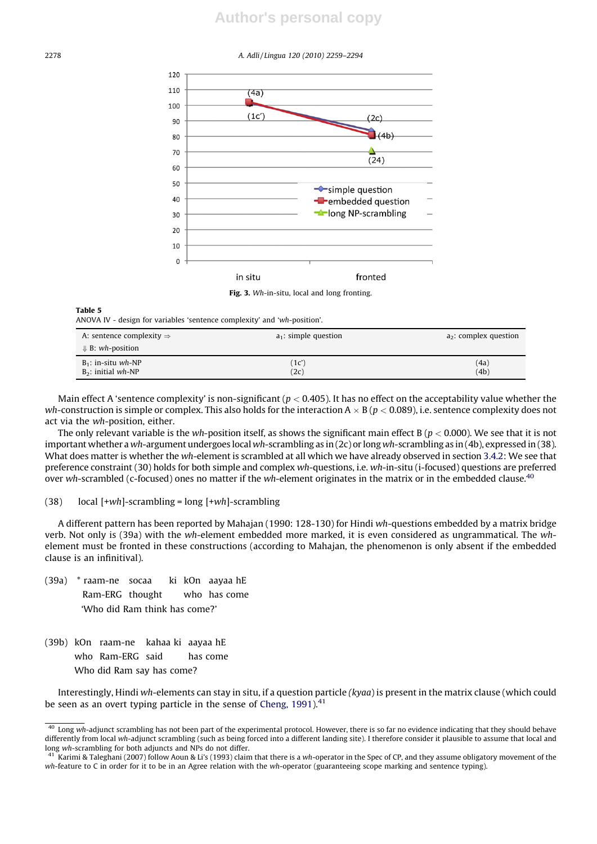

Fig. 3. Wh-in-situ, local and long fronting.

### Table 5

ANOVA IV - design for variables 'sentence complexity' and 'wh-position'.

| A: sentence complexity $\Rightarrow$           | $a_1$ : simple question | $a_2$ : complex question |
|------------------------------------------------|-------------------------|--------------------------|
| $\Downarrow$ B: wh-position                    |                         |                          |
| $B_1$ : in-situ wh-NP<br>$B_2$ : initial wh-NP | (1c')<br>(2c)           | (4a)<br>(4b)             |

Main effect A 'sentence complexity' is non-significant ( $p < 0.405$ ). It has no effect on the acceptability value whether the wh-construction is simple or complex. This also holds for the interaction  $A \times B$  ( $p < 0.089$ ), i.e. sentence complexity does not act via the wh-position, either.

The only relevant variable is the wh-position itself, as shows the significant main effect  $B (p < 0.000)$ . We see that it is not important whether a wh-argument undergoes local wh-scrambling as in  $(2c)$  or long wh-scrambling as in  $(4b)$ , expressed in  $(38)$ . What does matter is whether the wh-element is scrambled at all which we have already observed in section 3.4.2: We see that preference constraint (30) holds for both simple and complex wh-questions, i.e. wh-in-situ (i-focused) questions are preferred over wh-scrambled (c-focused) ones no matter if the wh-element originates in the matrix or in the embedded clause.<sup>40</sup>

(38) local  $[+wh]$ -scrambling = long  $[+wh]$ -scrambling

A different pattern has been reported by Mahajan (1990: 128-130) for Hindi wh-questions embedded by a matrix bridge verb. Not only is (39a) with the wh-element embedded more marked, it is even considered as ungrammatical. The whelement must be fronted in these constructions (according to Mahajan, the phenomenon is only absent if the embedded clause is an infinitival).

- (39a) \* raam-ne socaa ki kOn aayaa hE Ram-ERG thought who has come 'Who did Ram think has come?'
- (39b) kOn raam-ne kahaa ki aayaa hE who Ram-ERG said has come Who did Ram say has come?

Interestingly, Hindi wh-elements can stay in situ, if a question particle (kyaa) is present in the matrix clause (which could be seen as an overt typing particle in the sense of Cheng,  $1991$ <sup>41</sup>

<sup>&</sup>lt;sup>40</sup> Long wh-adjunct scrambling has not been part of the experimental protocol. However, there is so far no evidence indicating that they should behave differently from local wh-adjunct scrambling (such as being forced into a different landing site). I therefore consider it plausible to assume that local and long wh-scrambling for both adjuncts and NPs do not differ.<br><sup>41</sup> Karimi & Taleghani (2007) follow Aoun & Li's (1993) claim that there is a wh-operator in the Spec of CP, and they assume obligatory movement of the

wh-feature to C in order for it to be in an Agree relation with the wh-operator (guaranteeing scope marking and sentence typing).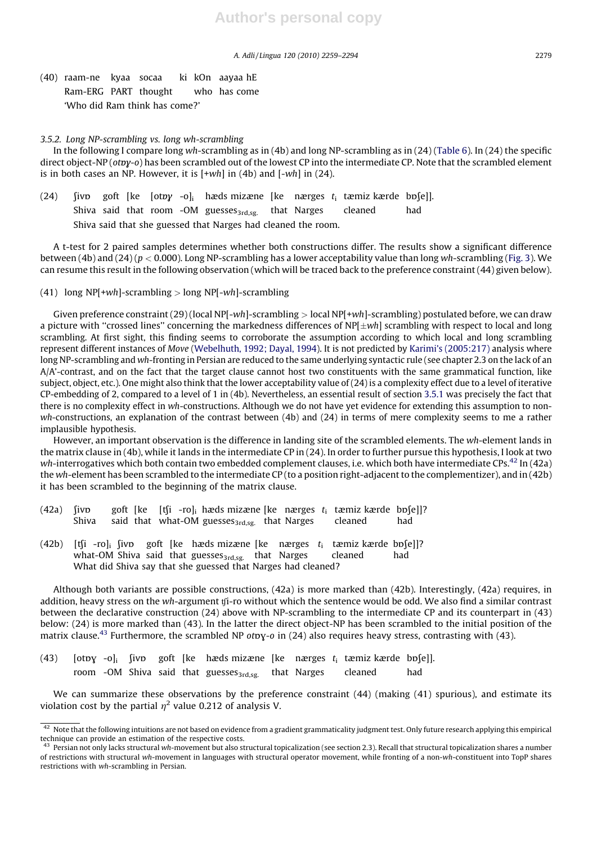(40) raam-ne kyaa socaa ki kOn aayaa hE Ram-ERG PART thought who has come 'Who did Ram think has come?'

### 3.5.2. Long NP-scrambling vs. long wh-scrambling

In the following I compare long wh-scrambling as in (4b) and long NP-scrambling as in (24) (Table 6). In (24) the specific direct object-NP (*otpy-o*) has been scrambled out of the lowest CP into the intermediate CP. Note that the scrambled element is in both cases an NP. However, it is [+wh] in (4b) and [-wh] in (24).

(24)  $\begin{bmatrix} \text{ivp} & \text{goft} & \text{[key -o]} \\ \text{[key -o]} & \text{heads mizane} & \text{[key -o]} \end{bmatrix}$ Shiva said that room -OM guesses $_{3rd,sg}$  that Narges cleaned had Shiva said that she guessed that Narges had cleaned the room.

A t-test for 2 paired samples determines whether both constructions differ. The results show a significant difference between (4b) and (24) ( $p < 0.000$ ). Long NP-scrambling has a lower acceptability value than long wh-scrambling (Fig. 3). We can resume this result in the following observation (which will be traced back to the preference constraint (44) given below).

(41)  $\log NP[+wh]$ -scrambling  $>$  long NP[-wh]-scrambling

Given preference constraint (29) (local NP[-wh]-scrambling  $>$  local NP[+wh]-scrambling) postulated before, we can draw a picture with "crossed lines" concerning the markedness differences of  $NP[\pm wh]$  scrambling with respect to local and long scrambling. At first sight, this finding seems to corroborate the assumption according to which local and long scrambling represent different instances of Move (Webelhuth, 1992; Dayal, 1994). It is not predicted by Karimi's (2005:217) analysis where long NP-scrambling and wh-fronting in Persian are reduced to the same underlying syntactic rule (see chapter 2.3 on the lack of an A/A'-contrast, and on the fact that the target clause cannot host two constituents with the same grammatical function, like subject, object, etc.). One might also think that the lower acceptability value of (24) is a complexity effect due to a level of iterative CP-embedding of 2, compared to a level of 1 in (4b). Nevertheless, an essential result of section 3.5.1 was precisely the fact that there is no complexity effect in wh-constructions. Although we do not have yet evidence for extending this assumption to nonwh-constructions, an explanation of the contrast between (4b) and (24) in terms of mere complexity seems to me a rather implausible hypothesis.

However, an important observation is the difference in landing site of the scrambled elements. The wh-element lands in the matrix clause in (4b), while it lands in the intermediate CP in (24). In order to further pursue this hypothesis, I look at two wh-interrogatives which both contain two embedded complement clauses, i.e. which both have intermediate CPs.<sup>42</sup> In (42a) the wh-element has been scrambled to the intermediate CP (to a position right-adjacent to the complementizer), and in (42b) it has been scrambled to the beginning of the matrix clause.

- (42a)  $\int$ iv $\sigma$  goft [ke [t͡ʃi -ro]<sub>i</sub> hæds mizæne [ke nærges t<sub>i</sub> tæmiz kærde b $\sigma$ [e]]? Shiva said that what-OM guesses $_{3rd,sg.}$  that Narges cleaned had
- (42b) [tʃi -ro]; fivp goft [ke hæds mizæne [ke nærges  $t_i$  tæmiz kærde bpfe]]? what-OM Shiva said that guesses $_{3rd,sg.}$  that Narges cleaned had What did Shiva say that she guessed that Narges had cleaned?

Although both variants are possible constructions, (42a) is more marked than (42b). Interestingly, (42a) requires, in addition, heavy stress on the wh-argument tj-ro without which the sentence would be odd. We also find a similar contrast between the declarative construction (24) above with NP-scrambling to the intermediate CP and its counterpart in (43) below: (24) is more marked than (43). In the latter the direct object-NP has been scrambled to the initial position of the matrix clause.<sup>43</sup> Furthermore, the scrambled NP otpy-o in (24) also requires heavy stress, contrasting with (43).

(43)  $[otby -o]_i$   $[ivp]$  goft  $[ke]$  hæds mizæne  $[ke]$  nærges  $t_i$  tæmiz kærde b $[p]$ . room -OM Shiva said that guesses $_{3rd,sg.}$  that Narges cleaned had

We can summarize these observations by the preference constraint (44) (making (41) spurious), and estimate its violation cost by the partial  $\eta^2$  value 0.212 of analysis V.

 $\frac{42}{4}$  Note that the following intuitions are not based on evidence from a gradient grammaticality judgment test. Only future research applying this empirical technique can provide an estimation of the respective costs.<br><sup>43</sup> Persian not only lacks structural wh-movement but also structural topicalization (see section 2.3). Recall that structural topicalization shares a number

of restrictions with structural wh-movement in languages with structural operator movement, while fronting of a non-wh-constituent into TopP shares restrictions with wh-scrambling in Persian.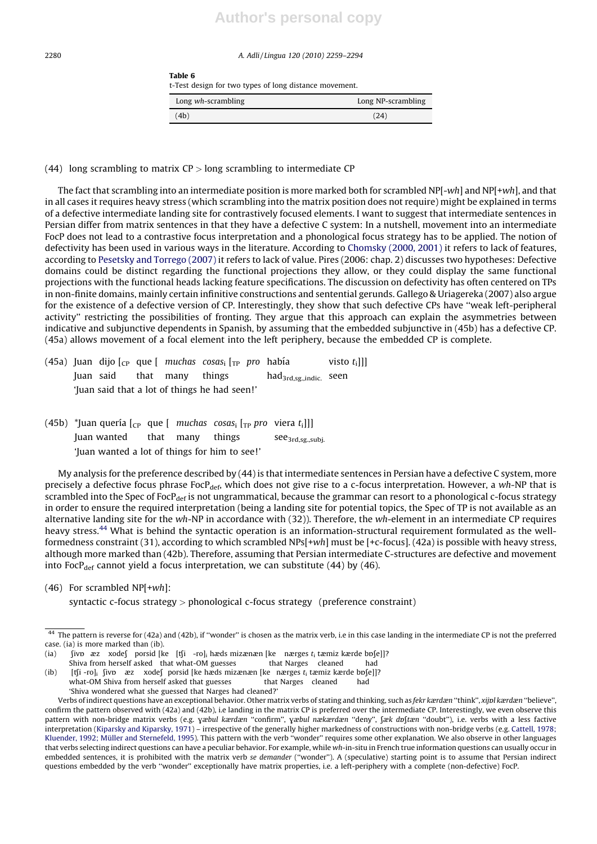#### 2280 A. Adli / Lingua 120 (2010) 2259–2294

Table 6 t-Test design for two types of long distance movement.

| Long <i>wh</i> -scrambling | Long NP-scrambling |  |  |  |  |
|----------------------------|--------------------|--|--|--|--|
| (4b)                       | 24                 |  |  |  |  |

(44) long scrambling to matrix  $CP >$  long scrambling to intermediate CP

The fact that scrambling into an intermediate position is more marked both for scrambled NP[-wh] and NP[+wh], and that in all cases it requires heavy stress (which scrambling into the matrix position does not require) might be explained in terms of a defective intermediate landing site for contrastively focused elements. I want to suggest that intermediate sentences in Persian differ from matrix sentences in that they have a defective C system: In a nutshell, movement into an intermediate FocP does not lead to a contrastive focus interpretation and a phonological focus strategy has to be applied. The notion of defectivity has been used in various ways in the literature. According to Chomsky (2000, 2001) it refers to lack of features, according to Pesetsky and Torrego (2007) it refers to lack of value. Pires (2006: chap. 2) discusses two hypotheses: Defective domains could be distinct regarding the functional projections they allow, or they could display the same functional projections with the functional heads lacking feature specifications. The discussion on defectivity has often centered on TPs in non-finite domains, mainly certain infinitive constructions and sentential gerunds. Gallego & Uriagereka (2007) also argue for the existence of a defective version of CP. Interestingly, they show that such defective CPs have ''weak left-peripheral activity'' restricting the possibilities of fronting. They argue that this approach can explain the asymmetries between indicative and subjunctive dependents in Spanish, by assuming that the embedded subjunctive in (45b) has a defective CP. (45a) allows movement of a focal element into the left periphery, because the embedded CP is complete.

- (45a) Juan dijo  $\begin{bmatrix} C_P & que \end{bmatrix}$  muchas cosas<sub>i</sub>  $\begin{bmatrix} T_P & pro & habia \end{bmatrix}$  visto  $t_i$ ]] Juan said that many things had<sub>3rd,sg,,indic.</sub> seen 'Juan said that a lot of things he had seen!'
- (45b) \*Juan quería  $\begin{bmatrix} C_P & q \end{bmatrix}$  muchas cosas<sub>i</sub>  $\begin{bmatrix} T_P & pr \end{bmatrix}$  viera  $t_i$ Juan wanted that many things see<sub>3rd,sg.,subj.</sub> 'Juan wanted a lot of things for him to see!'

My analysis for the preference described by (44) is that intermediate sentences in Persian have a defective C system, more precisely a defective focus phrase FocP<sub>def</sub>, which does not give rise to a c-focus interpretation. However, a wh-NP that is scrambled into the Spec of Foc $P_{\text{def}}$  is not ungrammatical, because the grammar can resort to a phonological c-focus strategy in order to ensure the required interpretation (being a landing site for potential topics, the Spec of TP is not available as an alternative landing site for the wh-NP in accordance with (32)). Therefore, the wh-element in an intermediate CP requires heavy stress.<sup>44</sup> What is behind the syntactic operation is an information-structural requirement formulated as the wellformedness constraint (31), according to which scrambled NPs $[+wh]$  must be  $[+c$ -focus]. (42a) is possible with heavy stress, although more marked than (42b). Therefore, assuming that Persian intermediate C-structures are defective and movement into FocP<sub>def</sub> cannot yield a focus interpretation, we can substitute  $(44)$  by  $(46)$ .

(46) For scrambled NP[+wh]:

syntactic c-focus strategy > phonological c-focus strategy (preference constraint)

- (ia)  $\int$ jiv $\infty$  æz xode $\int$  porsid [ke [t͡ʃi -ro]<sub>i</sub> hæds mizænæn [ke nærges  $t_i$  tæmiz kærde b $\infty$ [e]]?
- Shiva from herself asked that what-OM guesses that Narges cleaned (ib)  $[f[i - ro]$ i  $[ivn - ez - xode]$  porsid [ke hæds mizænæn [ke nærges  $t_i$  tæmiz kærde b $p[e]$ ]?
- what-OM Shiva from herself asked that guesses that Narges cleaned had 'Shiva wondered what she guessed that Narges had cleaned?'

Verbs of indirect questions have an exceptional behavior. Other matrix verbs of stating and thinking, such as fekr kærdæn ''think'', xijɒl kærdæn ''believe'', confirm the pattern observed with (42a) and (42b), i.e landing in the matrix CP is preferred over the intermediate CP. Interestingly, we even observe this pattern with non-bridge matrix verbs (e.g. yæbul kærdæn "confirm", yæbul nækærdæn "deny", [æk dɒftæn "doubt"), i.e. verbs with a less factive interpretation (Kiparsky and Kiparsky, 1971) – irrespective of the generally higher markedness of constructions with non-bridge verbs (e.g. Cattell, 1978; Kluender, 1992; Müller and Sternefeld, 1995). This pattern with the verb "wonder" requires some other explanation. We also observe in other languages that verbs selecting indirect questions can have a peculiar behavior. For example, while wh-in-situ in French true information questions can usually occur in embedded sentences, it is prohibited with the matrix verb se demander ("wonder"). A (speculative) starting point is to assume that Persian indirect questions embedded by the verb ''wonder'' exceptionally have matrix properties, i.e. a left-periphery with a complete (non-defective) FocP.

 $\frac{44}{4}$  The pattern is reverse for (42a) and (42b), if "wonder" is chosen as the matrix verb, i.e in this case landing in the intermediate CP is not the preferred case. (ia) is more marked than (ib).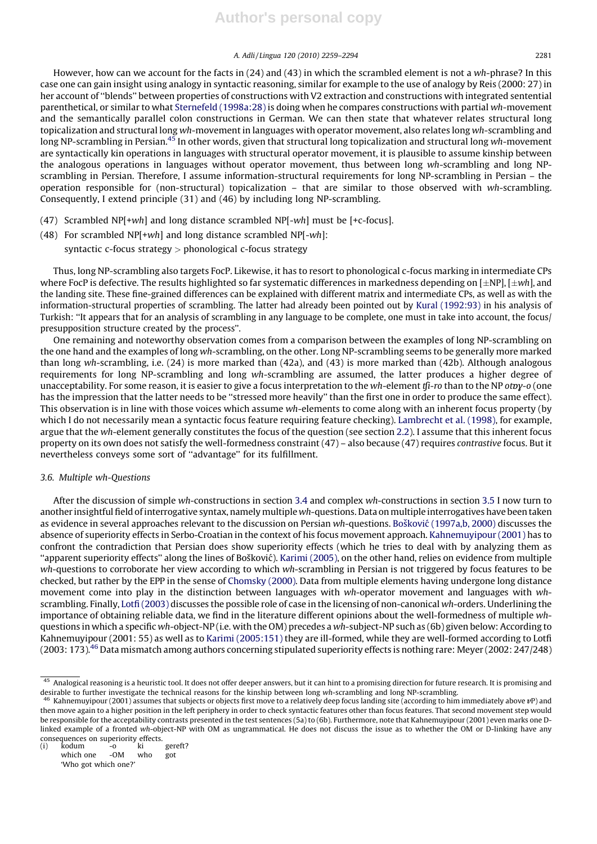However, how can we account for the facts in (24) and (43) in which the scrambled element is not a wh-phrase? In this case one can gain insight using analogy in syntactic reasoning, similar for example to the use of analogy by Reis (2000: 27) in her account of ''blends'' between properties of constructions with V2 extraction and constructions with integrated sentential parenthetical, or similar to what Sternefeld (1998a:28) is doing when he compares constructions with partial wh-movement and the semantically parallel colon constructions in German. We can then state that whatever relates structural long topicalization and structural long wh-movement in languages with operator movement, also relates long wh-scrambling and long NP-scrambling in Persian.<sup>45</sup> In other words, given that structural long topicalization and structural long wh-movement are syntactically kin operations in languages with structural operator movement, it is plausible to assume kinship between the analogous operations in languages without operator movement, thus between long wh-scrambling and long NPscrambling in Persian. Therefore, I assume information-structural requirements for long NP-scrambling in Persian – the operation responsible for (non-structural) topicalization – that are similar to those observed with wh-scrambling. Consequently, I extend principle (31) and (46) by including long NP-scrambling.

- (47) Scrambled NP[+wh] and long distance scrambled NP[-wh] must be [+c-focus].
- (48) For scrambled NP[+wh] and long distance scrambled NP[-wh]:

syntactic c-focus strategy > phonological c-focus strategy

Thus, long NP-scrambling also targets FocP. Likewise, it has to resort to phonological c-focus marking in intermediate CPs where FocP is defective. The results highlighted so far systematic differences in markedness depending on  $[\pm NP]$ ,  $[\pm wh]$ , and the landing site. These fine-grained differences can be explained with different matrix and intermediate CPs, as well as with the information-structural properties of scrambling. The latter had already been pointed out by Kural (1992:93) in his analysis of Turkish: ''It appears that for an analysis of scrambling in any language to be complete, one must in take into account, the focus/ presupposition structure created by the process''.

One remaining and noteworthy observation comes from a comparison between the examples of long NP-scrambling on the one hand and the examples of long wh-scrambling, on the other. Long NP-scrambling seems to be generally more marked than long wh-scrambling, i.e. (24) is more marked than (42a), and (43) is more marked than (42b). Although analogous requirements for long NP-scrambling and long wh-scrambling are assumed, the latter produces a higher degree of unacceptability. For some reason, it is easier to give a focus interpretation to the wh-element tfi-ro than to the NP otpy-o (one has the impression that the latter needs to be ''stressed more heavily'' than the first one in order to produce the same effect). This observation is in line with those voices which assume wh-elements to come along with an inherent focus property (by which I do not necessarily mean a syntactic focus feature requiring feature checking). Lambrecht et al. (1998), for example, argue that the wh-element generally constitutes the focus of the question (see section 2.2). I assume that this inherent focus property on its own does not satisfy the well-formedness constraint (47) – also because (47) requires contrastive focus. But it nevertheless conveys some sort of ''advantage'' for its fulfillment.

# 3.6. Multiple wh-Questions

After the discussion of simple wh-constructions in section 3.4 and complex wh-constructions in section 3.5 I now turn to another insightful field of interrogative syntax, namely multiple wh-questions. Data on multiple interrogatives have been taken as evidence in several approaches relevant to the discussion on Persian wh-questions. Bošković (1997a,b, 2000) discusses the absence of superiority effects in Serbo-Croatian in the context of his focus movement approach. Kahnemuyipour (2001) has to confront the contradiction that Persian does show superiority effects (which he tries to deal with by analyzing them as "apparent superiority effects" along the lines of Bošković). Karimi (2005), on the other hand, relies on evidence from multiple wh-questions to corroborate her view according to which wh-scrambling in Persian is not triggered by focus features to be checked, but rather by the EPP in the sense of Chomsky (2000). Data from multiple elements having undergone long distance movement come into play in the distinction between languages with wh-operator movement and languages with whscrambling. Finally, Lotfi (2003) discusses the possible role of case in the licensing of non-canonical wh-orders. Underlining the importance of obtaining reliable data, we find in the literature different opinions about the well-formedness of multiple whquestions in which a specific wh-object-NP (i.e. with the OM) precedes a wh-subject-NP such as (6b) given below: According to Kahnemuyipour (2001: 55) as well as to Karimi (2005:151) they are ill-formed, while they are well-formed according to Lotfi  $(2003: 173)$ .<sup>46</sup> Data mismatch among authors concerning stipulated superiority effects is nothing rare: Meyer  $(2002: 247/248)$ 

'Who got which one?'

<sup>&</sup>lt;sup>45</sup> Analogical reasoning is a heuristic tool. It does not offer deeper answers, but it can hint to a promising direction for future research. It is promising and desirable to further investigate the technical reasons for

<sup>&</sup>lt;sup>46</sup> Kahnemuvipour (2001) assumes that subjects or objects first move to a relatively deep focus landing site (according to him immediately above vP) and then move again to a higher position in the left periphery in order to check syntactic features other than focus features. That second movement step would be responsible for the acceptability contrasts presented in the test sentences (5a) to (6b). Furthermore, note that Kahnemuyipour (2001) even marks one Dlinked example of a fronted wh-object-NP with OM as ungrammatical. He does not discuss the issue as to whether the OM or D-linking have any consequences on superiority effects.<br>(i) kodum -o ki

kodum -o ki gereft?<br>
which one -OM who got

which one  $-OM$  who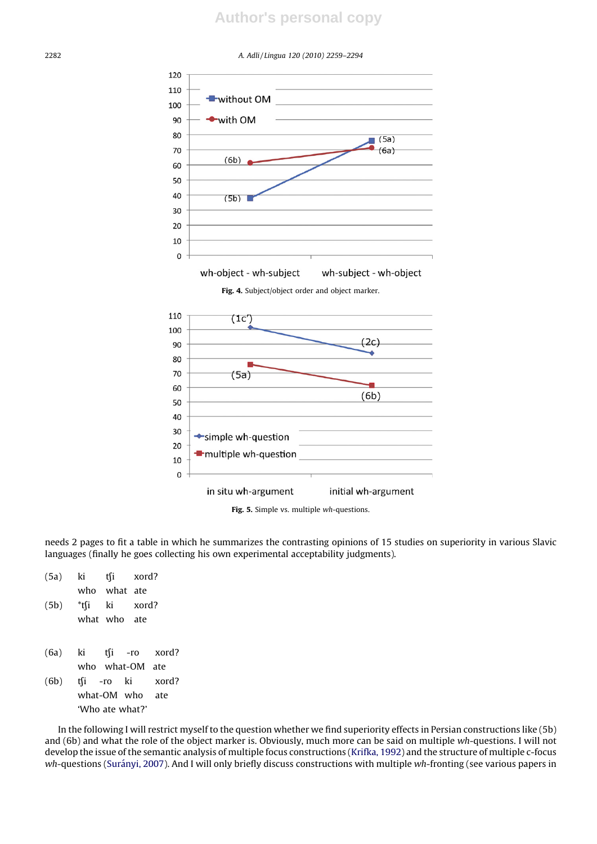







needs 2 pages to fit a table in which he summarizes the contrasting opinions of 15 studies on superiority in various Slavic languages (finally he goes collecting his own experimental acceptability judgments).

|      | $(5a)$ ki tsi xord?  |  |  |                       |  |  |
|------|----------------------|--|--|-----------------------|--|--|
|      | who what ate         |  |  |                       |  |  |
|      | $(5b)$ *tsi ki xord? |  |  |                       |  |  |
|      | what who ate         |  |  |                       |  |  |
|      |                      |  |  |                       |  |  |
|      |                      |  |  | (6a) ki t∫i -ro xord? |  |  |
|      | who what-OM ate      |  |  |                       |  |  |
| (6b) |                      |  |  | tfi -ro ki xord?      |  |  |
|      | what-OM who ate      |  |  |                       |  |  |
|      | 'Who ate what?'      |  |  |                       |  |  |

In the following I will restrict myself to the question whether we find superiority effects in Persian constructions like (5b) and (6b) and what the role of the object marker is. Obviously, much more can be said on multiple wh-questions. I will not develop the issue of the semantic analysis of multiple focus constructions (Krifka, 1992) and the structure of multiple c-focus wh-questions (Surányi, 2007). And I will only briefly discuss constructions with multiple wh-fronting (see various papers in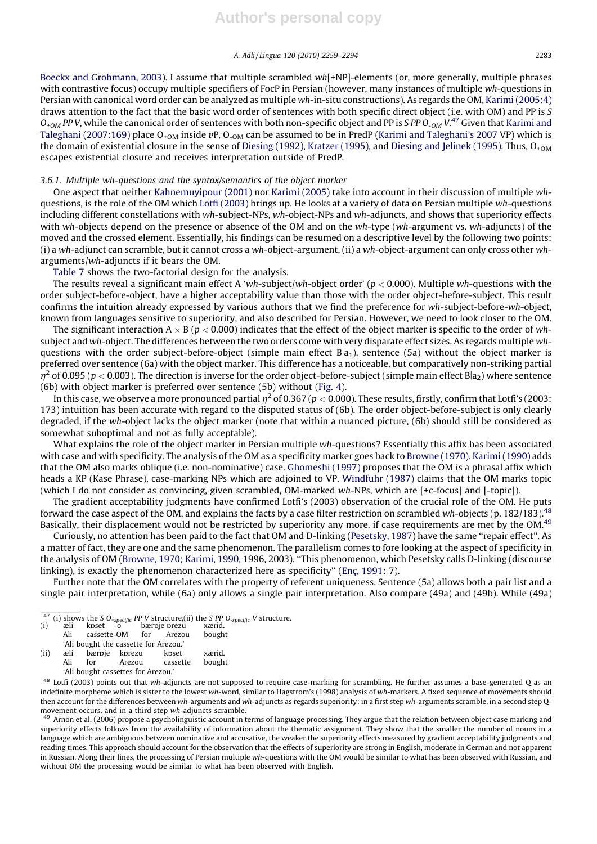Boeckx and Grohmann, 2003). I assume that multiple scrambled wh[+NP]-elements (or, more generally, multiple phrases with contrastive focus) occupy multiple specifiers of FocP in Persian (however, many instances of multiple wh-questions in Persian with canonical word order can be analyzed as multiple wh-in-situ constructions). As regards the OM, Karimi (2005:4) draws attention to the fact that the basic word order of sentences with both specific direct object (i.e. with OM) and PP is S  $O_{\rm *OM}$  PP V, while the canonical order of sentences with both non-specific object and PP is S PP O<sub>-OM</sub> V.<sup>47</sup> Given that Karimi and Taleghani (2007:169) place  $O_{+OM}$  inside  $vP$ ,  $O_{-OM}$  can be assumed to be in PredP (Karimi and Taleghani's 2007 VP) which is the domain of existential closure in the sense of Diesing (1992), Kratzer (1995), and Diesing and Jelinek (1995). Thus,  $O<sub>+OM</sub>$ escapes existential closure and receives interpretation outside of PredP.

# 3.6.1. Multiple wh-questions and the syntax/semantics of the object marker

One aspect that neither Kahnemuyipour (2001) nor Karimi (2005) take into account in their discussion of multiple whquestions, is the role of the OM which Lotfi (2003) brings up. He looks at a variety of data on Persian multiple wh-questions including different constellations with wh-subject-NPs, wh-object-NPs and wh-adjuncts, and shows that superiority effects with wh-objects depend on the presence or absence of the OM and on the wh-type (wh-argument vs. wh-adjuncts) of the moved and the crossed element. Essentially, his findings can be resumed on a descriptive level by the following two points: (i) a wh-adjunct can scramble, but it cannot cross a wh-object-argument, (ii) a wh-object-argument can only cross other wharguments/wh-adjuncts if it bears the OM.

Table 7 shows the two-factorial design for the analysis.

The results reveal a significant main effect A 'wh-subject/wh-object order' ( $p < 0.000$ ). Multiple wh-questions with the order subject-before-object, have a higher acceptability value than those with the order object-before-subject. This result confirms the intuition already expressed by various authors that we find the preference for wh-subject-before-wh-object, known from languages sensitive to superiority, and also described for Persian. However, we need to look closer to the OM.

The significant interaction  $A \times B$  ( $p < 0.000$ ) indicates that the effect of the object marker is specific to the order of whsubject and wh-object. The differences between the two orders come with very disparate effect sizes. As regards multiple whquestions with the order subject-before-object (simple main effect  $B|a_1$ ), sentence (5a) without the object marker is preferred over sentence (6a) with the object marker. This difference has a noticeable, but comparatively non-striking partial  $\eta^2$  of 0.095 (p < 0.003). The direction is inverse for the order object-before-subject (simple main effect B|a<sub>2</sub>) where sentence (6b) with object marker is preferred over sentence (5b) without (Fig. 4).

In this case, we observe a more pronounced partial  $\eta^2$  of 0.367 ( $p < 0.000$ ). These results, firstly, confirm that Lotfi's (2003: 173) intuition has been accurate with regard to the disputed status of (6b). The order object-before-subject is only clearly degraded, if the wh-object lacks the object marker (note that within a nuanced picture, (6b) should still be considered as somewhat suboptimal and not as fully acceptable).

What explains the role of the object marker in Persian multiple wh-questions? Essentially this affix has been associated with case and with specificity. The analysis of the OM as a specificity marker goes back to Browne (1970). Karimi (1990) adds that the OM also marks oblique (i.e. non-nominative) case. Ghomeshi (1997) proposes that the OM is a phrasal affix which heads a KP (Kase Phrase), case-marking NPs which are adjoined to VP. Windfuhr (1987) claims that the OM marks topic (which I do not consider as convincing, given scrambled, OM-marked wh-NPs, which are [+c-focus] and [-topic]).

The gradient acceptability judgments have confirmed Lotfi's (2003) observation of the crucial role of the OM. He puts forward the case aspect of the OM, and explains the facts by a case filter restriction on scrambled wh-objects (p. 182/183).<sup>48</sup> Basically, their displacement would not be restricted by superiority any more, if case requirements are met by the OM.<sup>49</sup>

Curiously, no attention has been paid to the fact that OM and D-linking (Pesetsky, 1987) have the same ''repair effect''. As a matter of fact, they are one and the same phenomenon. The parallelism comes to fore looking at the aspect of specificity in the analysis of OM (Browne, 1970; Karimi, 1990, 1996, 2003). ''This phenomenon, which Pesetsky calls D-linking (discourse linking), is exactly the phenomenon characterized here as specificity" (Enc, 1991: 7).

Further note that the OM correlates with the property of referent uniqueness. Sentence (5a) allows both a pair list and a single pair interpretation, while (6a) only allows a single pair interpretation. Also compare (49a) and (49b). While (49a)

<sup>&</sup>lt;sup>47</sup> (i) shows the S  $O_{\star specific}$  *PP V* structure, (ii) the S *PP O<sub>-specific</sub> V* structure.<br>(i) a li kpset -o bærbje prezu xærid.

| (i)  |                                       |  | ali kpset -0 bærpje prezu xærid. |        |
|------|---------------------------------------|--|----------------------------------|--------|
|      |                                       |  | Ali cassette-OM for Arezou       | bought |
|      | 'Ali bought the cassette for Arezou.' |  |                                  |        |
| (ii) | æli bærpje kprezu kpset               |  |                                  | xærid. |

| $\cdots$ | ---- | $-0.0011010$ | .                                  | .        |        |
|----------|------|--------------|------------------------------------|----------|--------|
|          | Ali  | - for        | Arezou                             | cassette | bought |
|          |      |              | 'Ali bought cassettes for Arezou.' |          |        |

 $48$  Lotfi (2003) points out that wh-adjuncts are not supposed to require case-marking for scrambling. He further assumes a base-generated Q as an indefinite morpheme which is sister to the lowest wh-word, similar to Hagstrom's (1998) analysis of wh-markers. A fixed sequence of movements should then account for the differences between wh-arguments and wh-adjuncts as regards superiority: in a first step wh-arguments scramble, in a second step Qmovement occurs, and in a third step wh-adjuncts scramble.<br><sup>49</sup> Arnon et al. (2006) propose a psycholinguistic account in terms of language processing. They argue that the relation between object case marking and

superiority effects follows from the availability of information about the thematic assignment. They show that the smaller the number of nouns in a language which are ambiguous between nominative and accusative, the weaker the superiority effects measured by gradient acceptability judgments and reading times. This approach should account for the observation that the effects of superiority are strong in English, moderate in German and not apparent in Russian. Along their lines, the processing of Persian multiple wh-questions with the OM would be similar to what has been observed with Russian, and without OM the processing would be similar to what has been observed with English.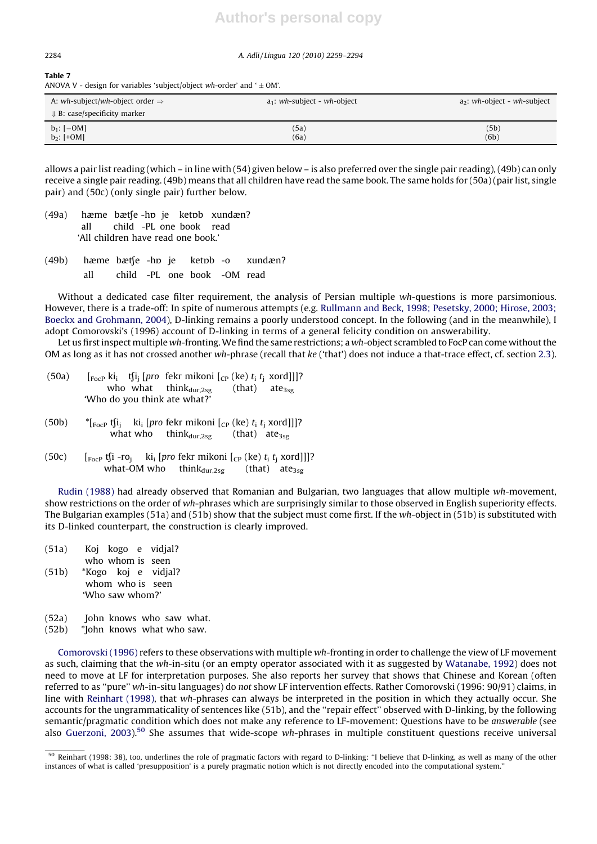# 2284 A. Adli / Lingua 120 (2010) 2259–2294

# Table 7 ANOVA V - design for variables 'subject/object wh-order' and  $\pm$  OM'.

| A: wh-subject/wh-object order $\Rightarrow$ | $a_1$ : wh-subject - wh-object | $a_2$ : wh-object - wh-subject |
|---------------------------------------------|--------------------------------|--------------------------------|
| $\Downarrow$ B: case/specificity marker     |                                |                                |
| $b_1$ : [-OM]                               | (5a)                           | (5b)                           |
| $b_2$ : [+OM]                               | (6a)                           | (6b)                           |

allows a pair list reading (which – in line with (54) given below – is also preferred over the single pair reading), (49b) can only receive a single pair reading. (49b) means that all children have read the same book. The same holds for (50a) (pair list, single pair) and (50c) (only single pair) further below.

- (49a) hæme bætʃe -hɒ je ketɒb xundæn? all child -PL one book read 'All children have read one book.'
- (49b) hæme bætʃe -hɒ je ketɒb -o xundæn? all child -PL one book -OM read

Without a dedicated case filter requirement, the analysis of Persian multiple wh-questions is more parsimonious. However, there is a trade-off: In spite of numerous attempts (e.g. Rullmann and Beck, 1998; Pesetsky, 2000; Hirose, 2003; Boeckx and Grohmann, 2004), D-linking remains a poorly understood concept. In the following (and in the meanwhile), I adopt Comorovski's (1996) account of D-linking in terms of a general felicity condition on answerability.

Let us first inspect multiple wh-fronting. We find the same restrictions; a wh-object scrambled to FocP can come without the OM as long as it has not crossed another wh-phrase (recall that ke ('that') does not induce a that-trace effect, cf. section 2.3).

- (50a)  $\left[\begin{array}{cc}F_{\text{ocP}} & \text{ki}_{i} & \text{tfi}_{i} \end{array}\right]$  [pro fekr mikoni  $\left[\begin{array}{cc}C_{\text{P}} & \text{(ke)} & t_{i} \end{array}\right]$  xord]]]? who what  $\text{think}_{\text{dur,2sg}}$  (that) at $\text{e}_{3\text{sg}}$ 'Who do you think ate what?
- (50b)  $*$ [F<sub>ocP</sub> t[i<sub>i</sub> ki<sub>i</sub> [pro fekr mikoni [<sub>CP</sub> (ke) t<sub>i</sub> t<sub>i</sub> xord]]]? what who think $_{\text{dur,2sg}}$  (that) ate<sub>3sg</sub>
- (50c)  $\int_{\text{FocP}}$  t $\int$ i -ro<sub>i</sub> ki<sub>i</sub> [pro fekr mikoni  $\int_{\text{CP}}$  (ke)  $t_i$  t<sub>i</sub> xord]]]? what-OM who think $_{\text{dur,2sg}}$  (that) ate<sub>3sg</sub>

Rudin (1988) had already observed that Romanian and Bulgarian, two languages that allow multiple wh-movement, show restrictions on the order of wh-phrases which are surprisingly similar to those observed in English superiority effects. The Bulgarian examples (51a) and (51b) show that the subject must come first. If the  $wh$ -object in (51b) is substituted with its D-linked counterpart, the construction is clearly improved.

- (51a) Koj kogo e vidjal? who whom is seen
- (51b) \*Kogo koj e vidjal? whom who is seen 'Who saw whom?'
- (52a) John knows who saw what.
- (52b) \*John knows what who saw.

Comorovski (1996) refers to these observations with multiple wh-fronting in order to challenge the view of LF movement as such, claiming that the wh-in-situ (or an empty operator associated with it as suggested by Watanabe, 1992) does not need to move at LF for interpretation purposes. She also reports her survey that shows that Chinese and Korean (often referred to as ''pure'' wh-in-situ languages) do not show LF intervention effects. Rather Comorovski (1996: 90/91) claims, in line with Reinhart (1998), that wh-phrases can always be interpreted in the position in which they actually occur. She accounts for the ungrammaticality of sentences like (51b), and the ''repair effect'' observed with D-linking, by the following semantic/pragmatic condition which does not make any reference to LF-movement: Questions have to be answerable (see also Guerzoni, 2003).<sup>50</sup> She assumes that wide-scope wh-phrases in multiple constituent questions receive universal

<sup>&</sup>lt;sup>50</sup> Reinhart (1998: 38), too, underlines the role of pragmatic factors with regard to D-linking: "I believe that D-linking, as well as many of the other instances of what is called 'presupposition' is a purely pragmatic notion which is not directly encoded into the computational system.''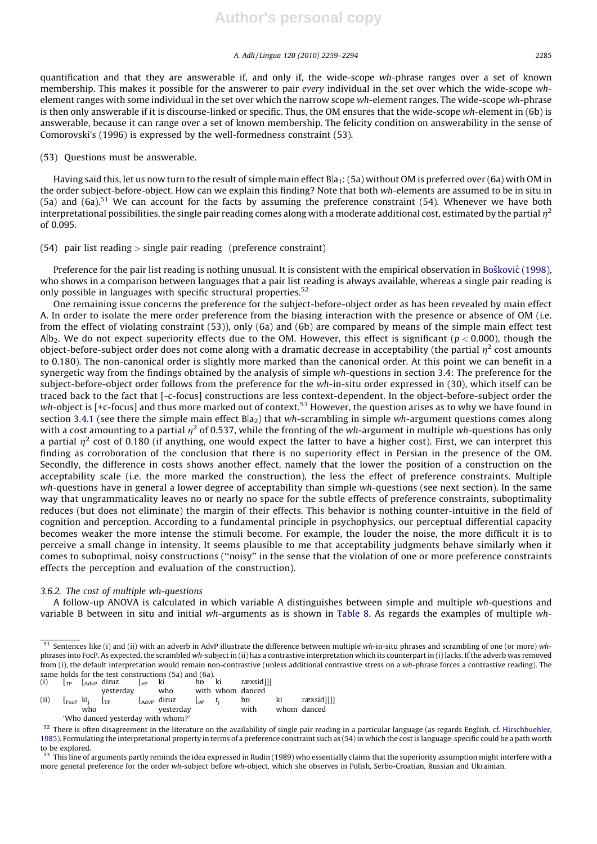quantification and that they are answerable if, and only if, the wide-scope wh-phrase ranges over a set of known membership. This makes it possible for the answerer to pair every individual in the set over which the wide-scope whelement ranges with some individual in the set over which the narrow scope wh-element ranges. The wide-scope wh-phrase is then only answerable if it is discourse-linked or specific. Thus, the OM ensures that the wide-scope wh-element in (6b) is answerable, because it can range over a set of known membership. The felicity condition on answerability in the sense of Comorovski's (1996) is expressed by the well-formedness constraint (53).

# (53) Questions must be answerable.

Having said this, let us now turn to the result of simple main effect  $B|a_1$ : (5a) without OM is preferred over (6a) with OM in the order subject-before-object. How can we explain this finding? Note that both wh-elements are assumed to be in situ in (5a) and (6a).<sup>51</sup> We can account for the facts by assuming the preference constraint (54). Whenever we have both interpretational possibilities, the single pair reading comes along with a moderate additional cost, estimated by the partial  $\eta^2$ of 0.095.

### $(54)$  pair list reading  $>$  single pair reading (preference constraint)

Preference for the pair list reading is nothing unusual. It is consistent with the empirical observation in Bošković (1998), who shows in a comparison between languages that a pair list reading is always available, whereas a single pair reading is only possible in languages with specific structural properties.<sup>52</sup>

One remaining issue concerns the preference for the subject-before-object order as has been revealed by main effect A. In order to isolate the mere order preference from the biasing interaction with the presence or absence of OM (i.e. from the effect of violating constraint (53)), only (6a) and (6b) are compared by means of the simple main effect test A $|b_2$ . We do not expect superiority effects due to the OM. However, this effect is significant ( $p < 0.000$ ), though the object-before-subject order does not come along with a dramatic decrease in acceptability (the partial  $\eta^2$  cost amounts to 0.180). The non-canonical order is slightly more marked than the canonical order. At this point we can benefit in a synergetic way from the findings obtained by the analysis of simple wh-questions in section 3.4: The preference for the subject-before-object order follows from the preference for the wh-in-situ order expressed in (30), which itself can be traced back to the fact that [-c-focus] constructions are less context-dependent. In the object-before-subject order the wh-object is  $[+c$ -focus] and thus more marked out of context.<sup>53</sup> However, the question arises as to why we have found in section 3.4.1 (see there the simple main effect  $B|a_2$ ) that wh-scrambling in simple wh-argument questions comes along with a cost amounting to a partial  $\eta^2$  of 0.537, while the fronting of the wh-argument in multiple wh-questions has only a partial  $\eta^2$  cost of 0.180 (if anything, one would expect the latter to have a higher cost). First, we can interpret this finding as corroboration of the conclusion that there is no superiority effect in Persian in the presence of the OM. Secondly, the difference in costs shows another effect, namely that the lower the position of a construction on the acceptability scale (i.e. the more marked the construction), the less the effect of preference constraints. Multiple wh-questions have in general a lower degree of acceptability than simple wh-questions (see next section). In the same way that ungrammaticality leaves no or nearly no space for the subtle effects of preference constraints, suboptimality reduces (but does not eliminate) the margin of their effects. This behavior is nothing counter-intuitive in the field of cognition and perception. According to a fundamental principle in psychophysics, our perceptual differential capacity becomes weaker the more intense the stimuli become. For example, the louder the noise, the more difficult it is to perceive a small change in intensity. It seems plausible to me that acceptability judgments behave similarly when it comes to suboptimal, noisy constructions (''noisy'' in the sense that the violation of one or more preference constraints effects the perception and evaluation of the construction).

# 3.6.2. The cost of multiple wh-questions

A follow-up ANOVA is calculated in which variable A distinguishes between simple and multiple wh-questions and variable B between in situ and initial wh-arguments as is shown in Table 8. As regards the examples of multiple wh-

 $\frac{1}{51}$  Sentences like (i) and (ii) with an adverb in AdvP illustrate the difference between multiple wh-in-situ phrases and scrambling of one (or more) whphrases into FocP. As expected, the scrambled wh-subject in (ii) has a contrastive interpretation which its counterpart in (i) lacks. If the adverb was removed from (i), the default interpretation would remain non-contrastive (unless additional contrastive stress on a wh-phrase forces a contrastive reading). The same holds for the test constructions (5a) and (6a).

|  |     |                                   | (i) $\begin{bmatrix} T_P \end{bmatrix}$ $\begin{bmatrix} A_{\text{dvP}} \end{bmatrix}$ diruz $\begin{bmatrix} v_P \end{bmatrix}$ ki $\begin{bmatrix} b_P \end{bmatrix}$ ki $\begin{bmatrix} k_I \end{bmatrix}$ (x)                                              |  |                  |               |
|--|-----|-----------------------------------|-----------------------------------------------------------------------------------------------------------------------------------------------------------------------------------------------------------------------------------------------------------------|--|------------------|---------------|
|  |     | vesterday                         | who                                                                                                                                                                                                                                                             |  | with whom danced |               |
|  |     |                                   | (ii) $\begin{bmatrix} F_{\text{OCP}} & K i_j \end{bmatrix}$ $\begin{bmatrix} T_P \\ \end{bmatrix}$ $\begin{bmatrix} A_{\text{dVP}} & \text{diruz} \end{bmatrix}$ $\begin{bmatrix} V_P & t_j \end{bmatrix}$ b $\begin{bmatrix} V_P & \text{diruz} \end{bmatrix}$ |  |                  | ki ræxsid]]]] |
|  | who |                                   | yesterday                                                                                                                                                                                                                                                       |  | with             | whom danced   |
|  |     | 'Who danced yesterday with whom?' |                                                                                                                                                                                                                                                                 |  |                  |               |

<sup>52</sup> There is often disagreement in the literature on the availability of single pair reading in a particular language (as regards English, cf. Hirschbuehler, 1985). Formulating the interpretational property in terms of a preference constraint such as (54) in which the cost is language-specific could be a path worth to be explored.

 $53$  This line of arguments partly reminds the idea expressed in Rudin (1989) who essentially claims that the superiority assumption might interfere with a more general preference for the order wh-subject before wh-object, which she observes in Polish, Serbo-Croatian, Russian and Ukrainian.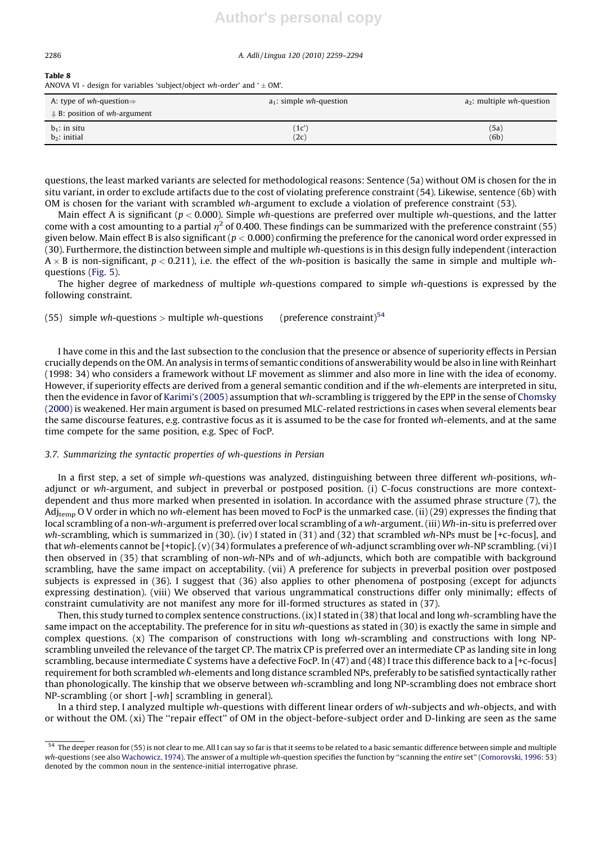# 2286 A. Adli / Lingua 120 (2010) 2259–2294

| Table 8                                                                    |
|----------------------------------------------------------------------------|
| ANOVA VI - design for variables 'subject/object wh-order' and ' $\pm$ OM'. |

| A: type of <i>wh</i> -question $\Rightarrow$ | $a_1$ : simple wh-question | $a_2$ : multiple wh-question |
|----------------------------------------------|----------------------------|------------------------------|
| $\Downarrow$ B: position of wh-argument      |                            |                              |
| $b_1$ : in situ                              | (1c')                      | (5a)                         |
| $b_2$ : initial                              | (2c)                       | (6b)                         |

questions, the least marked variants are selected for methodological reasons: Sentence (5a) without OM is chosen for the in situ variant, in order to exclude artifacts due to the cost of violating preference constraint (54). Likewise, sentence (6b) with OM is chosen for the variant with scrambled wh-argument to exclude a violation of preference constraint (53).

Main effect A is significant ( $p < 0.000$ ). Simple wh-questions are preferred over multiple wh-questions, and the latter come with a cost amounting to a partial  $\eta^2$  of 0.400. These findings can be summarized with the preference constraint (55) given below. Main effect B is also significant ( $p < 0.000$ ) confirming the preference for the canonical word order expressed in (30). Furthermore, the distinction between simple and multiple wh-questions is in this design fully independent (interaction  $A \times B$  is non-significant,  $p < 0.211$ ), i.e. the effect of the wh-position is basically the same in simple and multiple whquestions (Fig. 5).

The higher degree of markedness of multiple wh-questions compared to simple wh-questions is expressed by the following constraint.

(55) simple wh-questions > multiple wh-questions (preference constraint)<sup>54</sup>

I have come in this and the last subsection to the conclusion that the presence or absence of superiority effects in Persian crucially depends on the OM. An analysis in terms of semantic conditions of answerability would be also in line with Reinhart (1998: 34) who considers a framework without LF movement as slimmer and also more in line with the idea of economy. However, if superiority effects are derived from a general semantic condition and if the wh-elements are interpreted in situ, then the evidence in favor of Karimi's (2005) assumption that wh-scrambling is triggered by the EPP in the sense of Chomsky (2000) is weakened. Her main argument is based on presumed MLC-related restrictions in cases when several elements bear the same discourse features, e.g. contrastive focus as it is assumed to be the case for fronted wh-elements, and at the same time compete for the same position, e.g. Spec of FocP.

# 3.7. Summarizing the syntactic properties of wh-questions in Persian

In a first step, a set of simple wh-questions was analyzed, distinguishing between three different wh-positions, whadjunct or wh-argument, and subject in preverbal or postposed position. (i) C-focus constructions are more contextdependent and thus more marked when presented in isolation. In accordance with the assumed phrase structure (7), the Adj<sub>temp</sub> O V order in which no wh-element has been moved to FocP is the unmarked case. (ii) (29) expresses the finding that local scrambling of a non-wh-argument is preferred over local scrambling of a wh-argument. (iii) Wh-in-situ is preferred over wh-scrambling, which is summarized in (30). (iv) I stated in (31) and (32) that scrambled wh-NPs must be  $[+c$ -focus], and that wh-elements cannot be [+topic]. (v) (34) formulates a preference of wh-adjunct scrambling over wh-NP scrambling. (vi) I then observed in (35) that scrambling of non-wh-NPs and of wh-adjuncts, which both are compatible with background scrambling, have the same impact on acceptability. (vii) A preference for subjects in preverbal position over postposed subjects is expressed in (36). I suggest that (36) also applies to other phenomena of postposing (except for adjuncts expressing destination). (viii) We observed that various ungrammatical constructions differ only minimally; effects of constraint cumulativity are not manifest any more for ill-formed structures as stated in (37).

Then, this study turned to complex sentence constructions. (ix) I stated in (38) that local and long wh-scrambling have the same impact on the acceptability. The preference for in situ wh-questions as stated in  $(30)$  is exactly the same in simple and complex questions. (x) The comparison of constructions with long wh-scrambling and constructions with long NPscrambling unveiled the relevance of the target CP. The matrix CP is preferred over an intermediate CP as landing site in long scrambling, because intermediate C systems have a defective FocP. In (47) and (48) I trace this difference back to a [+c-focus] requirement for both scrambled wh-elements and long distance scrambled NPs, preferably to be satisfied syntactically rather than phonologically. The kinship that we observe between wh-scrambling and long NP-scrambling does not embrace short NP-scrambling (or short [-wh] scrambling in general).

In a third step, I analyzed multiple wh-questions with different linear orders of wh-subjects and wh-objects, and with or without the OM. (xi) The ''repair effect'' of OM in the object-before-subject order and D-linking are seen as the same

 $\frac{1}{54}$  The deeper reason for (55) is not clear to me. All I can say so far is that it seems to be related to a basic semantic difference between simple and multiple wh-questions (see also Wachowicz, 1974). The answer of a multiple wh-question specifies the function by "scanning the entire set" (Comorovski, 1996: 53) denoted by the common noun in the sentence-initial interrogative phrase.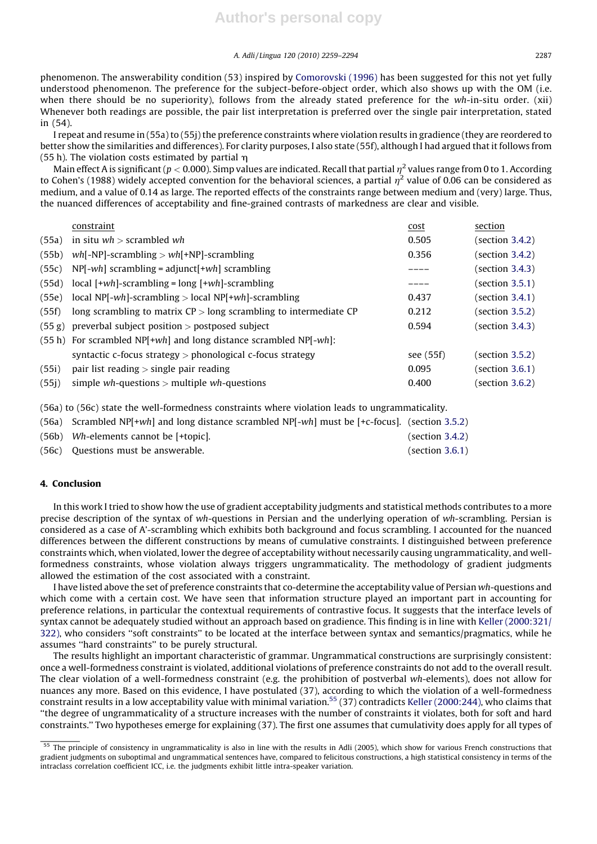phenomenon. The answerability condition (53) inspired by Comorovski (1996) has been suggested for this not yet fully understood phenomenon. The preference for the subject-before-object order, which also shows up with the OM (i.e. when there should be no superiority), follows from the already stated preference for the wh-in-situ order. (xii) Whenever both readings are possible, the pair list interpretation is preferred over the single pair interpretation, stated in (54).

I repeat and resume in (55a) to (55j) the preference constraints where violation results in gradience (they are reordered to better show the similarities and differences). For clarity purposes, I also state (55f), although I had argued that it follows from  $(55 h)$ . The violation costs estimated by partial  $n$ 

Main effect A is significant (p < 0.000). Simp values are indicated. Recall that partial  $\eta^2$  values range from 0 to 1. According to Cohen's (1988) widely accepted convention for the behavioral sciences, a partial  $\eta^2$  value of 0.06 can be considered as medium, and a value of 0.14 as large. The reported effects of the constraints range between medium and (very) large. Thus, the nuanced differences of acceptability and fine-grained contrasts of markedness are clear and visible.

| constraint                                                            | cost                                                                                                                             | section            |
|-----------------------------------------------------------------------|----------------------------------------------------------------------------------------------------------------------------------|--------------------|
| in situ $wh >$ scrambled wh                                           | 0.505                                                                                                                            | (section $3.4.2$ ) |
| wh[-NP]-scrambling $>$ wh[+NP]-scrambling                             | 0.356                                                                                                                            | (section $3.4.2$ ) |
| $NP[-wh]$ scrambling = adjunct $[+wh]$ scrambling                     |                                                                                                                                  | (section $3.4.3$ ) |
| $local$ [+wh]-scrambling = long [+wh]-scrambling                      |                                                                                                                                  | (section $3.5.1$ ) |
| local NP[-wh]-scrambling $>$ local NP[+wh]-scrambling                 | 0.437                                                                                                                            | (section $3.4.1$ ) |
| long scrambling to matrix $CP$ > long scrambling to intermediate $CP$ | 0.212                                                                                                                            | (section 3.5.2)    |
|                                                                       | 0.594                                                                                                                            | (section $3.4.3$ ) |
|                                                                       |                                                                                                                                  |                    |
| syntactic c-focus strategy > phonological c-focus strategy            | see (55f)                                                                                                                        | (section $3.5.2$ ) |
| pair list reading $>$ single pair reading                             | 0.095                                                                                                                            | (section $3.6.1$ ) |
| simple $wh$ -questions $>$ multiple $wh$ -questions                   | 0.400                                                                                                                            | (section $3.6.2$ ) |
|                                                                       | $(55 g)$ preverbal subject position $>$ postposed subject<br>$(55 h)$ For scrambled NP[+wh] and long distance scrambled NP[-wh]: |                    |

(56a) to (56c) state the well-formedness constraints where violation leads to ungrammaticality.

| (56a) Scrambled NP[+wh] and long distance scrambled NP[-wh] must be [+c-focus]. (section 3.5.2) |                    |
|-------------------------------------------------------------------------------------------------|--------------------|
| (56b) Wh-elements cannot be [+topic].                                                           | (section $3.4.2$ ) |
| (56c) Questions must be answerable.                                                             | (section 3.6.1)    |

# 4. Conclusion

In this work I tried to show how the use of gradient acceptability judgments and statistical methods contributes to a more precise description of the syntax of wh-questions in Persian and the underlying operation of wh-scrambling. Persian is considered as a case of A'-scrambling which exhibits both background and focus scrambling. I accounted for the nuanced differences between the different constructions by means of cumulative constraints. I distinguished between preference constraints which, when violated, lower the degree of acceptability without necessarily causing ungrammaticality, and wellformedness constraints, whose violation always triggers ungrammaticality. The methodology of gradient judgments allowed the estimation of the cost associated with a constraint.

I have listed above the set of preference constraints that co-determine the acceptability value of Persian wh-questions and which come with a certain cost. We have seen that information structure played an important part in accounting for preference relations, in particular the contextual requirements of contrastive focus. It suggests that the interface levels of syntax cannot be adequately studied without an approach based on gradience. This finding is in line with Keller (2000:321/ 322), who considers ''soft constraints'' to be located at the interface between syntax and semantics/pragmatics, while he assumes ''hard constraints'' to be purely structural.

The results highlight an important characteristic of grammar. Ungrammatical constructions are surprisingly consistent: once a well-formedness constraint is violated, additional violations of preference constraints do not add to the overall result. The clear violation of a well-formedness constraint (e.g. the prohibition of postverbal wh-elements), does not allow for nuances any more. Based on this evidence, I have postulated (37), according to which the violation of a well-formedness constraint results in a low acceptability value with minimal variation.<sup>55</sup> (37) contradicts Keller (2000:244), who claims that ''the degree of ungrammaticality of a structure increases with the number of constraints it violates, both for soft and hard constraints.'' Two hypotheses emerge for explaining (37). The first one assumes that cumulativity does apply for all types of

 $\frac{1}{55}$  The principle of consistency in ungrammaticality is also in line with the results in Adli (2005), which show for various French constructions that gradient judgments on suboptimal and ungrammatical sentences have, compared to felicitous constructions, a high statistical consistency in terms of the intraclass correlation coefficient ICC, i.e. the judgments exhibit little intra-speaker variation.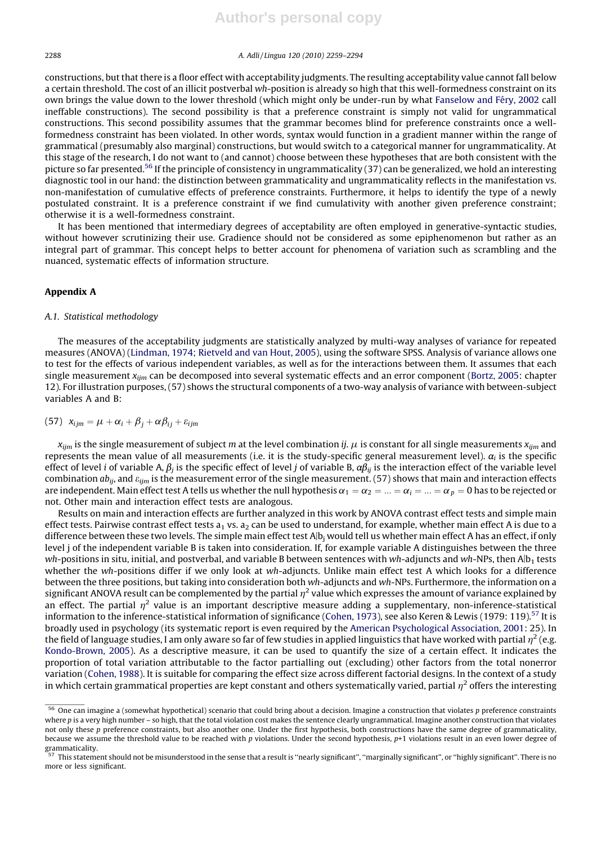constructions, but that there is a floor effect with acceptability judgments. The resulting acceptability value cannot fall below a certain threshold. The cost of an illicit postverbal wh-position is already so high that this well-formedness constraint on its own brings the value down to the lower threshold (which might only be under-run by what Fanselow and Féry, 2002 call ineffable constructions). The second possibility is that a preference constraint is simply not valid for ungrammatical constructions. This second possibility assumes that the grammar becomes blind for preference constraints once a wellformedness constraint has been violated. In other words, syntax would function in a gradient manner within the range of grammatical (presumably also marginal) constructions, but would switch to a categorical manner for ungrammaticality. At this stage of the research, I do not want to (and cannot) choose between these hypotheses that are both consistent with the picture so far presented.56 If the principle of consistency in ungrammaticality (37) can be generalized, we hold an interesting diagnostic tool in our hand: the distinction between grammaticality and ungrammaticality reflects in the manifestation vs. non-manifestation of cumulative effects of preference constraints. Furthermore, it helps to identify the type of a newly postulated constraint. It is a preference constraint if we find cumulativity with another given preference constraint; otherwise it is a well-formedness constraint.

It has been mentioned that intermediary degrees of acceptability are often employed in generative-syntactic studies, without however scrutinizing their use. Gradience should not be considered as some epiphenomenon but rather as an integral part of grammar. This concept helps to better account for phenomena of variation such as scrambling and the nuanced, systematic effects of information structure.

# Appendix A

### A.1. Statistical methodology

The measures of the acceptability judgments are statistically analyzed by multi-way analyses of variance for repeated measures (ANOVA) (Lindman, 1974; Rietveld and van Hout, 2005), using the software SPSS. Analysis of variance allows one to test for the effects of various independent variables, as well as for the interactions between them. It assumes that each single measurement  $x_{ijm}$  can be decomposed into several systematic effects and an error component (Bortz, 2005: chapter 12). For illustration purposes, (57) shows the structural components of a two-way analysis of variance with between-subject variables A and B:

$$
(57) \ \ x_{ijm} = \mu + \alpha_i + \beta_j + \alpha \beta_{ij} + \varepsilon_{ijm}
$$

 $x_{lim}$  is the single measurement of subject m at the level combination ij.  $\mu$  is constant for all single measurements  $x_{lim}$  and represents the mean value of all measurements (i.e. it is the study-specific general measurement level).  $\alpha_i$  is the specific effect of level *i* of variable A,  $\beta_i$  is the specific effect of level *j* of variable B,  $\alpha\beta_{ij}$  is the interaction effect of the variable level combination ab<sub>ij</sub>, and  $\varepsilon_{ijm}$  is the measurement error of the single measurement. (57) shows that main and interaction effects are independent. Main effect test A tells us whether the null hypothesis  $\alpha_1 = \alpha_2 = ... = \alpha_i = ... = \alpha_p = 0$  has to be rejected or not. Other main and interaction effect tests are analogous.

Results on main and interaction effects are further analyzed in this work by ANOVA contrast effect tests and simple main effect tests. Pairwise contrast effect tests  $a_1$  vs.  $a_2$  can be used to understand, for example, whether main effect A is due to a difference between these two levels. The simple main effect test  $A|b_i$  would tell us whether main effect A has an effect, if only level j of the independent variable B is taken into consideration. If, for example variable A distinguishes between the three wh-positions in situ, initial, and postverbal, and variable B between sentences with wh-adjuncts and wh-NPs, then  $A|b_1$  tests whether the wh-positions differ if we only look at wh-adjuncts. Unlike main effect test A which looks for a difference between the three positions, but taking into consideration both wh-adjuncts and wh-NPs. Furthermore, the information on a significant ANOVA result can be complemented by the partial  $n^2$  value which expresses the amount of variance explained by an effect. The partial  $\eta^2$  value is an important descriptive measure adding a supplementary, non-inference-statistical information to the inference-statistical information of significance (Cohen, 1973), see also Keren & Lewis (1979: 119).<sup>57</sup> It is broadly used in psychology (its systematic report is even required by the American Psychological Association, 2001: 25). In the field of language studies, I am only aware so far of few studies in applied linguistics that have worked with partial  $\eta^2$  (e.g. Kondo-Brown, 2005). As a descriptive measure, it can be used to quantify the size of a certain effect. It indicates the proportion of total variation attributable to the factor partialling out (excluding) other factors from the total nonerror variation (Cohen, 1988). It is suitable for comparing the effect size across different factorial designs. In the context of a study in which certain grammatical properties are kept constant and others systematically varied, partial  $\eta^2$  offers the interesting

 $\frac{1}{56}$  One can imagine a (somewhat hypothetical) scenario that could bring about a decision. Imagine a construction that violates p preference constraints where p is a very high number – so high, that the total violation cost makes the sentence clearly ungrammatical. Imagine another construction that violates not only these p preference constraints, but also another one. Under the first hypothesis, both constructions have the same degree of grammaticality, because we assume the threshold value to be reached with p violations. Under the second hypothesis, p+1 violations result in an even lower degree of grammaticality.

 $^{57}$  This statement should not be misunderstood in the sense that a result is "nearly significant", "marginally significant", or "highly significant". There is no more or less significant.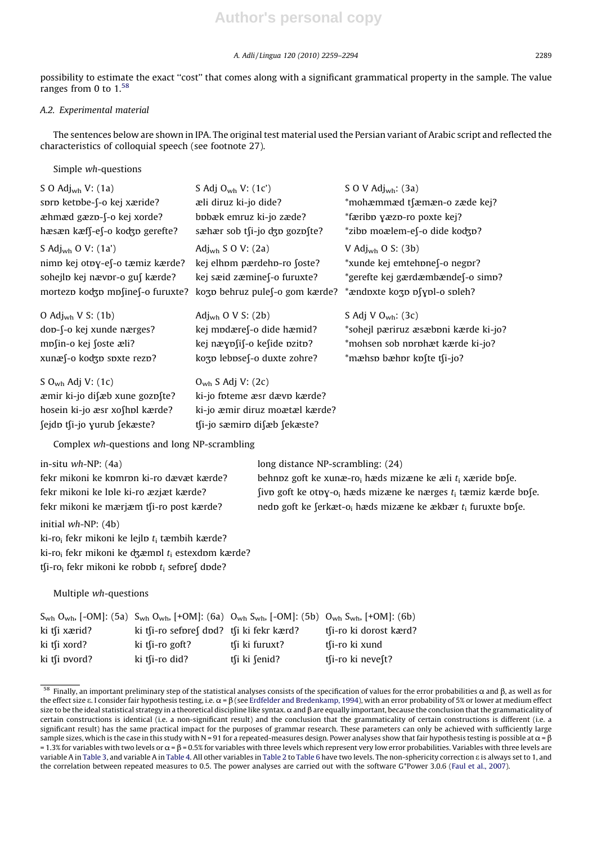### A. Adli / Lingua 120 (2010) 2259–2294 2289

possibility to estimate the exact ''cost'' that comes along with a significant grammatical property in the sample. The value ranges from 0 to 1.58

# A.2. Experimental material

The sentences below are shown in IPA. The original test material used the Persian variant of Arabic script and reflected the characteristics of colloquial speech (see footnote 27).

Simple wh-questions

| S O Adj <sub>wh</sub> V: $(1a)$  | S Adj O <sub>wh</sub> V: $(1c')$ | S O V Adj <sub>wh</sub> : $(3a)$     |
|----------------------------------|----------------------------------|--------------------------------------|
| sprp ketpbe-f-o kej xæride?      | æli diruz ki-jo dide?            | *mohæmmæd tsæmæn-o zæde kej?         |
| æhmæd gæzp-f-o kej xorde?        | bobæk emruz ki-jo zæde?          | *færibp yæzp-ro poxte kej?           |
| hæsæn kæff-ef-o kodzp gerefte?   | sæhær sob t∫i-jo dzp gozp∫te?    | *zibp moælem-ef-o dide kod3p?        |
| S Adj <sub>wh</sub> O V: $(1a')$ | Adj <sub>wh</sub> S O V: $(2a)$  | V Adj <sub>wh</sub> O S: $(3b)$      |
| nimp kej otpy-e∫-o tæmiz kærde?  | kej elhom pærdeho-ro foste?      | *xunde kej emtehpnef-o negpr?        |
| sohejlp kej nævpr-o guf kærde?   | kej sæid zæminef-o furuxte?      | *gerefte kej gærdæmbændef-o simp?    |
| mortezp kodzp mpfinef-o furuxte? | kozp behruz pule∫-o gom kærde?   | *ændpxte kozp p∫ypl-o spleh?         |
| O Adj <sub>wh</sub> V S: $(1b)$  | Adj <sub>wh</sub> O V S: $(2b)$  | S Adj V $O_{wh}$ : (3c)              |
| dop-f-o kej xunde nærges?        | kej mpdære∫-o dide hæmid?        | *sohejl pæriruz æsæbpni kærde ki-jo? |
| mpsin-o kej soste æli?           | kej næyp∫i∫-o ke∫ide pzitp?      | *mohsen sob nprphæt kærde ki-jo?     |
| xunæ∫-o kodzp spxte rezp?        | kozp lebpses-o duxte zohre?      | *mæhsp bæhpr kp{te t{i-jo?           |
| S O <sub>wh</sub> Adj V: $(1c)$  | $O_{wh}$ S Adj V: (2c)           |                                      |
| æmir ki-jo di∫æb xune gozp∫te?   | ki-jo foteme æsr dævo kærde?     |                                      |
| hosein ki-jo æsr xofhpl kærde?   | ki-jo æmir diruz moætæl kærde?   |                                      |
| ∫ejdp t∫i-jo yurub ∫ekæste?      | tfi-jo sæmirp difæb fekæste?     |                                      |

Complex wh-questions and long NP-scrambling

in-situ wh-NP: (4a) long distance NP-scrambling: (24) fekr mikoni ke kɒmrɒn ki-ro dævæt kærde? behnɒz goft ke xunæ-ro<sub>i</sub> hæds mizæne ke æli t<sub>i</sub> xæride bɒfe. fekr mikoni ke lɒle ki-ro æzjæt kærde?  $\qquad \qquad$  (ivɒ goft ke otpy-o<sub>i</sub> hæds mizæne ke nærges t<sub>i</sub> tæmiz kærde bɒ{e. fekr mikoni ke mærjæm tfi-ro post kærde? nedb goft ke ferkæt-o $\epsilon_i$  hæds mizæne ke ækbær  $t_i$  furuxte b $\epsilon_i$  fer

initial wh-NP: (4b)

ki-ro<sub>i</sub> fekr mikoni ke lejl $b$  t<sub>i</sub> tæmbih kærde? ki-ro<sub>i</sub> fekr mikoni ke dzæmpl  $t_i$  estexdpm kærde? tfi-ro<sub>i</sub> fekr mikoni ke robob  $t_i$  seforef dode?

Multiple wh-questions

|               | $S_{wh}$ O <sub>wh</sub> , [-OM]: (5a) $S_{wh}$ O <sub>wh</sub> , [+OM]: (6a) O <sub>wh</sub> S <sub>wh</sub> , [-OM]: (5b) O <sub>wh</sub> S <sub>wh</sub> , [+OM]: (6b) |                |                        |
|---------------|---------------------------------------------------------------------------------------------------------------------------------------------------------------------------|----------------|------------------------|
| ki tsi xærid? | ki tfi-ro sefpref dpd? tfi ki fekr kærd?                                                                                                                                  |                | tsi-ro ki dorost kærd? |
| ki tsi xord?  | ki tsi-ro goft?                                                                                                                                                           | tsi ki furuxt? | tsi-ro ki xund         |
| ki tsi pvord? | ki tsi-ro did?                                                                                                                                                            | tsi ki senid?  | tsi-ro ki nevest?      |

 $\frac{1}{58}$  Finally, an important preliminary step of the statistical analyses consists of the specification of values for the error probabilities α and β, as well as for the effect size ε. I consider fair hypothesis testing, i.e.  $\alpha = \beta$  (see Erdfelder and Bredenkamp, 1994), with an error probability of 5% or lower at medium effect size to be the ideal statistical strategy in a theoretical discipline like syntax. α and β are equally important, because the conclusion that the grammaticality of certain constructions is identical (i.e. a non-significant result) and the conclusion that the grammaticality of certain constructions is different (i.e. a significant result) has the same practical impact for the purposes of grammar research. These parameters can only be achieved with sufficiently large sample sizes, which is the case in this study with N = 91 for a repeated-measures design. Power analyses show that fair hypothesis testing is possible at  $\alpha = \beta$ = 1.3% for variables with two levels or  $\alpha$  =  $\beta$  = 0.5% for variables with three levels which represent very low error probabilities. Variables with three levels are variable A in Table 3, and variable A in Table 4. All other variables in Table 2 to Table 6 have two levels. The non-sphericity correction e is always set to 1, and the correlation between repeated measures to 0.5. The power analyses are carried out with the software G\*Power 3.0.6 (Faul et al., 2007).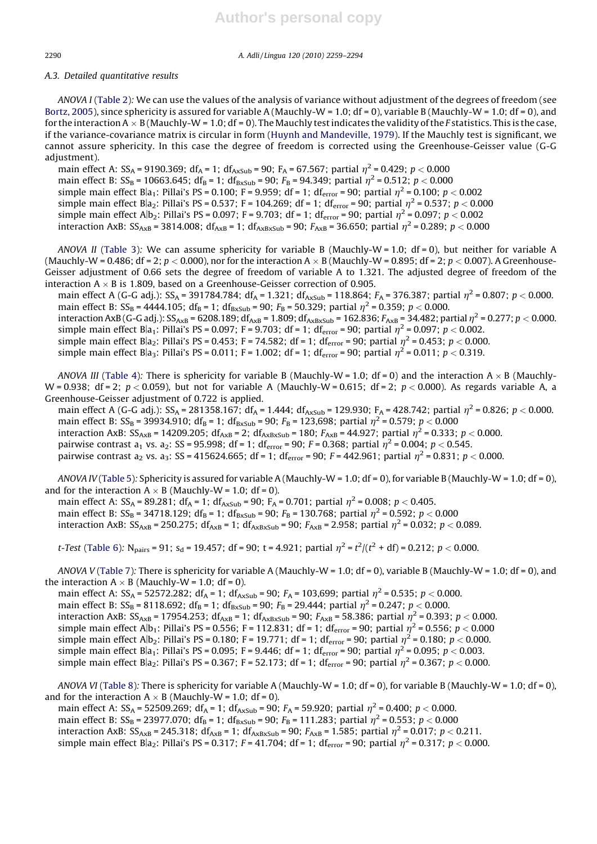#### 2290 A. Adli / Lingua 120 (2010) 2259–2294

# A.3. Detailed quantitative results

ANOVA I (Table 2): We can use the values of the analysis of variance without adjustment of the degrees of freedom (see Bortz, 2005), since sphericity is assured for variable A (Mauchly-W = 1.0; df = 0), variable B (Mauchly-W = 1.0; df = 0), and for the interaction A  $\times$  B (Mauchly-W = 1.0; df = 0). The Mauchly test indicates the validity of the F statistics. This is the case, if the variance-covariance matrix is circular in form (Huynh and Mandeville, 1979). If the Mauchly test is significant, we cannot assure sphericity. In this case the degree of freedom is corrected using the Greenhouse-Geisser value (G-G adjustment).

main effect A:  $SS_A$  = 9190.369; df<sub>A</sub> = 1; df<sub>AxSub</sub> = 90; F<sub>A</sub> = 67.567; partial  $\eta^2$  = 0.429;  $p < 0.000$ main effect B:  $SS_B = 10663.645$ ; df<sub>B</sub> = 1; df<sub>BxSub</sub> = 90;  $F_B = 94.349$ ; partial  $\eta^2 = 0.512$ ;  $p < 0.000$ simple main effect B|a<sub>1</sub>: Pillai's PS = 0.100; F = 9.959; df = 1; df<sub>error</sub> = 90; partial  $\eta^2$  = 0.100; p < 0.002 simple main effect B|a<sub>2</sub>: Pillai's PS = 0.537; F = 104.269; df = 1; df<sub>error</sub> = 90; partial  $\eta^2$  = 0.537; p < 0.000 simple main effect A|b<sub>2</sub>: Pillai's PS = 0.097; F = 9.703; df = 1; df<sub>error</sub> = 90; partial  $\eta^2$  = 0.097; p < 0.002 interaction AxB:  $SS_{AxB} = 3814.008$ ; df<sub>AxB</sub> = 1; df<sub>AxBxSub</sub> = 90;  $F_{AxB} = 36.650$ ; partial  $\eta^2 = 0.289$ ;  $p < 0.000$ 

ANOVA II (Table 3): We can assume sphericity for variable B (Mauchly-W = 1.0;  $df = 0$ ), but neither for variable A (Mauchly-W = 0.486; df = 2;  $p < 0.000$ ), nor for the interaction  $A \times B$  (Mauchly-W = 0.895; df = 2;  $p < 0.007$ ). A Greenhouse-Geisser adjustment of 0.66 sets the degree of freedom of variable A to 1.321. The adjusted degree of freedom of the interaction  $A \times B$  is 1.809, based on a Greenhouse-Geisser correction of 0.905.

main effect A (G-G adj.):  $SS_A = 391784.784$ ; df<sub>A</sub> = 1.321; df<sub>AxSub</sub> = 118.864; F<sub>A</sub> = 376.387; partial  $\eta^2$  = 0.807; p < 0.000. main effect B:  $SS_B = 4444.105$ ; df<sub>B</sub> = 1; df<sub>BxSub</sub> = 90; F<sub>B</sub> = 50.329; partial  $\eta^2$  = 0.359; p < 0.000. interaction AxB (G-G adj.):  $SS_{AxB}$  = 6208.189; df<sub>AxB</sub> = 1.809; df<sub>AxBxSub</sub> = 162.836; F<sub>AxB</sub> = 34.482; partial  $\eta^2$  = 0.277; p < 0.000. simple main effect B|a<sub>1</sub>: Pillai's PS = 0.097; F = 9.703; df = 1; df<sub>error</sub> = 90; partial  $\eta^2$  = 0.097;  $p < 0.002$ . simple main effect B|a<sub>2</sub>: Pillai's PS = 0.453; F = 74.582; df = 1; df<sub>error</sub> = 90; partial  $\eta^2$  = 0.453; p < 0.000. simple main effect B|a<sub>3</sub>: Pillai's PS = 0.011; F = 1.002; df = 1; df<sub>error</sub> = 90; partial  $\eta^2$  = 0.011; p < 0.319.

ANOVA III (Table 4): There is sphericity for variable B (Mauchly-W = 1.0; df = 0) and the interaction  $A \times B$  (Mauchly-W = 0.938; df = 2;  $p < 0.059$ ), but not for variable A (Mauchly-W = 0.615; df = 2;  $p < 0.000$ ). As regards variable A, a Greenhouse-Geisser adjustment of 0.722 is applied.

main effect A (G-G adj.):  $SS_A = 281358.167$ ; df<sub>A</sub> = 1.444; df<sub>AxSub</sub> = 129.930; F<sub>A</sub> = 428.742; partial  $\eta^2$  = 0.826; p < 0.000. main effect B:  $SS_B$  = 39934.910; df<sub>B</sub> = 1; df<sub>BxSub</sub> = 90;  $F_B$  = 123,698; partial  $\eta^2$  = 0.579;  $p < 0.000$ interaction AxB:  $SS_{AxB} = 14209.205$ ; df<sub>AxB</sub> = 2; df<sub>AxBxSub</sub> = 180;  $F_{AxB} = 44.927$ ; partial  $\eta^2$  = 0.333;  $p < 0.000$ . pairwise contrast  $a_1$  vs.  $a_2$ : SS = 95.998; df = 1; df<sub>error</sub> = 90; F = 0.368; partial  $\eta^2$  = 0.004;  $p < 0.545$ . pairwise contrast  $a_2$  vs.  $a_3$ : SS = 415624.665; df = 1; df<sub>error</sub> = 90; F = 442.961; partial  $\eta^2$  = 0.831; p < 0.000.

ANOVA IV (Table 5): Sphericity is assured for variable A (Mauchly-W = 1.0; df = 0), for variable B (Mauchly-W = 1.0; df = 0), and for the interaction  $A \times B$  (Mauchly-W = 1.0; df = 0).

main effect A:  $SS_A = 89.281$ ;  $df_A = 1$ ;  $df_{AxSub} = 90$ ;  $F_A = 0.701$ ; partial  $\eta^2 = 0.008$ ;  $p < 0.405$ . main effect B:  $SS_B = 34718.129$ ; df<sub>B</sub> = 1; df<sub>BxSub</sub> = 90;  $F_B = 130.768$ ; partial  $\eta^2 = 0.592$ ;  $p < 0.000$ interaction AxB:  $SS_{AxB} = 250.275$ ; df<sub>AxB</sub> = 1; df<sub>AxBxSub</sub> = 90;  $F_{AxB} = 2.958$ ; partial  $\eta^2$  = 0.032;  $p < 0.089$ .

t-Test (Table 6): N<sub>pairs</sub> = 91; s<sub>d</sub> = 19.457; df = 90; t = 4.921; partial  $\eta^2$  = t<sup>2</sup>/(t<sup>2</sup> + df) = 0.212; p < 0.000.

ANOVA V (Table 7): There is sphericity for variable A (Mauchly-W = 1.0; df = 0), variable B (Mauchly-W = 1.0; df = 0), and the interaction  $A \times B$  (Mauchly-W = 1.0; df = 0).

main effect A:  $SS_A = 52572.282$ ; df<sub>A</sub> = 1; df<sub>AxSub</sub> = 90;  $F_A = 103,699$ ; partial  $\eta^2 = 0.535$ ;  $p < 0.000$ . main effect B:  $SS_B = 8118.692$ ; df<sub>B</sub> = 1; df<sub>BxSub</sub> = 90; F<sub>B</sub> = 29.444; partial  $\eta^2$  = 0.247; p < 0.000. interaction AxB:  $SS_{AxB}$  = 17954.253; df<sub>AxB</sub> = 1; df<sub>AxBxSub</sub> = 90;  $F_{AxB}$  = 58.386; partial  $\eta^2$  = 0.393;  $p < 0.000$ . simple main effect A|b<sub>1</sub>: Pillai's PS = 0.556; F = 112.831; df = 1; df<sub>error</sub> = 90; partial  $\eta^2$  = 0.556; p < 0.000 simple main effect A|b<sub>2</sub>: Pillai's PS = 0.180; F = 19.771; df = 1; df<sub>error</sub> = 90; partial  $\eta^2$  = 0.180; p < 0.000. simple main effect B|a<sub>1</sub>: Pillai's PS = 0.095; F = 9.446; df = 1; df<sub>error</sub> = 90; partial  $\eta^2$  = 0.095; p < 0.003. simple main effect B|a<sub>2</sub>: Pillai's PS = 0.367; F = 52.173; df = 1; df<sub>error</sub> = 90; partial  $\eta^2$  = 0.367; p < 0.000.

ANOVA VI (Table 8): There is sphericity for variable A (Mauchly-W = 1.0; df = 0), for variable B (Mauchly-W = 1.0; df = 0). and for the interaction  $A \times B$  (Mauchly-W = 1.0; df = 0).

main effect A:  $SS_A = 52509.269$ ; df<sub>A</sub> = 1; df<sub>AxSub</sub> = 90;  $F_A = 59.920$ ; partial  $\eta^2$  = 0.400;  $p < 0.000$ . main effect B:  $SS_B = 23977.070$ ; df<sub>B</sub> = 1; df<sub>BxSub</sub> = 90;  $F_B = 111.283$ ; partial  $\eta^2 = 0.553$ ;  $p < 0.000$ interaction AxB:  $SS_{AxB} = 245.318$ ;  $df_{AxB} = 1$ ;  $df_{AxBxSub} = 90$ ;  $F_{AxB} = 1.585$ ; partial  $\eta^2 = 0.017$ ;  $p < 0.211$ . simple main effect B|a<sub>2</sub>: Pillai's PS = 0.317; F = 41.704; df = 1; df<sub>error</sub> = 90; partial  $\eta^2$  = 0.317; p < 0.000.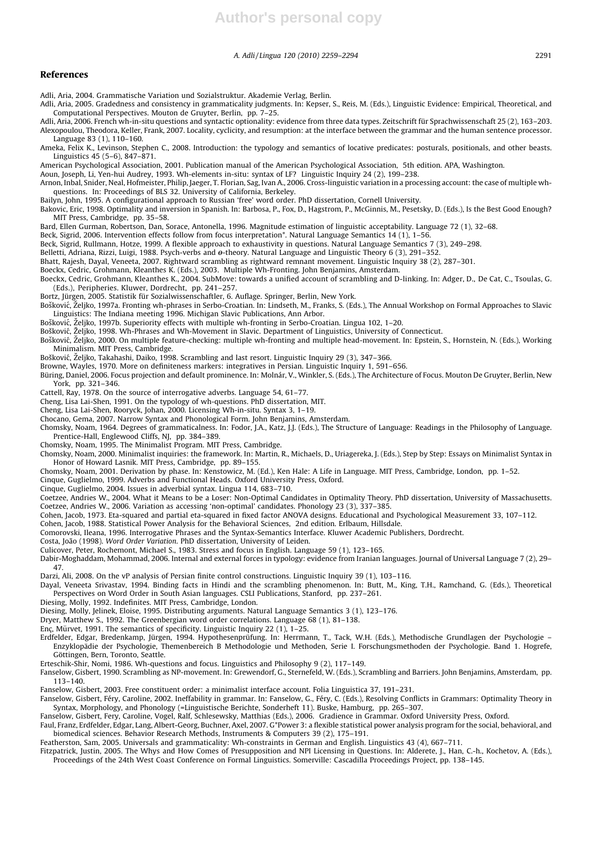#### A. Adli / Lingua 120 (2010) 2259–2294 2291

#### References

Adli, Aria, 2004. Grammatische Variation und Sozialstruktur. Akademie Verlag, Berlin.

Adli, Aria, 2005. Gradedness and consistency in grammaticality judgments. In: Kepser, S., Reis, M. (Eds.), Linguistic Evidence: Empirical, Theoretical, and Computational Perspectives. Mouton de Gruyter, Berlin, pp. 7–25.

Adli, Aria, 2006. French wh-in-situ questions and syntactic optionality: evidence from three data types. Zeitschrift fu¨ r Sprachwissenschaft 25 (2), 163–203. Alexopoulou, Theodora, Keller, Frank, 2007. Locality, cyclicity, and resumption: at the interface between the grammar and the human sentence processor. Language 83 (1), 110–160.

Ameka, Felix K., Levinson, Stephen C., 2008. Introduction: the typology and semantics of locative predicates: posturals, positionals, and other beasts. Linguistics 45 (5–6), 847–871.

American Psychological Association, 2001. Publication manual of the American Psychological Association, 5th edition. APA, Washington.

Aoun, Joseph, Li, Yen-hui Audrey, 1993. Wh-elements in-situ: syntax of LF? Linguistic Inquiry 24 (2), 199–238.

Arnon, Inbal, Snider, Neal, Hofmeister, Philip, Jaeger, T. Florian, Sag, Ivan A., 2006. Cross-linguistic variation in a processing account: the case of multiple whquestions. In: Proceedings of BLS 32. University of California, Berkeley.

Bailyn, John, 1995. A configurational approach to Russian 'free' word order. PhD dissertation, Cornell University.

Bakovic, Eric, 1998. Optimality and inversion in Spanish. In: Barbosa, P., Fox, D., Hagstrom, P., McGinnis, M., Pesetsky, D. (Eds.), Is the Best Good Enough? MIT Press, Cambridge, pp. 35–58.

Bard, Ellen Gurman, Robertson, Dan, Sorace, Antonella, 1996. Magnitude estimation of linguistic acceptability. Language 72 (1), 32–68.

Beck, Sigrid, 2006. Intervention effects follow from focus interpretation\*. Natural Language Semantics 14 (1), 1-56.

Beck, Sigrid, Rullmann, Hotze, 1999. A flexible approach to exhaustivity in questions. Natural Language Semantics 7 (3), 249–298. Belletti, Adriana, Rizzi, Luigi, 1988. Psych-verbs and ɵ-theory. Natural Language and Linguistic Theory 6 (3), 291–352.

Bhatt, Rajesh, Dayal, Veneeta, 2007. Rightward scrambling as rightward remnant movement. Linguistic Inquiry 38 (2), 287–301.

Boeckx, Cedric, Grohmann, Kleanthes K. (Eds.), 2003. Multiple Wh-Fronting. John Benjamins, Amsterdam.

Boeckx, Cedric, Grohmann, Kleanthes K., 2004. SubMove: towards a unified account of scrambling and D-linking. In: Adger, D., De Cat, C., Tsoulas, G. (Eds.), Peripheries. Kluwer, Dordrecht, pp. 241–257.

Bortz, Jürgen, 2005. Statistik für Sozialwissenschaftler, 6. Auflage. Springer, Berlin, New York.

Bošković, Željko, 1997a. Fronting wh-phrases in Serbo-Croatian. In: Lindseth, M., Franks, S. (Eds.), The Annual Workshop on Formal Approaches to Slavic Linguistics: The Indiana meeting 1996. Michigan Slavic Publications, Ann Arbor.

Bošković, Željko, 1997b. Superiority effects with multiple wh-fronting in Serbo-Croatian. Lingua 102, 1-20.

Bošković, Željko, 1998. Wh-Phrases and Wh-Movement in Slavic. Department of Linguistics, University of Connecticut.

Bošković, Željko, 2000. On multiple feature-checking: multiple wh-fronting and multiple head-movement. In: Epstein, S., Hornstein, N. (Eds.), Working Minimalism. MIT Press, Cambridge.

Bošković, Željko, Takahashi, Daiko, 1998. Scrambling and last resort. Linguistic Inquiry 29 (3), 347–366.

Browne, Wayles, 1970. More on definiteness markers: integratives in Persian. Linguistic Inquiry 1, 591–656.

Büring, Daniel, 2006. Focus projection and default prominence. In: Molnár, V., Winkler, S. (Eds.), The Architecture of Focus. Mouton De Gruyter, Berlin, New York, pp. 321–346.

Cattell, Ray, 1978. On the source of interrogative adverbs. Language 54, 61–77.

Cheng, Lisa Lai-Shen, 1991. On the typology of wh-questions. PhD dissertation, MIT.

Cheng, Lisa Lai-Shen, Rooryck, Johan, 2000. Licensing Wh-in-situ. Syntax 3, 1–19.

Chocano, Gema, 2007. Narrow Syntax and Phonological Form. John Benjamins, Amsterdam.

Chomsky, Noam, 1964. Degrees of grammaticalness. In: Fodor, J.A., Katz, J.J. (Eds.), The Structure of Language: Readings in the Philosophy of Language. Prentice-Hall, Englewood Cliffs, NJ, pp. 384-389.

Chomsky, Noam, 1995. The Minimalist Program. MIT Press, Cambridge.

Chomsky, Noam, 2000. Minimalist inquiries: the framework. In: Martin, R., Michaels, D., Uriagereka, J. (Eds.), Step by Step: Essays on Minimalist Syntax in Honor of Howard Lasnik. MIT Press, Cambridge, pp. 89–155.

Chomsky, Noam, 2001. Derivation by phase. In: Kenstowicz, M. (Ed.), Ken Hale: A Life in Language. MIT Press, Cambridge, London, pp. 1–52.

Cinque, Guglielmo, 1999. Adverbs and Functional Heads. Oxford University Press, Oxford.

Cinque, Guglielmo, 2004. Issues in adverbial syntax. Lingua 114, 683–710.

Coetzee, Andries W., 2004. What it Means to be a Loser: Non-Optimal Candidates in Optimality Theory. PhD dissertation, University of Massachusetts. Coetzee, Andries W., 2006. Variation as accessing 'non-optimal' candidates. Phonology 23 (3), 337–385.

Cohen, Jacob, 1973. Eta-squared and partial eta-squared in fixed factor ANOVA designs. Educational and Psychological Measurement 33, 107–112.

Cohen, Jacob, 1988. Statistical Power Analysis for the Behavioral Sciences, 2nd edition. Erlbaum, Hillsdale.

Comorovski, Ileana, 1996. Interrogative Phrases and the Syntax-Semantics Interface. Kluwer Academic Publishers, Dordrecht.

Costa, João (1998). Word Order Variation. PhD dissertation, University of Leiden.

Culicover, Peter, Rochemont, Michael S., 1983. Stress and focus in English. Language 59 (1), 123–165.

Dabir-Moghaddam, Mohammad, 2006. Internal and external forces in typology: evidence from Iranian languages. Journal of Universal Language 7 (2), 29– 47.

Darzi, Ali, 2008. On the vP analysis of Persian finite control constructions. Linguistic Inquiry 39 (1), 103–116.

Dayal, Veneeta Srivastav, 1994. Binding facts in Hindi and the scrambling phenomenon. In: Butt, M., King, T.H., Ramchand, G. (Eds.), Theoretical Perspectives on Word Order in South Asian languages. CSLI Publications, Stanford, pp. 237–261.

Diesing, Molly, 1992. Indefinites. MIT Press, Cambridge, London.

Diesing, Molly, Jelinek, Eloise, 1995. Distributing arguments. Natural Language Semantics 3 (1), 123–176.

Dryer, Matthew S., 1992. The Greenbergian word order correlations. Language 68 (1), 81–138.

Enç, Mürvet, 1991. The semantics of specificity. Linguistic Inquiry 22 (1), 1-25.

Erdfelder, Edgar, Bredenkamp, Jürgen, 1994. Hypothesenprüfung. In: Herrmann, T., Tack, W.H. (Eds.), Methodische Grundlagen der Psychologie -Enzyklopädie der Psychologie, Themenbereich B Methodologie und Methoden, Serie I. Forschungsmethoden der Psychologie. Band 1. Hogrefe, Göttingen, Bern, Toronto, Seattle.

Erteschik-Shir, Nomi, 1986. Wh-questions and focus. Linguistics and Philosophy 9 (2), 117–149.

Fanselow, Gisbert, 1990. Scrambling as NP-movement. In: Grewendorf, G., Sternefeld, W. (Eds.), Scrambling and Barriers. John Benjamins, Amsterdam, pp. 113–140.

Fanselow, Gisbert, 2003. Free constituent order: a minimalist interface account. Folia Linguistica 37, 191–231.

Fanselow, Gisbert, Féry, Caroline, 2002. Ineffability in grammar. In: Fanselow, G., Féry, C. (Eds.), Resolving Conflicts in Grammars: Optimality Theory in Syntax, Morphology, and Phonology (=Linguistische Berichte, Sonderheft 11). Buske, Hamburg, pp. 265–307.

Fanselow, Gisbert, Fery, Caroline, Vogel, Ralf, Schlesewsky, Matthias (Eds.), 2006. Gradience in Grammar. Oxford University Press, Oxford.

Faul, Franz, Erdfelder, Edgar, Lang, Albert-Georg, Buchner, Axel, 2007. G\*Power 3: a flexible statistical power analysis program for the social, behavioral, and biomedical sciences. Behavior Research Methods, Instruments & Computers 39 (2), 175–191.

Featherston, Sam, 2005. Universals and grammaticality: Wh-constraints in German and English. Linguistics 43 (4), 667–711.

Fitzpatrick, Justin, 2005. The Whys and How Comes of Presupposition and NPI Licensing in Questions. In: Alderete, J., Han, C.-h., Kochetov, A. (Eds.), Proceedings of the 24th West Coast Conference on Formal Linguistics. Somerville: Cascadilla Proceedings Project, pp. 138–145.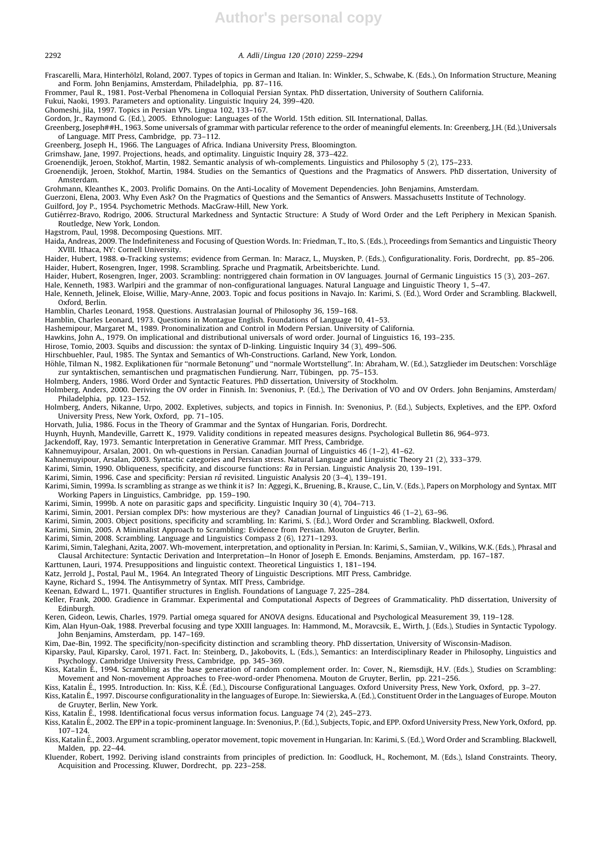#### 2292 A. Adli / Lingua 120 (2010) 2259–2294

Frascarelli, Mara, Hinterhölzl, Roland, 2007. Types of topics in German and Italian. In: Winkler, S., Schwabe, K. (Eds.), On Information Structure, Meaning and Form. John Benjamins, Amsterdam, Philadelphia, pp. 87–116.

Frommer, Paul R., 1981. Post-Verbal Phenomena in Colloquial Persian Syntax. PhD dissertation, University of Southern California.

Fukui, Naoki, 1993. Parameters and optionality. Linguistic Inquiry 24, 399–420.

Ghomeshi, Jila, 1997. Topics in Persian VPs. Lingua 102, 133–167.

Gordon, Jr., Raymond G. (Ed.), 2005. Ethnologue: Languages of the World. 15th edition. SIL International, Dallas.

Greenberg, Joseph##H., 1963. Some universals of grammar with particular reference to the order of meaningful elements. In: Greenberg, J.H. (Ed.),Universals of Language. MIT Press, Cambridge, pp. 73–112.

Greenberg, Joseph H., 1966. The Languages of Africa. Indiana University Press, Bloomington.

Grimshaw, Jane, 1997. Projections, heads, and optimality. Linguistic Inquiry 28, 373–422.

Groenendijk, Jeroen, Stokhof, Martin, 1982. Semantic analysis of wh-complements. Linguistics and Philosophy 5 (2), 175–233.

Groenendijk, Jeroen, Stokhof, Martin, 1984. Studies on the Semantics of Questions and the Pragmatics of Answers. PhD dissertation, University of Amsterdam.

Grohmann, Kleanthes K., 2003. Prolific Domains. On the Anti-Locality of Movement Dependencies. John Benjamins, Amsterdam.

Guerzoni, Elena, 2003. Why Even Ask? On the Pragmatics of Questions and the Semantics of Answers. Massachusetts Institute of Technology.

Guilford, Joy P., 1954. Psychometric Methods. MacGraw-Hill, New York.

Gutiérrez-Bravo, Rodrigo, 2006. Structural Markedness and Syntactic Structure: A Study of Word Order and the Left Periphery in Mexican Spanish. Routledge, New York, London.

Hagstrom, Paul, 1998. Decomposing Questions. MIT.

Haida, Andreas, 2009. The Indefiniteness and Focusing of Question Words. In: Friedman, T., Ito, S. (Eds.), Proceedings from Semantics and Linguistic Theory XVIII. Ithaca, NY: Cornell University.

Haider, Hubert, 1988. ɵ-Tracking systems; evidence from German. In: Maracz, L., Muysken, P. (Eds.), Configurationality. Foris, Dordrecht, pp. 85–206. Haider, Hubert, Rosengren, Inger, 1998. Scrambling. Sprache und Pragmatik, Arbeitsberichte. Lund.

Haider, Hubert, Rosengren, Inger, 2003. Scrambling: nontriggered chain formation in OV languages. Journal of Germanic Linguistics 15 (3), 203–267.

Hale, Kenneth, 1983. Warlpiri and the grammar of non-configurational languages. Natural Language and Linguistic Theory 1, 5–47.

Hale, Kenneth, Jelinek, Eloise, Willie, Mary-Anne, 2003. Topic and focus positions in Navajo. In: Karimi, S. (Ed.), Word Order and Scrambling. Blackwell, Oxford, Berlin.

Hamblin, Charles Leonard, 1958. Questions. Australasian Journal of Philosophy 36, 159–168.

Hamblin, Charles Leonard, 1973. Questions in Montague English. Foundations of Language 10, 41–53.

Hashemipour, Margaret M., 1989. Pronominalization and Control in Modern Persian. University of California.

Hawkins, John A., 1979. On implicational and distributional universals of word order. Journal of Linguistics 16, 193–235.

Hirose, Tomio, 2003. Squibs and discussion: the syntax of D-linking. Linguistic Inquiry 34 (3), 499–506.

Hirschbuehler, Paul, 1985. The Syntax and Semantics of Wh-Constructions. Garland, New York, London.

Höhle, Tilman N., 1982. Explikationen für "normale Betonung" und "normale Wortstellung". In: Abraham, W. (Ed.), Satzglieder im Deutschen: Vorschläge zur syntaktischen, semantischen und pragmatischen Fundierung. Narr, Tübingen, pp. 75–153.

Holmberg, Anders, 1986. Word Order and Syntactic Features. PhD dissertation, University of Stockholm.

Holmberg, Anders, 2000. Deriving the OV order in Finnish. In: Svenonius, P. (Ed.), The Derivation of VO and OV Orders. John Benjamins, Amsterdam/ Philadelphia, pp. 123–152.

Holmberg, Anders, Nikanne, Urpo, 2002. Expletives, subjects, and topics in Finnish. In: Svenonius, P. (Ed.), Subjects, Expletives, and the EPP. Oxford University Press, New York, Oxford, pp. 71–105.

Horvath, Julia, 1986. Focus in the Theory of Grammar and the Syntax of Hungarian. Foris, Dordrecht.

Huynh, Huynh, Mandeville, Garrett K., 1979. Validity conditions in repeated measures designs. Psychological Bulletin 86, 964–973.

Jackendoff, Ray, 1973. Semantic Interpretation in Generative Grammar. MIT Press, Cambridge.

Kahnemuyipour, Arsalan, 2001. On wh-questions in Persian. Canadian Journal of Linguistics 46 (1–2), 41–62.

Kahnemuyipour, Arsalan, 2003. Syntactic categories and Persian stress. Natural Language and Linguistic Theory 21 (2), 333–379.

Karimi, Simin, 1990. Obliqueness, specificity, and discourse functions: Ra in Persian. Linguistic Analysis 20, 139–191.

Karimi, Simin, 1996. Case and specificity: Persian ra<sup>̂</sup> revisited. Linguistic Analysis 20 (3-4), 139-191.

Karimi, Simin, 1999a. Is scrambling as strange as we think it is? In: Aggegi, K., Bruening, B., Krause, C., Lin, V. (Eds.), Papers on Morphology and Syntax. MIT Working Papers in Linguistics, Cambridge, pp. 159–190.

Karimi, Simin, 1999b. A note on parasitic gaps and specificity. Linguistic Inquiry 30 (4), 704–713.

Karimi, Simin, 2001. Persian complex DPs: how mysterious are they? Canadian Journal of Linguistics 46 (1–2), 63–96.

Karimi, Simin, 2003. Object positions, specificity and scrambling. In: Karimi, S. (Ed.), Word Order and Scrambling. Blackwell, Oxford.

Karimi, Simin, 2005. A Minimalist Approach to Scrambling: Evidence from Persian. Mouton de Gruyter, Berlin.

Karimi, Simin, 2008. Scrambling. Language and Linguistics Compass 2 (6), 1271–1293.

Karimi, Simin, Taleghani, Azita, 2007. Wh-movement, interpretation, and optionality in Persian. In: Karimi, S., Samiian, V., Wilkins, W.K. (Eds.), Phrasal and Clausal Architecture: Syntactic Derivation and Interpretation—In Honor of Joseph E. Emonds. Benjamins, Amsterdam, pp. 167–187.

Karttunen, Lauri, 1974. Presuppositions and linguistic context. Theoretical Linguistics 1, 181–194.

Katz, Jerrold J., Postal, Paul M., 1964. An Integrated Theory of Linguistic Descriptions. MIT Press, Cambridge.

Kayne, Richard S., 1994. The Antisymmetry of Syntax. MIT Press, Cambridge.

Keenan, Edward L., 1971. Quantifier structures in English. Foundations of Language 7, 225–284.

Keller, Frank, 2000. Gradience in Grammar. Experimental and Computational Aspects of Degrees of Grammaticality. PhD dissertation, University of Edinburgh.

Keren, Gideon, Lewis, Charles, 1979. Partial omega squared for ANOVA designs. Educational and Psychological Measurement 39, 119–128.

Kim, Alan Hyun-Oak, 1988. Preverbal focusing and type XXIII languages. In: Hammond, M., Moravcsik, E., Wirth, J. (Eds.), Studies in Syntactic Typology. John Benjamins, Amsterdam, pp. 147–169.

Kim, Dae-Bin, 1992. The specificity/non-specificity distinction and scrambling theory. PhD dissertation, University of Wisconsin-Madison.

Kiparsky, Paul, Kiparsky, Carol, 1971. Fact. In: Steinberg, D., Jakobovits, L. (Eds.), Semantics: an Interdisciplinary Reader in Philosophy, Linguistics and Psychology. Cambridge University Press, Cambridge, pp. 345–369.

Kiss, Katalin E., 1994. Scrambling as the base generation of random complement order. In: Cover, N., Riemsdijk, H.V. (Eds.), Studies on Scrambling: Movement and Non-movement Approaches to Free-word-order Phenomena. Mouton de Gruyter, Berlin, pp. 221–256.

Kiss, Katalin É., 1995. Introduction. In: Kiss, K.É. (Ed.), Discourse Configurational Languages. Oxford University Press, New York, Oxford, pp. 3-27.

Kiss, Katalin É., 1997. Discourse configurationality in the languages of Europe. In: Siewierska, A. (Ed.), Constituent Order in the Languages of Europe. Mouton de Gruyter, Berlin, New York.

Kiss, Katalin É., 1998. Identificational focus versus information focus. Language 74 (2), 245–273.

Kiss, Katalin É., 2002. The EPP in a topic-prominent language. In: Svenonius, P. (Ed.), Subjects, Topic, and EPP. Oxford University Press, New York, Oxford, pp. 107–124.

Kiss, Katalin É., 2003. Argument scrambling, operator movement, topic movement in Hungarian. In: Karimi, S. (Ed.), Word Order and Scrambling. Blackwell, Malden, pp. 22–44.

Kluender, Robert, 1992. Deriving island constraints from principles of prediction. In: Goodluck, H., Rochemont, M. (Eds.), Island Constraints. Theory, Acquisition and Processing. Kluwer, Dordrecht, pp. 223–258.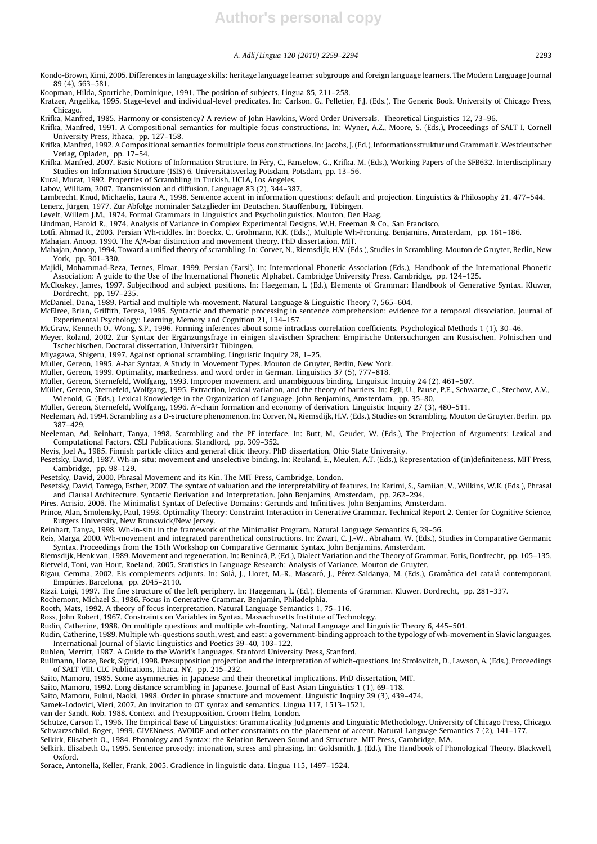#### A. Adli / Lingua 120 (2010) 2259–2294 2293

- Kondo-Brown, Kimi, 2005. Differences in language skills: heritage language learner subgroups and foreign language learners. The Modern Language Journal 89 (4), 563–581.
- Koopman, Hilda, Sportiche, Dominique, 1991. The position of subjects. Lingua 85, 211–258.
- Kratzer, Angelika, 1995. Stage-level and individual-level predicates. In: Carlson, G., Pelletier, F.J. (Eds.), The Generic Book. University of Chicago Press, Chicago.
- Krifka, Manfred, 1985. Harmony or consistency? A review of John Hawkins, Word Order Universals. Theoretical Linguistics 12, 73–96.
- Krifka, Manfred, 1991. A Compositional semantics for multiple focus constructions. In: Wyner, A.Z., Moore, S. (Eds.), Proceedings of SALT I. Cornell University Press, Ithaca, pp. 127–158.
- Krifka, Manfred, 1992. A Compositional semantics for multiple focus constructions. In: Jacobs, J. (Ed.), Informationsstruktur und Grammatik. Westdeutscher Verlag, Opladen, pp. 17–54.
- Krifka, Manfred, 2007. Basic Notions of Information Structure. In Féry, C., Fanselow, G., Krifka, M. (Eds.), Working Papers of the SFB632, Interdisciplinary Studies on Information Structure (ISIS) 6. Universitätsverlag Potsdam, Potsdam, pp. 13–56.
- Kural, Murat, 1992. Properties of Scrambling in Turkish. UCLA, Los Angeles.
- Labov, William, 2007. Transmission and diffusion. Language 83 (2), 344–387.
- Lambrecht, Knud, Michaelis, Laura A., 1998. Sentence accent in information questions: default and projection. Linguistics & Philosophy 21, 477–544. Lenerz, Jürgen, 1977. Zur Abfolge nominaler Satzglieder im Deutschen. Stauffenburg, Tübingen.
- Levelt, Willem J.M., 1974. Formal Grammars in Linguistics and Psycholinguistics. Mouton, Den Haag.
- Lindman, Harold R., 1974. Analysis of Variance in Complex Experimental Designs. W.H. Freeman & Co., San Francisco.
- Lotfi, Ahmad R., 2003. Persian Wh-riddles. In: Boeckx, C., Grohmann, K.K. (Eds.), Multiple Wh-Fronting. Benjamins, Amsterdam, pp. 161–186.
- Mahajan, Anoop, 1990. The A/A-bar distinction and movement theory. PhD dissertation, MIT.
- Mahajan, Anoop, 1994. Toward a unified theory of scrambling. In: Corver, N., Riemsdijk, H.V. (Eds.), Studies in Scrambling. Mouton de Gruyter, Berlin, New York, pp. 301–330.
- Majidi, Mohammad-Reza, Ternes, Elmar, 1999. Persian (Farsi). In: International Phonetic Association (Eds.), Handbook of the International Phonetic Association: A guide to the Use of the International Phonetic Alphabet. Cambridge University Press, Cambridge, pp. 124–125.
- McCloskey, James, 1997. Subjecthood and subject positions. In: Haegeman, L. (Ed.), Elements of Grammar: Handbook of Generative Syntax. Kluwer, Dordrecht, pp. 197–235.
- McDaniel, Dana, 1989. Partial and multiple wh-movement. Natural Language & Linguistic Theory 7, 565–604.
- McElree, Brian, Griffith, Teresa, 1995. Syntactic and thematic processing in sentence comprehension: evidence for a temporal dissociation. Journal of Experimental Psychology: Learning, Memory and Cognition 21, 134–157.
- McGraw, Kenneth O., Wong, S.P., 1996. Forming inferences about some intraclass correlation coefficients. Psychological Methods 1 (1), 30–46.
- Meyer, Roland, 2002. Zur Syntax der Ergänzungsfrage in einigen slavischen Sprachen: Empirische Untersuchungen am Russischen, Polnischen und Tschechischen. Doctoral dissertation, Universität Tübingen.
- Miyagawa, Shigeru, 1997. Against optional scrambling. Linguistic Inquiry 28, 1–25.
- Müller, Gereon, 1995. A-bar Syntax. A Study in Movement Types. Mouton de Gruyter, Berlin, New York.
- Müller, Gereon, 1999. Optimality, markedness, and word order in German. Linguistics 37 (5), 777-818.
- Müller, Gereon, Sternefeld, Wolfgang, 1993. Improper movement and unambiguous binding. Linguistic Inquiry 24 (2), 461-507.
- Müller, Gereon, Sternefeld, Wolfgang, 1995. Extraction, lexical variation, and the theory of barriers. In: Egli, U., Pause, P.E., Schwarze, C., Stechow, A.V., Wienold, G. (Eds.), Lexical Knowledge in the Organization of Language. John Benjamins, Amsterdam, pp. 35–80.
- Müller, Gereon, Sternefeld, Wolfgang, 1996. A'-chain formation and economy of derivation. Linguistic Inquiry 27 (3), 480–511.
- Neeleman, Ad, 1994. Scrambling as a D-structure phenomenon. In: Corver, N., Riemsdijk, H.V. (Eds.), Studies on Scrambling. Mouton de Gruyter, Berlin, pp. 387–429.
- Neeleman, Ad, Reinhart, Tanya, 1998. Scarmbling and the PF interface. In: Butt, M., Geuder, W. (Eds.), The Projection of Arguments: Lexical and Computational Factors. CSLI Publications, Standford, pp. 309–352.
- Nevis, Joel A., 1985. Finnish particle clitics and general clitic theory. PhD dissertation, Ohio State University.
- Pesetsky, David, 1987. Wh-in-situ: movement and unselective binding. In: Reuland, E., Meulen, A.T. (Eds.), Representation of (in)definiteness. MIT Press, Cambridge, pp. 98–129.
- Pesetsky, David, 2000. Phrasal Movement and its Kin. The MIT Press, Cambridge, London.
- Pesetsky, David, Torrego, Esther, 2007. The syntax of valuation and the interpretability of features. In: Karimi, S., Samiian, V., Wilkins, W.K. (Eds.), Phrasal and Clausal Architecture. Syntactic Derivation and Interpretation. John Benjamins, Amsterdam, pp. 262–294.
- Pires, Acrisio, 2006. The Minimalist Syntax of Defective Domains: Gerunds and Infinitives. John Benjamins, Amsterdam.
- Prince, Alan, Smolensky, Paul, 1993. Optimality Theory: Constraint Interaction in Generative Grammar. Technical Report 2. Center for Cognitive Science, Rutgers University, New Brunswick/New Jersey.
- Reinhart, Tanya, 1998. Wh-in-situ in the framework of the Minimalist Program. Natural Language Semantics 6, 29–56.
- Reis, Marga, 2000. Wh-movement and integrated parenthetical constructions. In: Zwart, C. J.-W., Abraham, W. (Eds.), Studies in Comparative Germanic Syntax. Proceedings from the 15th Workshop on Comparative Germanic Syntax. John Benjamins, Amsterdam.
- Riemsdijk, Henk van, 1989. Movement and regeneration. In: Benincà, P. (Ed.), Dialect Variation and the Theory of Grammar. Foris, Dordrecht, pp. 105-135. Rietveld, Toni, van Hout, Roeland, 2005. Statistics in Language Research: Analysis of Variance. Mouton de Gruyter.
- Rigau, Gemma, 2002. Els complements adjunts. In: Solà, J., Lloret, M.-R., Mascaró, J., Pérez-Saldanya, M. (Eds.), Gramàtica del català contemporani. Empúries, Barcelona, pp. 2045-2110.
- Rizzi, Luigi, 1997. The fine structure of the left periphery. In: Haegeman, L. (Ed.), Elements of Grammar. Kluwer, Dordrecht, pp. 281–337.
- Rochemont, Michael S., 1986. Focus in Generative Grammar. Benjamin, Philadelphia.
- Rooth, Mats, 1992. A theory of focus interpretation. Natural Language Semantics 1, 75–116.
- Ross, John Robert, 1967. Constraints on Variables in Syntax. Massachusetts Institute of Technology.
- Rudin, Catherine, 1988. On multiple questions and multiple wh-fronting. Natural Language and Linguistic Theory 6, 445–501.
- Rudin, Catherine, 1989. Multiple wh-questions south, west, and east: a government-binding approach to the typology of wh-movement in Slavic languages. International Journal of Slavic Linguistics and Poetics 39–40, 103–122.
- Ruhlen, Merritt, 1987. A Guide to the World's Languages. Stanford University Press, Stanford.
- Rullmann, Hotze, Beck, Sigrid, 1998. Presupposition projection and the interpretation of which-questions. In: Strolovitch, D., Lawson, A. (Eds.), Proceedings of SALT VIII. CLC Publications, Ithaca, NY, pp. 215–232.
- Saito, Mamoru, 1985. Some asymmetries in Japanese and their theoretical implications. PhD dissertation, MIT.
- Saito, Mamoru, 1992. Long distance scrambling in Japanese. Journal of East Asian Linguistics 1 (1), 69–118.
- Saito, Mamoru, Fukui, Naoki, 1998. Order in phrase structure and movement. Linguistic Inquiry 29 (3), 439–474.
- Samek-Lodovici, Vieri, 2007. An invitation to OT syntax and semantics. Lingua 117, 1513–1521.
- van der Sandt, Rob, 1988. Context and Presupposition. Croom Helm, London.
- Schütze, Carson T., 1996. The Empirical Base of Linguistics: Grammaticality Judgments and Linguistic Methodology. University of Chicago Press, Chicago. Schwarzschild, Roger, 1999. GIVENness, AVOIDF and other constraints on the placement of accent. Natural Language Semantics 7 (2), 141–177.
- Selkirk, Elisabeth O., 1984. Phonology and Syntax: the Relation Between Sound and Structure. MIT Press, Cambridge, MA.
- Selkirk, Elisabeth O., 1995. Sentence prosody: intonation, stress and phrasing. In: Goldsmith, J. (Ed.), The Handbook of Phonological Theory. Blackwell, Oxford.

Sorace, Antonella, Keller, Frank, 2005. Gradience in linguistic data. Lingua 115, 1497–1524.